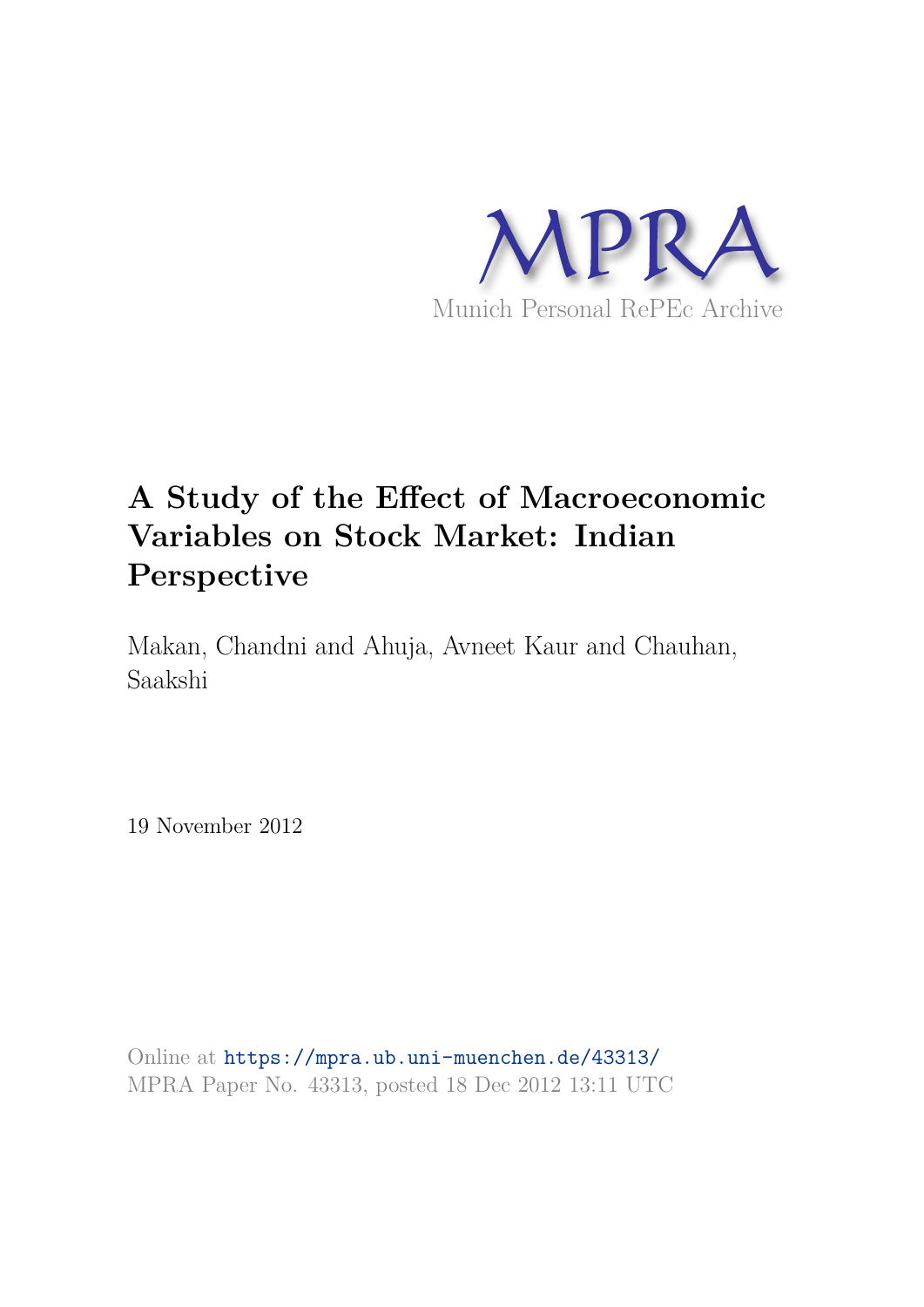

# **A Study of the Effect of Macroeconomic Variables on Stock Market: Indian Perspective**

Makan, Chandni and Ahuja, Avneet Kaur and Chauhan, Saakshi

19 November 2012

Online at https://mpra.ub.uni-muenchen.de/43313/ MPRA Paper No. 43313, posted 18 Dec 2012 13:11 UTC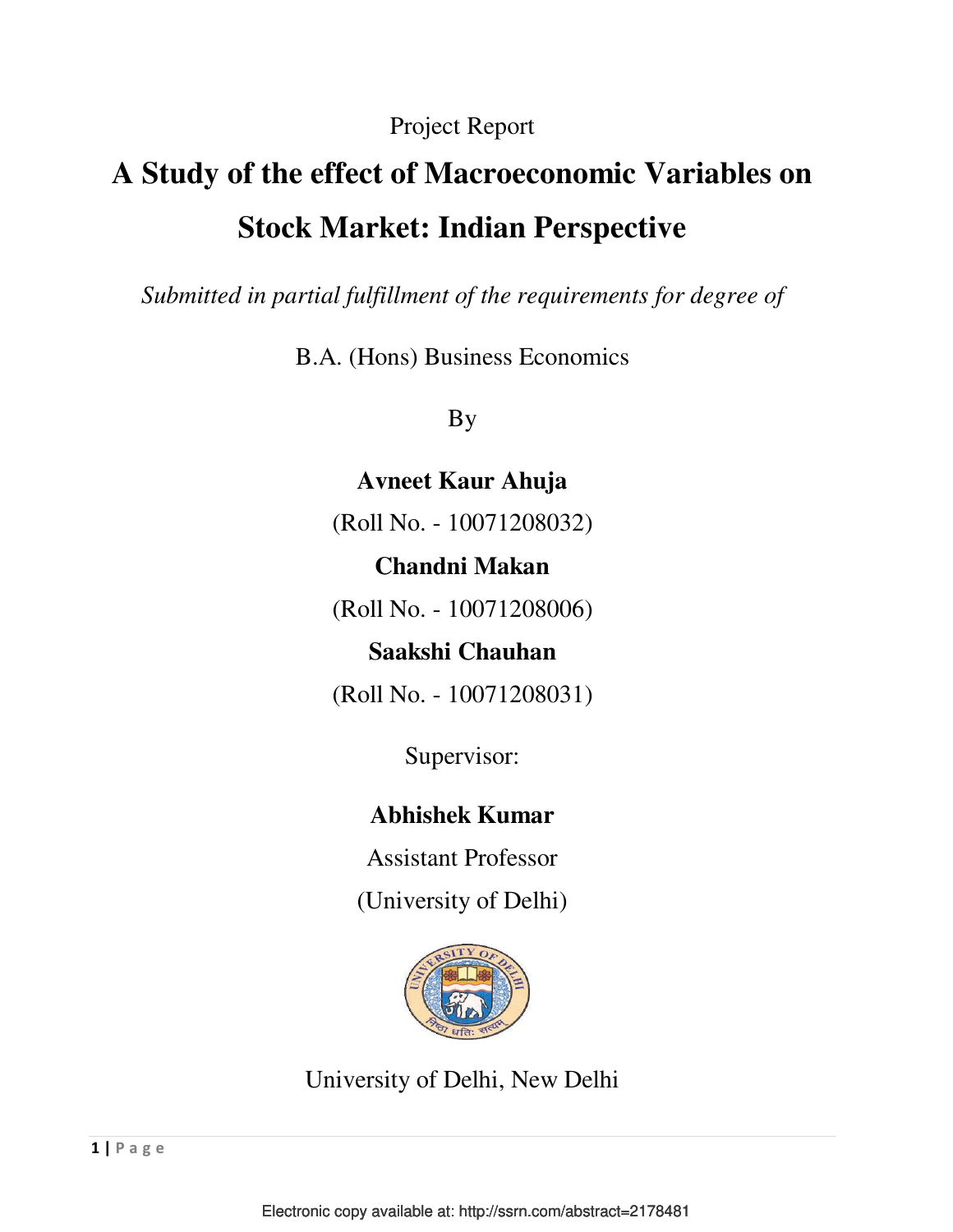Project Report

# **A Study of the effect of Macroeconomic Variables on Stock Market: Indian Perspective**

*Submitted in partial fulfillment of the requirements for degree of* 

B.A. (Hons) Business Economics

By

# **Avneet Kaur Ahuja**

(Roll No. - 10071208032)

# **Chandni Makan**

(Roll No. - 10071208006)

# **Saakshi Chauhan**

(Roll No. - 10071208031)

Supervisor:

# **Abhishek Kumar**

Assistant Professor

(University of Delhi)



University of Delhi, New Delhi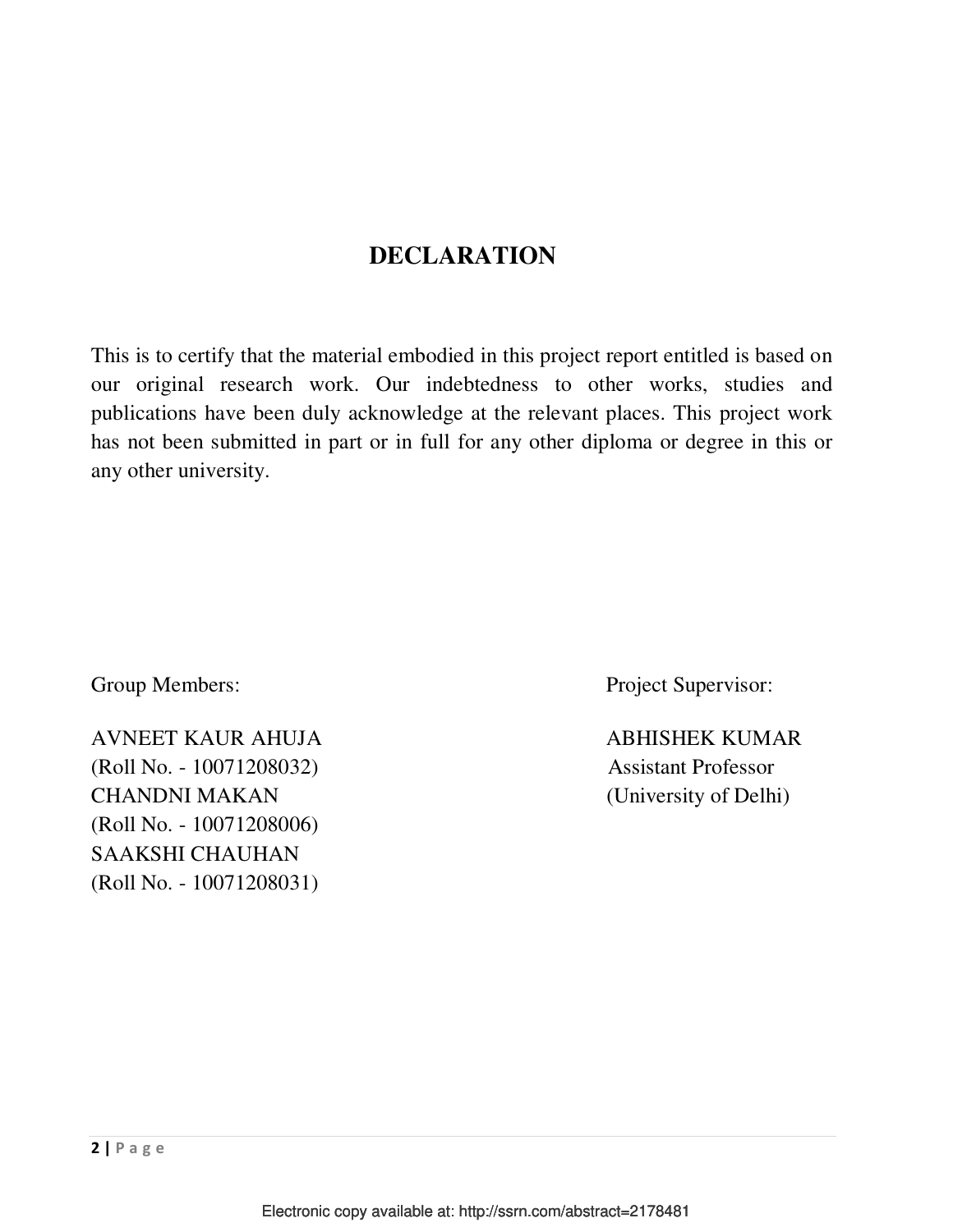# **DECLARATION**

This is to certify that the material embodied in this project report entitled is based on our original research work. Our indebtedness to other works, studies and publications have been duly acknowledge at the relevant places. This project work has not been submitted in part or in full for any other diploma or degree in this or any other university.

AVNEET KAUR AHUJA ABHISHEK KUMAR (Roll No. - 10071208032) Assistant Professor CHANDNI MAKAN (University of Delhi) (Roll No. - 10071208006) SAAKSHI CHAUHAN (Roll No. - 10071208031)

Group Members: Project Supervisor: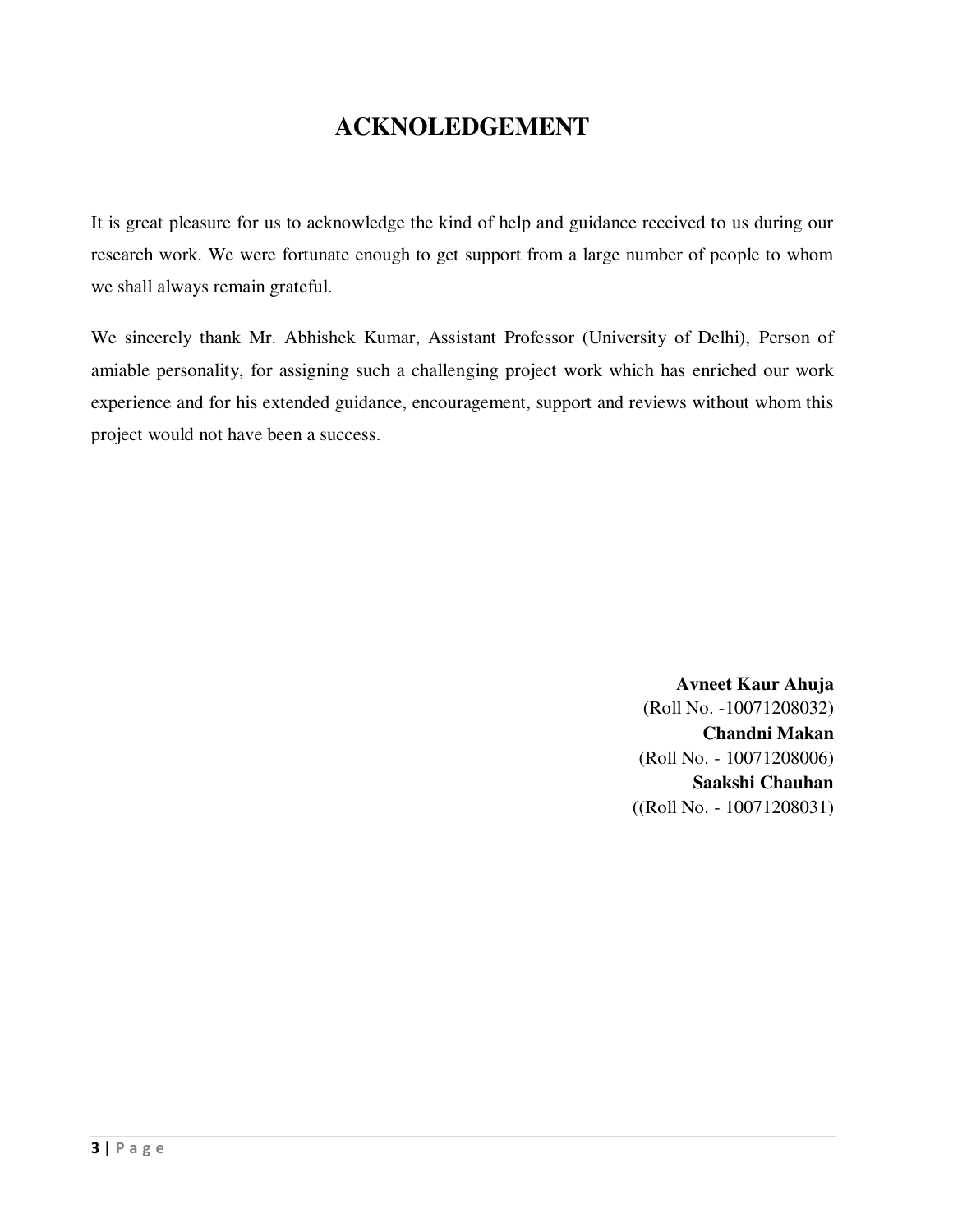### **ACKNOLEDGEMENT**

It is great pleasure for us to acknowledge the kind of help and guidance received to us during our research work. We were fortunate enough to get support from a large number of people to whom we shall always remain grateful.

We sincerely thank Mr. Abhishek Kumar, Assistant Professor (University of Delhi), Person of amiable personality, for assigning such a challenging project work which has enriched our work experience and for his extended guidance, encouragement, support and reviews without whom this project would not have been a success.

> **Avneet Kaur Ahuja**  (Roll No. -10071208032) **Chandni Makan**  (Roll No. - 10071208006) **Saakshi Chauhan**  ((Roll No. - 10071208031)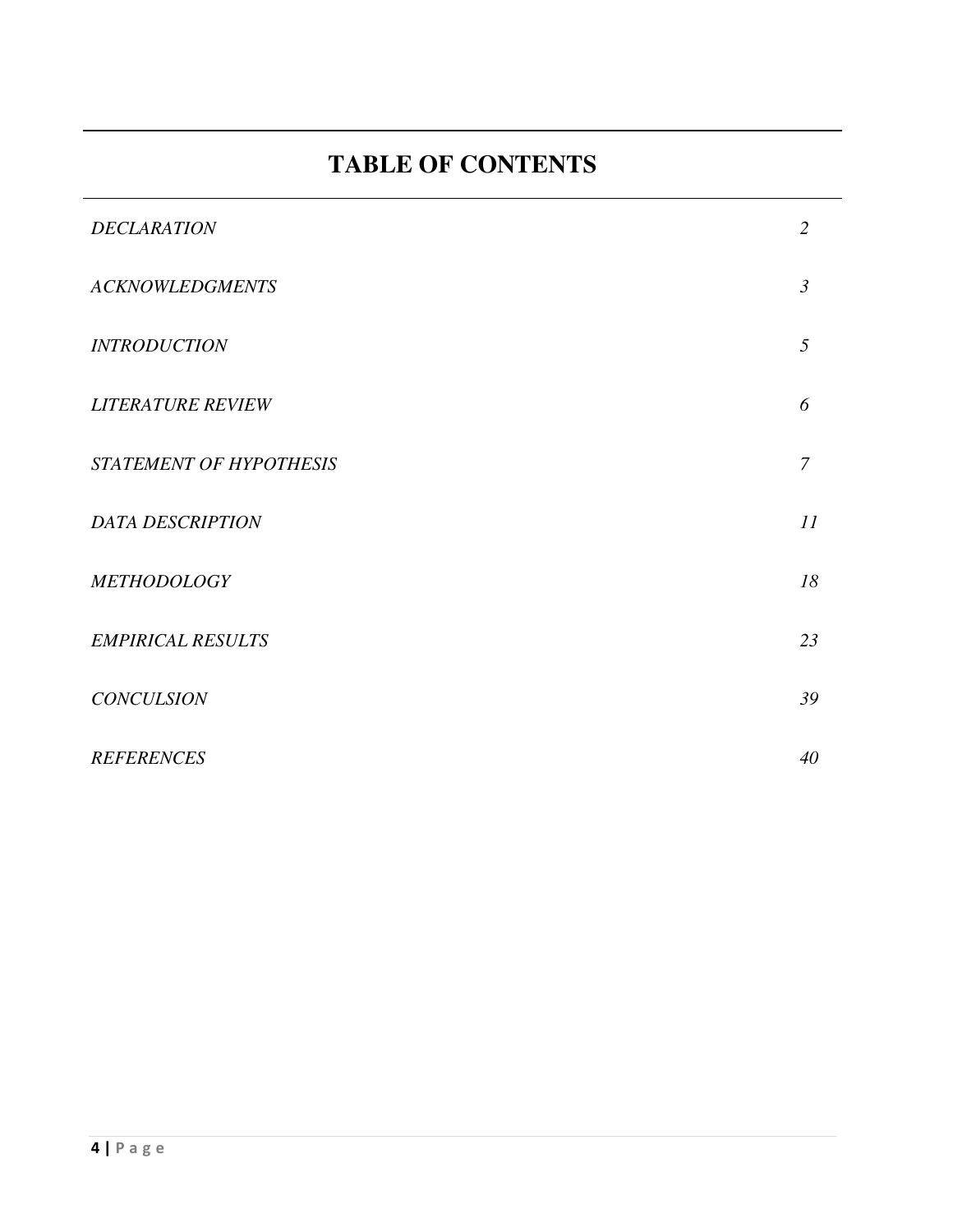# **TABLE OF CONTENTS**

| <b>DECLARATION</b>       | $\overline{2}$ |
|--------------------------|----------------|
| <b>ACKNOWLEDGMENTS</b>   | $\mathfrak{Z}$ |
| <b>INTRODUCTION</b>      | 5              |
| <b>LITERATURE REVIEW</b> | 6              |
| STATEMENT OF HYPOTHESIS  | $\overline{7}$ |
| DATA DESCRIPTION         | 11             |
| <b>METHODOLOGY</b>       | 18             |
| <b>EMPIRICAL RESULTS</b> | 23             |
| <b>CONCULSION</b>        | 39             |
| <b>REFERENCES</b>        | 40             |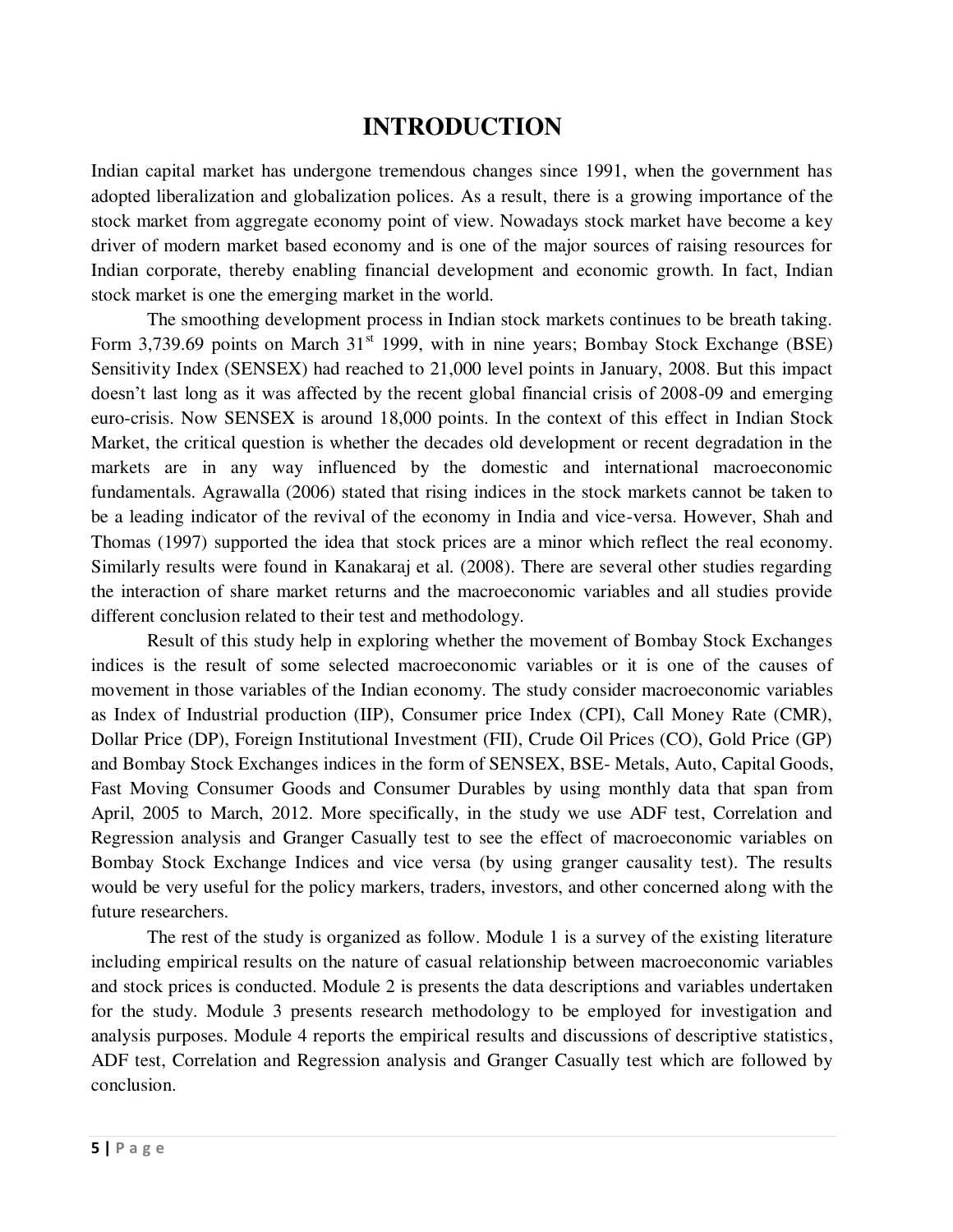### **INTRODUCTION**

Indian capital market has undergone tremendous changes since 1991, when the government has adopted liberalization and globalization polices. As a result, there is a growing importance of the stock market from aggregate economy point of view. Nowadays stock market have become a key driver of modern market based economy and is one of the major sources of raising resources for Indian corporate, thereby enabling financial development and economic growth. In fact, Indian stock market is one the emerging market in the world.

The smoothing development process in Indian stock markets continues to be breath taking. Form 3,739.69 points on March  $31<sup>st</sup>$  1999, with in nine years; Bombay Stock Exchange (BSE) Sensitivity Index (SENSEX) had reached to 21,000 level points in January, 2008. But this impact doesn't last long as it was affected by the recent global financial crisis of 2008-09 and emerging euro-crisis. Now SENSEX is around 18,000 points. In the context of this effect in Indian Stock Market, the critical question is whether the decades old development or recent degradation in the markets are in any way influenced by the domestic and international macroeconomic fundamentals. Agrawalla (2006) stated that rising indices in the stock markets cannot be taken to be a leading indicator of the revival of the economy in India and vice-versa. However, Shah and Thomas (1997) supported the idea that stock prices are a minor which reflect the real economy. Similarly results were found in Kanakaraj et al. (2008). There are several other studies regarding the interaction of share market returns and the macroeconomic variables and all studies provide different conclusion related to their test and methodology.

Result of this study help in exploring whether the movement of Bombay Stock Exchanges indices is the result of some selected macroeconomic variables or it is one of the causes of movement in those variables of the Indian economy. The study consider macroeconomic variables as Index of Industrial production (IIP), Consumer price Index (CPI), Call Money Rate (CMR), Dollar Price (DP), Foreign Institutional Investment (FII), Crude Oil Prices (CO), Gold Price (GP) and Bombay Stock Exchanges indices in the form of SENSEX, BSE- Metals, Auto, Capital Goods, Fast Moving Consumer Goods and Consumer Durables by using monthly data that span from April, 2005 to March, 2012. More specifically, in the study we use ADF test, Correlation and Regression analysis and Granger Casually test to see the effect of macroeconomic variables on Bombay Stock Exchange Indices and vice versa (by using granger causality test). The results would be very useful for the policy markers, traders, investors, and other concerned along with the future researchers.

The rest of the study is organized as follow. Module 1 is a survey of the existing literature including empirical results on the nature of casual relationship between macroeconomic variables and stock prices is conducted. Module 2 is presents the data descriptions and variables undertaken for the study. Module 3 presents research methodology to be employed for investigation and analysis purposes. Module 4 reports the empirical results and discussions of descriptive statistics, ADF test, Correlation and Regression analysis and Granger Casually test which are followed by conclusion.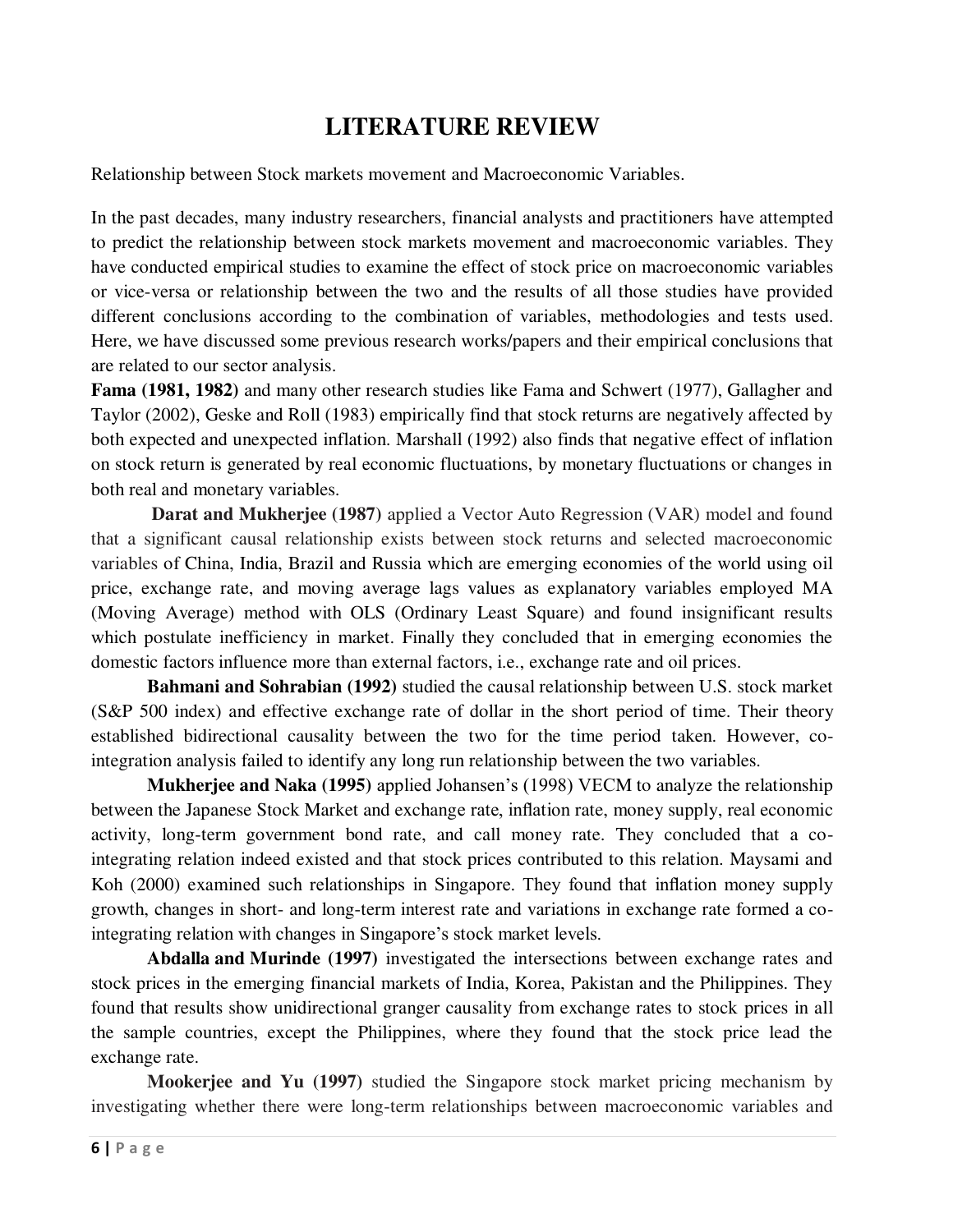# **LITERATURE REVIEW**

Relationship between Stock markets movement and Macroeconomic Variables.

In the past decades, many industry researchers, financial analysts and practitioners have attempted to predict the relationship between stock markets movement and macroeconomic variables. They have conducted empirical studies to examine the effect of stock price on macroeconomic variables or vice-versa or relationship between the two and the results of all those studies have provided different conclusions according to the combination of variables, methodologies and tests used. Here, we have discussed some previous research works/papers and their empirical conclusions that are related to our sector analysis.

**Fama (1981, 1982)** and many other research studies like Fama and Schwert (1977), Gallagher and Taylor (2002), Geske and Roll (1983) empirically find that stock returns are negatively affected by both expected and unexpected inflation. Marshall (1992) also finds that negative effect of inflation on stock return is generated by real economic fluctuations, by monetary fluctuations or changes in both real and monetary variables.

 **Darat and Mukherjee (1987)** applied a Vector Auto Regression (VAR) model and found that a significant causal relationship exists between stock returns and selected macroeconomic variables of China, India, Brazil and Russia which are emerging economies of the world using oil price, exchange rate, and moving average lags values as explanatory variables employed MA (Moving Average) method with OLS (Ordinary Least Square) and found insignificant results which postulate inefficiency in market. Finally they concluded that in emerging economies the domestic factors influence more than external factors, i.e., exchange rate and oil prices.

**Bahmani and Sohrabian (1992)** studied the causal relationship between U.S. stock market (S&P 500 index) and effective exchange rate of dollar in the short period of time. Their theory established bidirectional causality between the two for the time period taken. However, cointegration analysis failed to identify any long run relationship between the two variables.

**Mukherjee and Naka (1995)** applied Johansen's (1998) VECM to analyze the relationship between the Japanese Stock Market and exchange rate, inflation rate, money supply, real economic activity, long-term government bond rate, and call money rate. They concluded that a cointegrating relation indeed existed and that stock prices contributed to this relation. Maysami and Koh (2000) examined such relationships in Singapore. They found that inflation money supply growth, changes in short- and long-term interest rate and variations in exchange rate formed a cointegrating relation with changes in Singapore's stock market levels.

**Abdalla and Murinde (1997)** investigated the intersections between exchange rates and stock prices in the emerging financial markets of India, Korea, Pakistan and the Philippines. They found that results show unidirectional granger causality from exchange rates to stock prices in all the sample countries, except the Philippines, where they found that the stock price lead the exchange rate.

**Mookerjee and Yu (1997)** studied the Singapore stock market pricing mechanism by investigating whether there were long-term relationships between macroeconomic variables and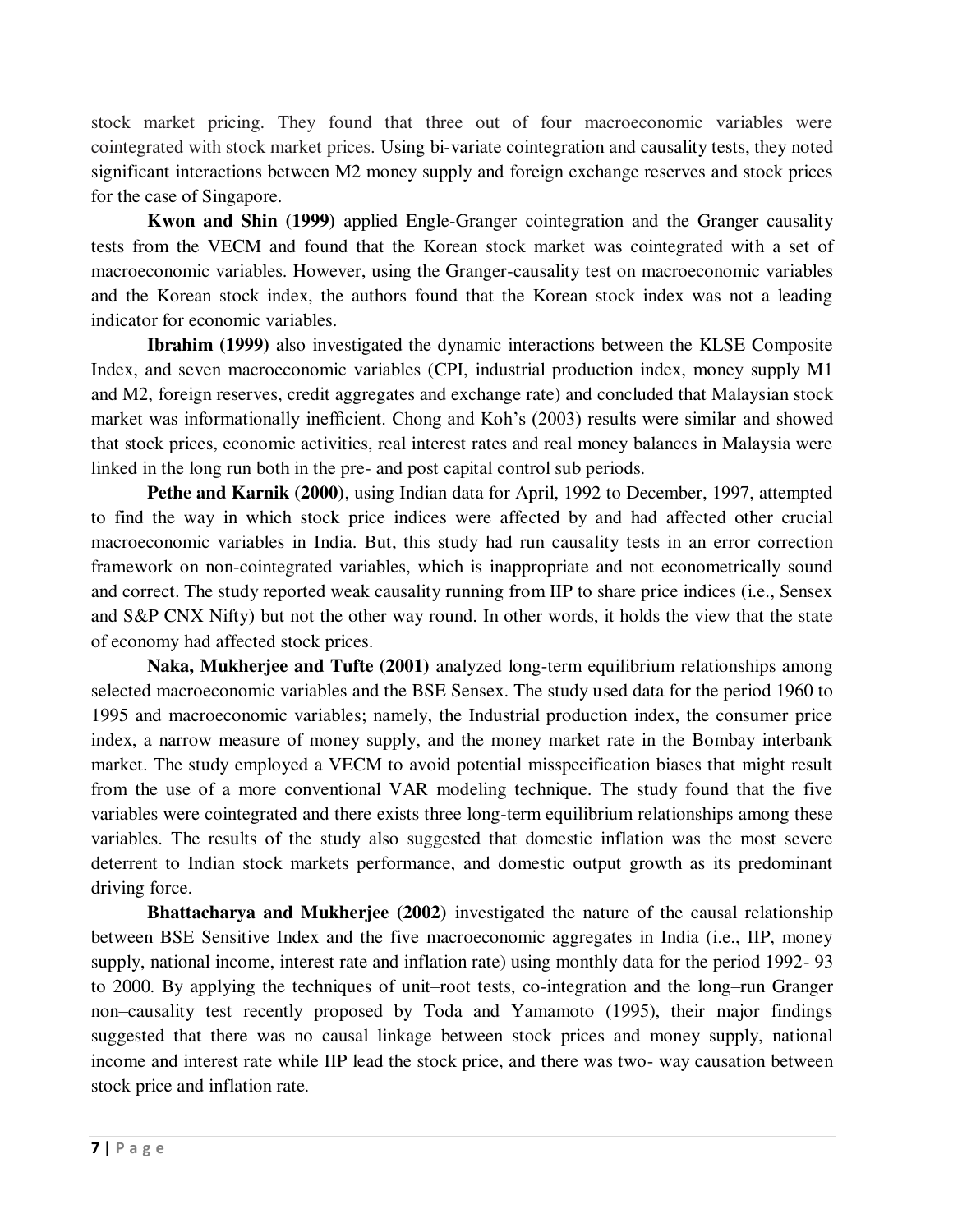stock market pricing. They found that three out of four macroeconomic variables were cointegrated with stock market prices. Using bi-variate cointegration and causality tests, they noted significant interactions between M2 money supply and foreign exchange reserves and stock prices for the case of Singapore.

**Kwon and Shin (1999)** applied Engle-Granger cointegration and the Granger causality tests from the VECM and found that the Korean stock market was cointegrated with a set of macroeconomic variables. However, using the Granger-causality test on macroeconomic variables and the Korean stock index, the authors found that the Korean stock index was not a leading indicator for economic variables.

**Ibrahim (1999)** also investigated the dynamic interactions between the KLSE Composite Index, and seven macroeconomic variables (CPI, industrial production index, money supply M1 and M2, foreign reserves, credit aggregates and exchange rate) and concluded that Malaysian stock market was informationally inefficient. Chong and Koh's (2003) results were similar and showed that stock prices, economic activities, real interest rates and real money balances in Malaysia were linked in the long run both in the pre- and post capital control sub periods.

**Pethe and Karnik (2000)**, using Indian data for April, 1992 to December, 1997, attempted to find the way in which stock price indices were affected by and had affected other crucial macroeconomic variables in India. But, this study had run causality tests in an error correction framework on non-cointegrated variables, which is inappropriate and not econometrically sound and correct. The study reported weak causality running from IIP to share price indices (i.e., Sensex and S&P CNX Nifty) but not the other way round. In other words, it holds the view that the state of economy had affected stock prices.

**Naka, Mukherjee and Tufte (2001)** analyzed long-term equilibrium relationships among selected macroeconomic variables and the BSE Sensex. The study used data for the period 1960 to 1995 and macroeconomic variables; namely, the Industrial production index, the consumer price index, a narrow measure of money supply, and the money market rate in the Bombay interbank market. The study employed a VECM to avoid potential misspecification biases that might result from the use of a more conventional VAR modeling technique. The study found that the five variables were cointegrated and there exists three long-term equilibrium relationships among these variables. The results of the study also suggested that domestic inflation was the most severe deterrent to Indian stock markets performance, and domestic output growth as its predominant driving force.

**Bhattacharya and Mukherjee (2002)** investigated the nature of the causal relationship between BSE Sensitive Index and the five macroeconomic aggregates in India (i.e., IIP, money supply, national income, interest rate and inflation rate) using monthly data for the period 1992- 93 to 2000. By applying the techniques of unit–root tests, co-integration and the long–run Granger non–causality test recently proposed by Toda and Yamamoto (1995), their major findings suggested that there was no causal linkage between stock prices and money supply, national income and interest rate while IIP lead the stock price, and there was two- way causation between stock price and inflation rate.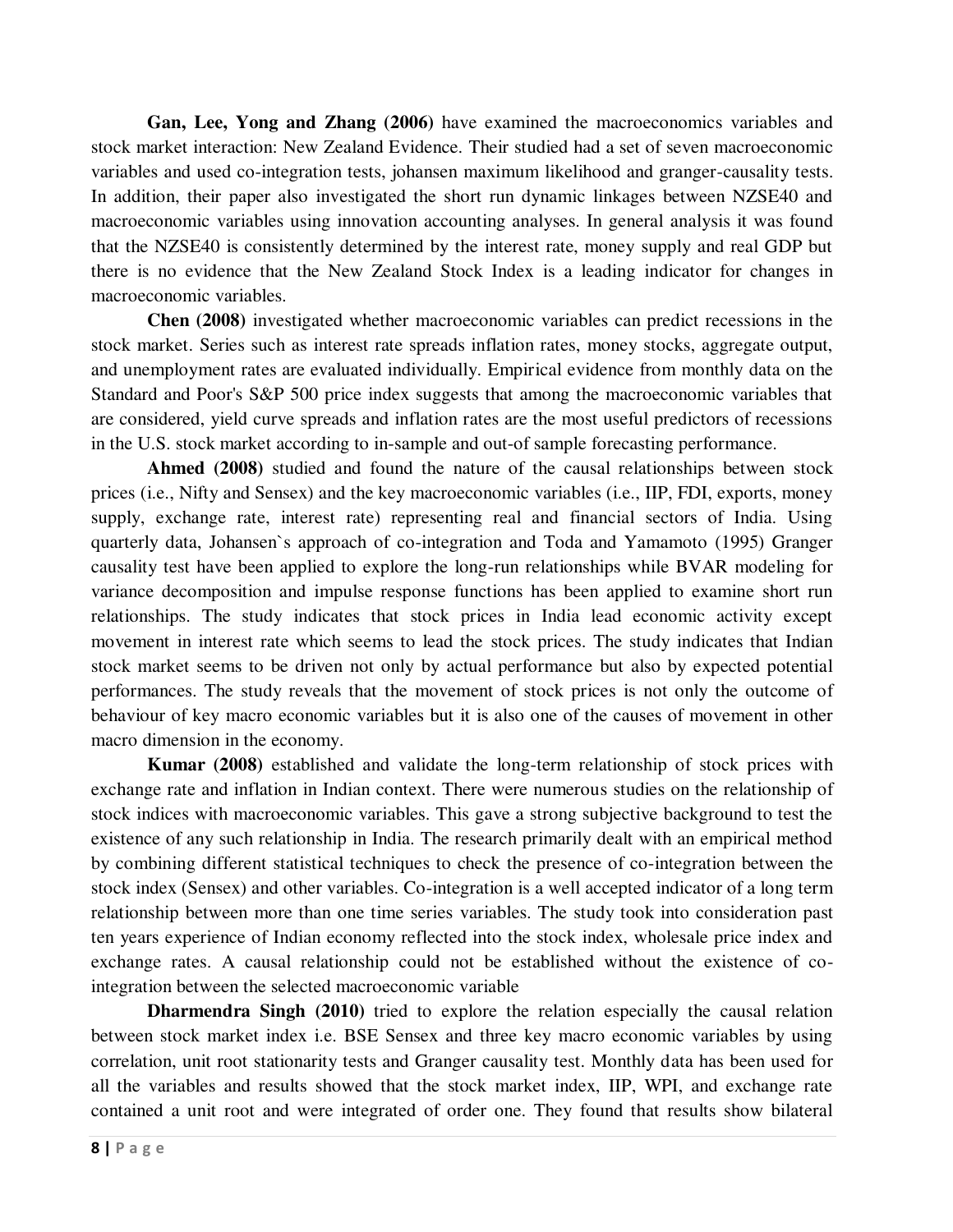**Gan, Lee, Yong and Zhang (2006)** have examined the macroeconomics variables and stock market interaction: New Zealand Evidence. Their studied had a set of seven macroeconomic variables and used co-integration tests, johansen maximum likelihood and granger-causality tests. In addition, their paper also investigated the short run dynamic linkages between NZSE40 and macroeconomic variables using innovation accounting analyses. In general analysis it was found that the NZSE40 is consistently determined by the interest rate, money supply and real GDP but there is no evidence that the New Zealand Stock Index is a leading indicator for changes in macroeconomic variables.

**Chen (2008)** investigated whether macroeconomic variables can predict recessions in the stock market. Series such as interest rate spreads inflation rates, money stocks, aggregate output, and unemployment rates are evaluated individually. Empirical evidence from monthly data on the Standard and Poor's S&P 500 price index suggests that among the macroeconomic variables that are considered, yield curve spreads and inflation rates are the most useful predictors of recessions in the U.S. stock market according to in-sample and out-of sample forecasting performance.

**Ahmed (2008)** studied and found the nature of the causal relationships between stock prices (i.e., Nifty and Sensex) and the key macroeconomic variables (i.e., IIP, FDI, exports, money supply, exchange rate, interest rate) representing real and financial sectors of India. Using quarterly data, Johansen`s approach of co-integration and Toda and Yamamoto (1995) Granger causality test have been applied to explore the long-run relationships while BVAR modeling for variance decomposition and impulse response functions has been applied to examine short run relationships. The study indicates that stock prices in India lead economic activity except movement in interest rate which seems to lead the stock prices. The study indicates that Indian stock market seems to be driven not only by actual performance but also by expected potential performances. The study reveals that the movement of stock prices is not only the outcome of behaviour of key macro economic variables but it is also one of the causes of movement in other macro dimension in the economy.

**Kumar (2008)** established and validate the long-term relationship of stock prices with exchange rate and inflation in Indian context. There were numerous studies on the relationship of stock indices with macroeconomic variables. This gave a strong subjective background to test the existence of any such relationship in India. The research primarily dealt with an empirical method by combining different statistical techniques to check the presence of co-integration between the stock index (Sensex) and other variables. Co-integration is a well accepted indicator of a long term relationship between more than one time series variables. The study took into consideration past ten years experience of Indian economy reflected into the stock index, wholesale price index and exchange rates. A causal relationship could not be established without the existence of cointegration between the selected macroeconomic variable

**Dharmendra Singh (2010)** tried to explore the relation especially the causal relation between stock market index i.e. BSE Sensex and three key macro economic variables by using correlation, unit root stationarity tests and Granger causality test. Monthly data has been used for all the variables and results showed that the stock market index, IIP, WPI, and exchange rate contained a unit root and were integrated of order one. They found that results show bilateral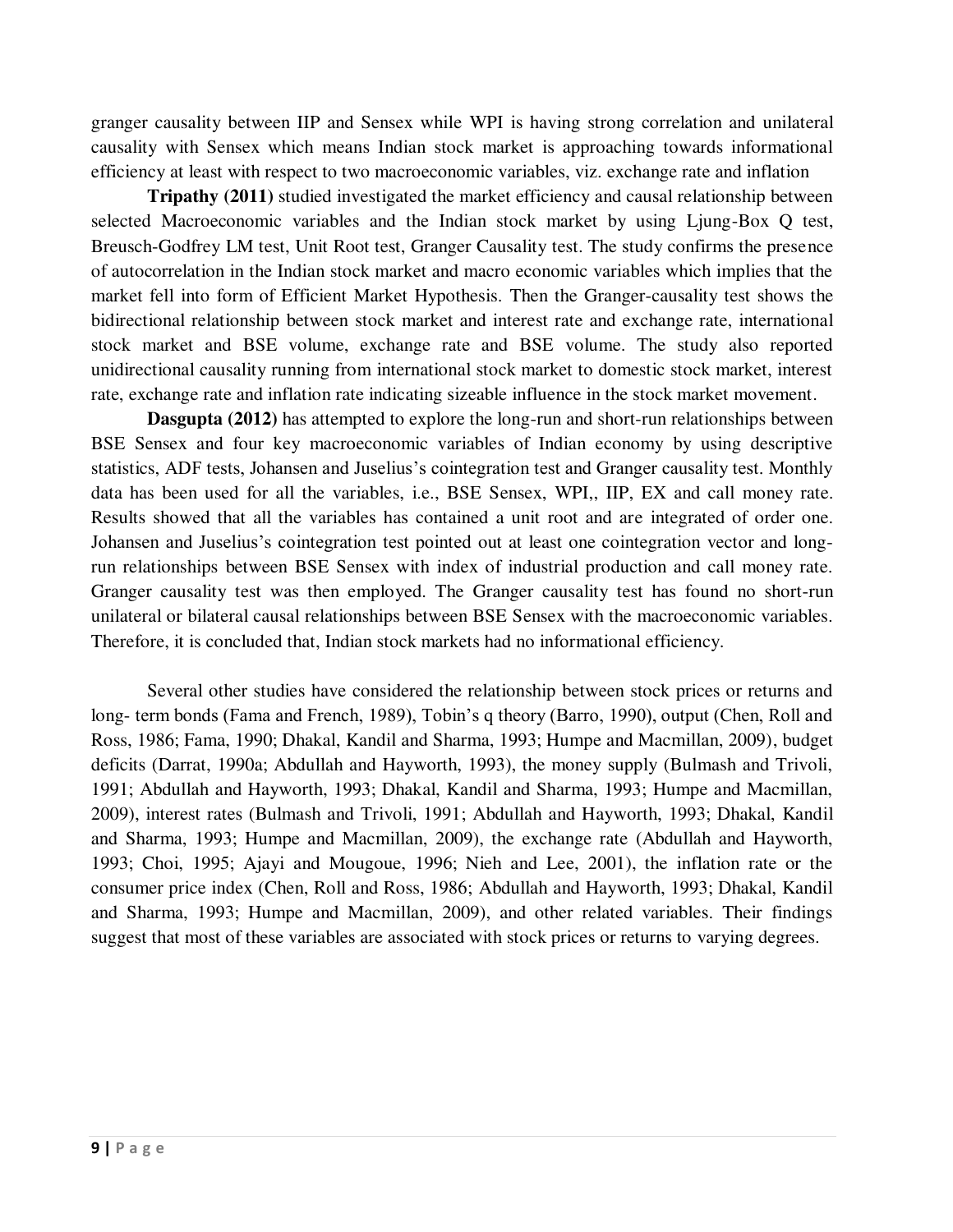granger causality between IIP and Sensex while WPI is having strong correlation and unilateral causality with Sensex which means Indian stock market is approaching towards informational efficiency at least with respect to two macroeconomic variables, viz. exchange rate and inflation

**Tripathy (2011)** studied investigated the market efficiency and causal relationship between selected Macroeconomic variables and the Indian stock market by using Ljung-Box Q test, Breusch-Godfrey LM test, Unit Root test, Granger Causality test. The study confirms the presence of autocorrelation in the Indian stock market and macro economic variables which implies that the market fell into form of Efficient Market Hypothesis. Then the Granger-causality test shows the bidirectional relationship between stock market and interest rate and exchange rate, international stock market and BSE volume, exchange rate and BSE volume. The study also reported unidirectional causality running from international stock market to domestic stock market, interest rate, exchange rate and inflation rate indicating sizeable influence in the stock market movement.

**Dasgupta (2012)** has attempted to explore the long-run and short-run relationships between BSE Sensex and four key macroeconomic variables of Indian economy by using descriptive statistics, ADF tests, Johansen and Juselius's cointegration test and Granger causality test. Monthly data has been used for all the variables, i.e., BSE Sensex, WPI,, IIP, EX and call money rate. Results showed that all the variables has contained a unit root and are integrated of order one. Johansen and Juselius's cointegration test pointed out at least one cointegration vector and longrun relationships between BSE Sensex with index of industrial production and call money rate. Granger causality test was then employed. The Granger causality test has found no short-run unilateral or bilateral causal relationships between BSE Sensex with the macroeconomic variables. Therefore, it is concluded that, Indian stock markets had no informational efficiency.

Several other studies have considered the relationship between stock prices or returns and long- term bonds (Fama and French, 1989), Tobin's q theory (Barro, 1990), output (Chen, Roll and Ross, 1986; Fama, 1990; Dhakal, Kandil and Sharma, 1993; Humpe and Macmillan, 2009), budget deficits (Darrat, 1990a; Abdullah and Hayworth, 1993), the money supply (Bulmash and Trivoli, 1991; Abdullah and Hayworth, 1993; Dhakal, Kandil and Sharma, 1993; Humpe and Macmillan, 2009), interest rates (Bulmash and Trivoli, 1991; Abdullah and Hayworth, 1993; Dhakal, Kandil and Sharma, 1993; Humpe and Macmillan, 2009), the exchange rate (Abdullah and Hayworth, 1993; Choi, 1995; Ajayi and Mougoue, 1996; Nieh and Lee, 2001), the inflation rate or the consumer price index (Chen, Roll and Ross, 1986; Abdullah and Hayworth, 1993; Dhakal, Kandil and Sharma, 1993; Humpe and Macmillan, 2009), and other related variables. Their findings suggest that most of these variables are associated with stock prices or returns to varying degrees.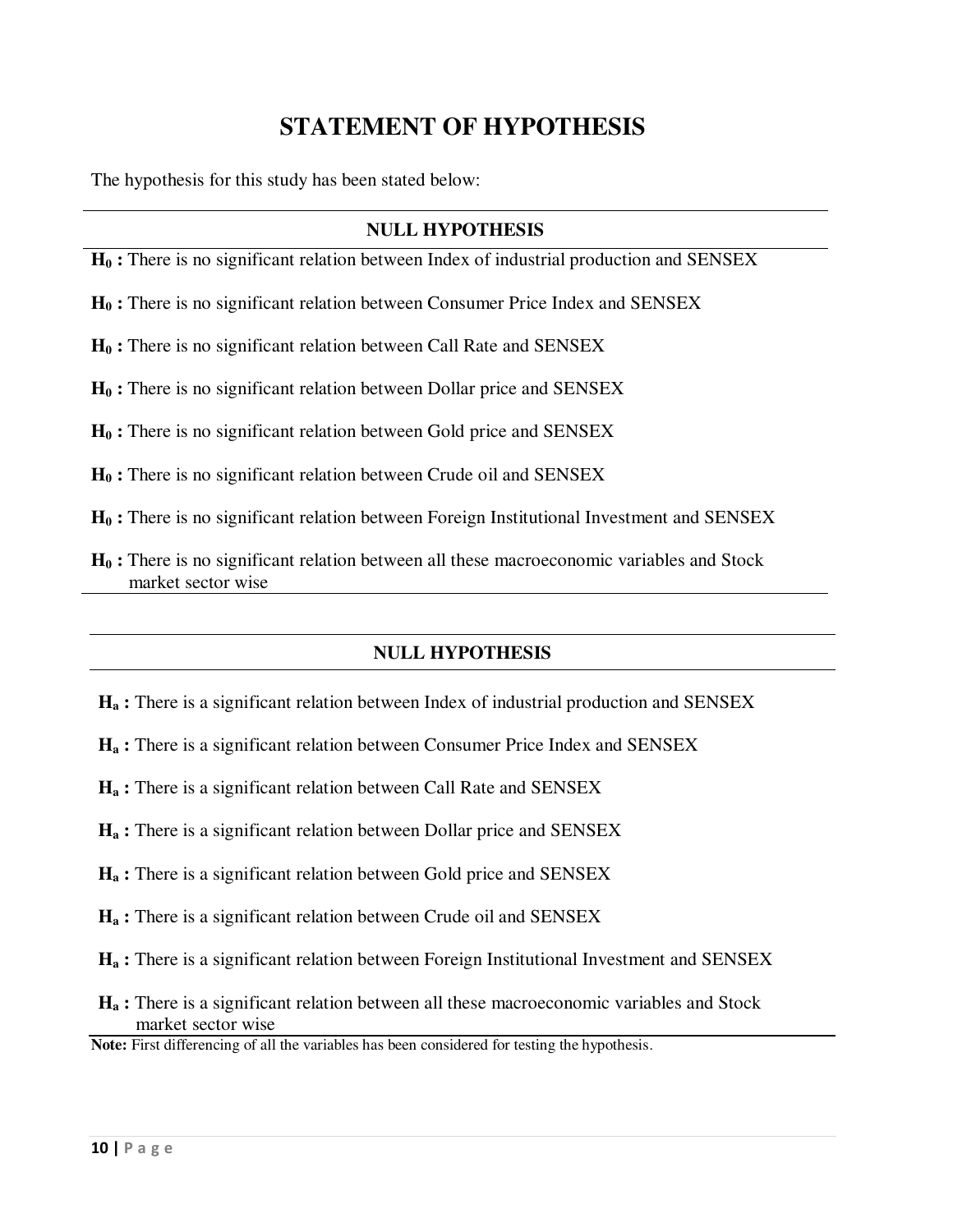# **STATEMENT OF HYPOTHESIS**

The hypothesis for this study has been stated below:

#### **NULL HYPOTHESIS**

**H0 :** There is no significant relation between Index of industrial production and SENSEX

**H0 :** There is no significant relation between Consumer Price Index and SENSEX

**H0 :** There is no significant relation between Call Rate and SENSEX

**H0 :** There is no significant relation between Dollar price and SENSEX

**H0 :** There is no significant relation between Gold price and SENSEX

**H0 :** There is no significant relation between Crude oil and SENSEX

**H0 :** There is no significant relation between Foreign Institutional Investment and SENSEX

**H0 :** There is no significant relation between all these macroeconomic variables and Stock market sector wise

#### **NULL HYPOTHESIS**

- **Ha :** There is a significant relation between Index of industrial production and SENSEX
- **Ha :** There is a significant relation between Consumer Price Index and SENSEX
- **Ha :** There is a significant relation between Call Rate and SENSEX
- **Ha :** There is a significant relation between Dollar price and SENSEX
- **Ha :** There is a significant relation between Gold price and SENSEX
- **Ha :** There is a significant relation between Crude oil and SENSEX
- **Ha :** There is a significant relation between Foreign Institutional Investment and SENSEX
- **Ha :** There is a significant relation between all these macroeconomic variables and Stock market sector wise

**Note:** First differencing of all the variables has been considered for testing the hypothesis.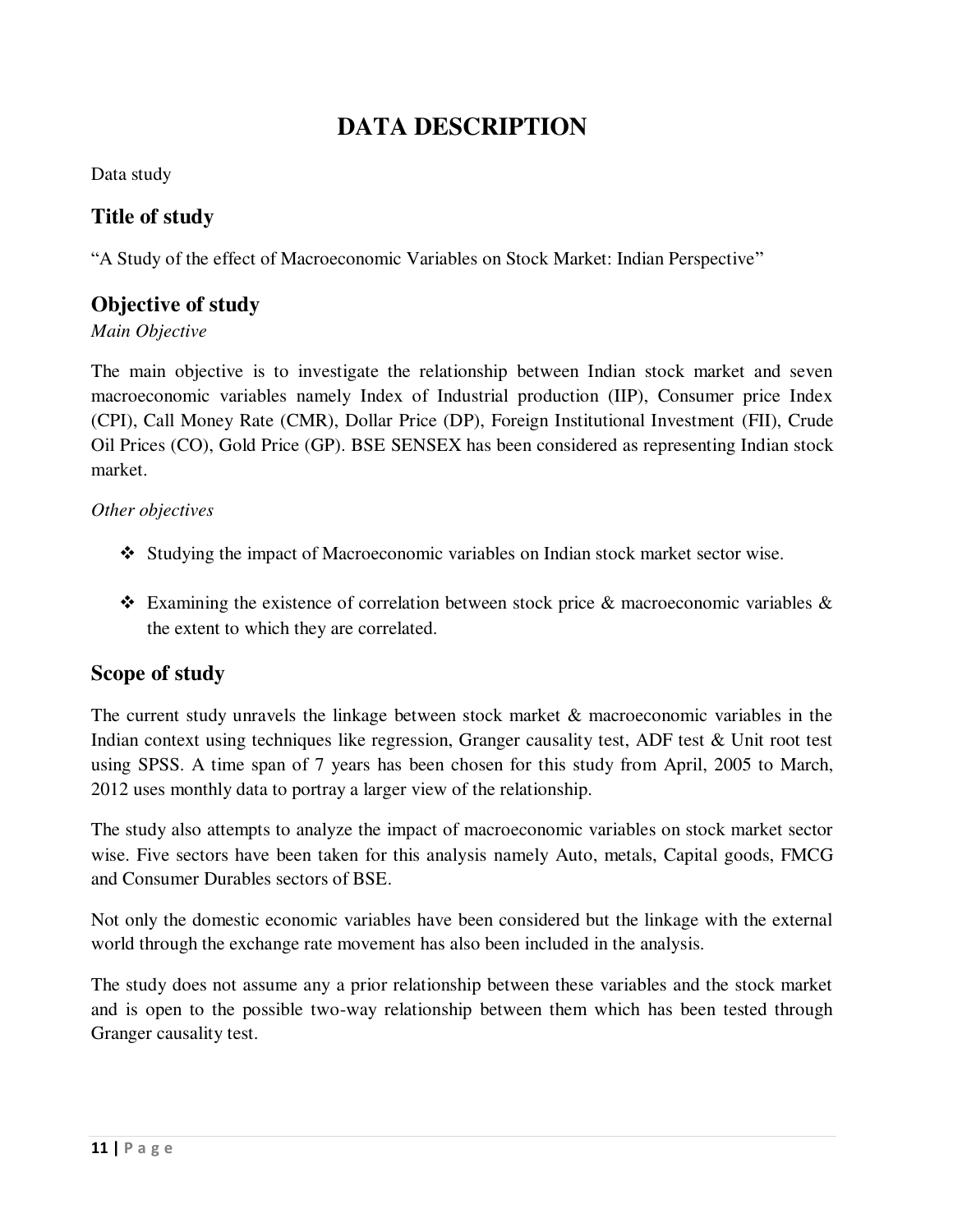# **DATA DESCRIPTION**

Data study

#### **Title of study**

"A Study of the effect of Macroeconomic Variables on Stock Market: Indian Perspective"

#### **Objective of study**

#### *Main Objective*

The main objective is to investigate the relationship between Indian stock market and seven macroeconomic variables namely Index of Industrial production (IIP), Consumer price Index (CPI), Call Money Rate (CMR), Dollar Price (DP), Foreign Institutional Investment (FII), Crude Oil Prices (CO), Gold Price (GP). BSE SENSEX has been considered as representing Indian stock market.

#### *Other objectives*

- Studying the impact of Macroeconomic variables on Indian stock market sector wise.
- $\triangle$  Examining the existence of correlation between stock price & macroeconomic variables & the extent to which they are correlated.

#### **Scope of study**

The current study unravels the linkage between stock market & macroeconomic variables in the Indian context using techniques like regression, Granger causality test, ADF test & Unit root test using SPSS. A time span of 7 years has been chosen for this study from April, 2005 to March, 2012 uses monthly data to portray a larger view of the relationship.

The study also attempts to analyze the impact of macroeconomic variables on stock market sector wise. Five sectors have been taken for this analysis namely Auto, metals, Capital goods, FMCG and Consumer Durables sectors of BSE.

Not only the domestic economic variables have been considered but the linkage with the external world through the exchange rate movement has also been included in the analysis.

The study does not assume any a prior relationship between these variables and the stock market and is open to the possible two-way relationship between them which has been tested through Granger causality test.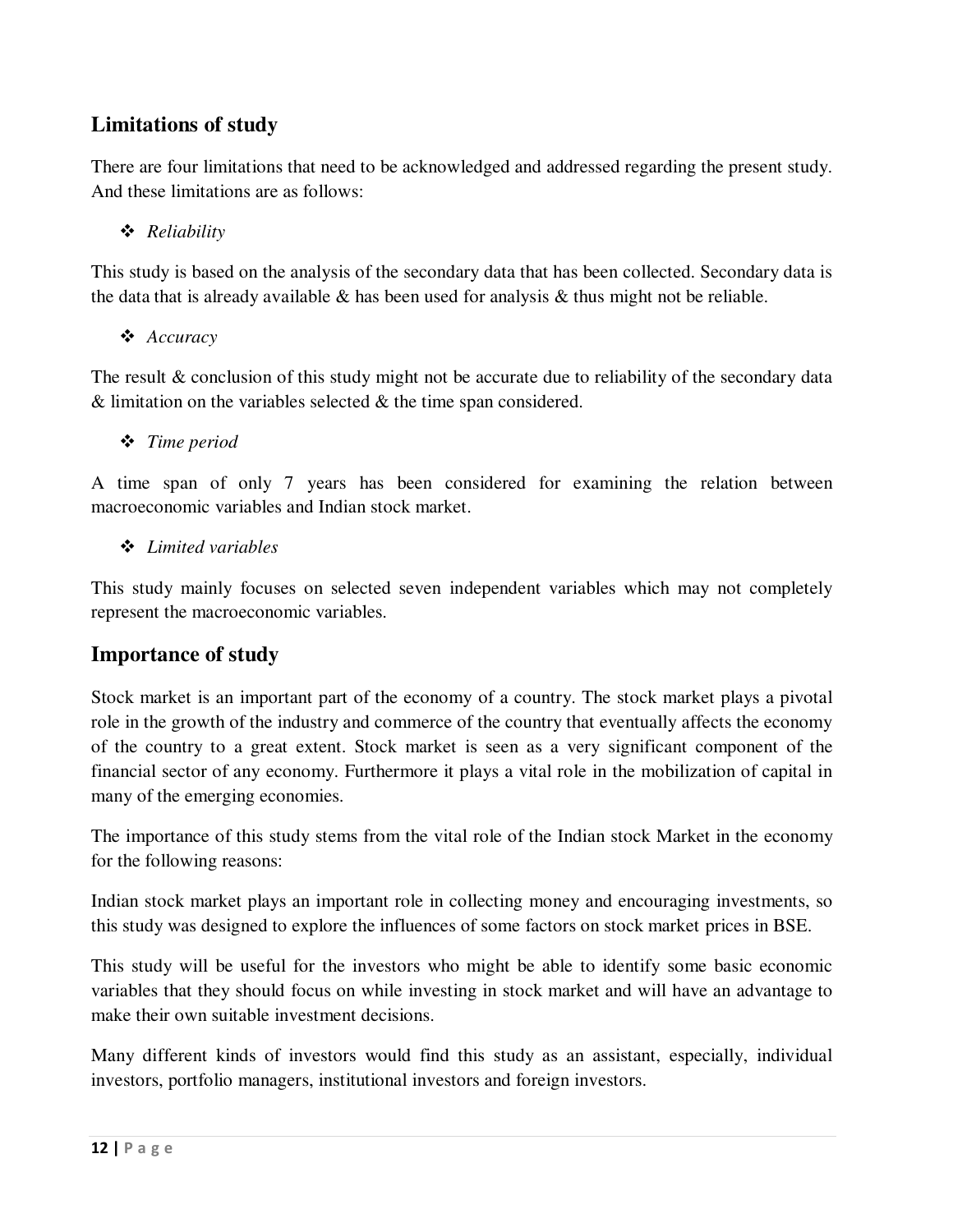#### **Limitations of study**

There are four limitations that need to be acknowledged and addressed regarding the present study. And these limitations are as follows:

#### *Reliability*

This study is based on the analysis of the secondary data that has been collected. Secondary data is the data that is already available  $\&$  has been used for analysis  $\&$  thus might not be reliable.

#### *Accuracy*

The result & conclusion of this study might not be accurate due to reliability of the secondary data  $&$  limitation on the variables selected  $&$  the time span considered.

#### *Time period*

A time span of only 7 years has been considered for examining the relation between macroeconomic variables and Indian stock market.

#### *Limited variables*

This study mainly focuses on selected seven independent variables which may not completely represent the macroeconomic variables.

#### **Importance of study**

Stock market is an important part of the economy of a country. The stock market plays a pivotal role in the growth of the industry and commerce of the country that eventually affects the economy of the country to a great extent. Stock market is seen as a very significant component of the financial sector of any economy. Furthermore it plays a vital role in the mobilization of capital in many of the emerging economies.

The importance of this study stems from the vital role of the Indian stock Market in the economy for the following reasons:

Indian stock market plays an important role in collecting money and encouraging investments, so this study was designed to explore the influences of some factors on stock market prices in BSE.

This study will be useful for the investors who might be able to identify some basic economic variables that they should focus on while investing in stock market and will have an advantage to make their own suitable investment decisions.

Many different kinds of investors would find this study as an assistant, especially, individual investors, portfolio managers, institutional investors and foreign investors.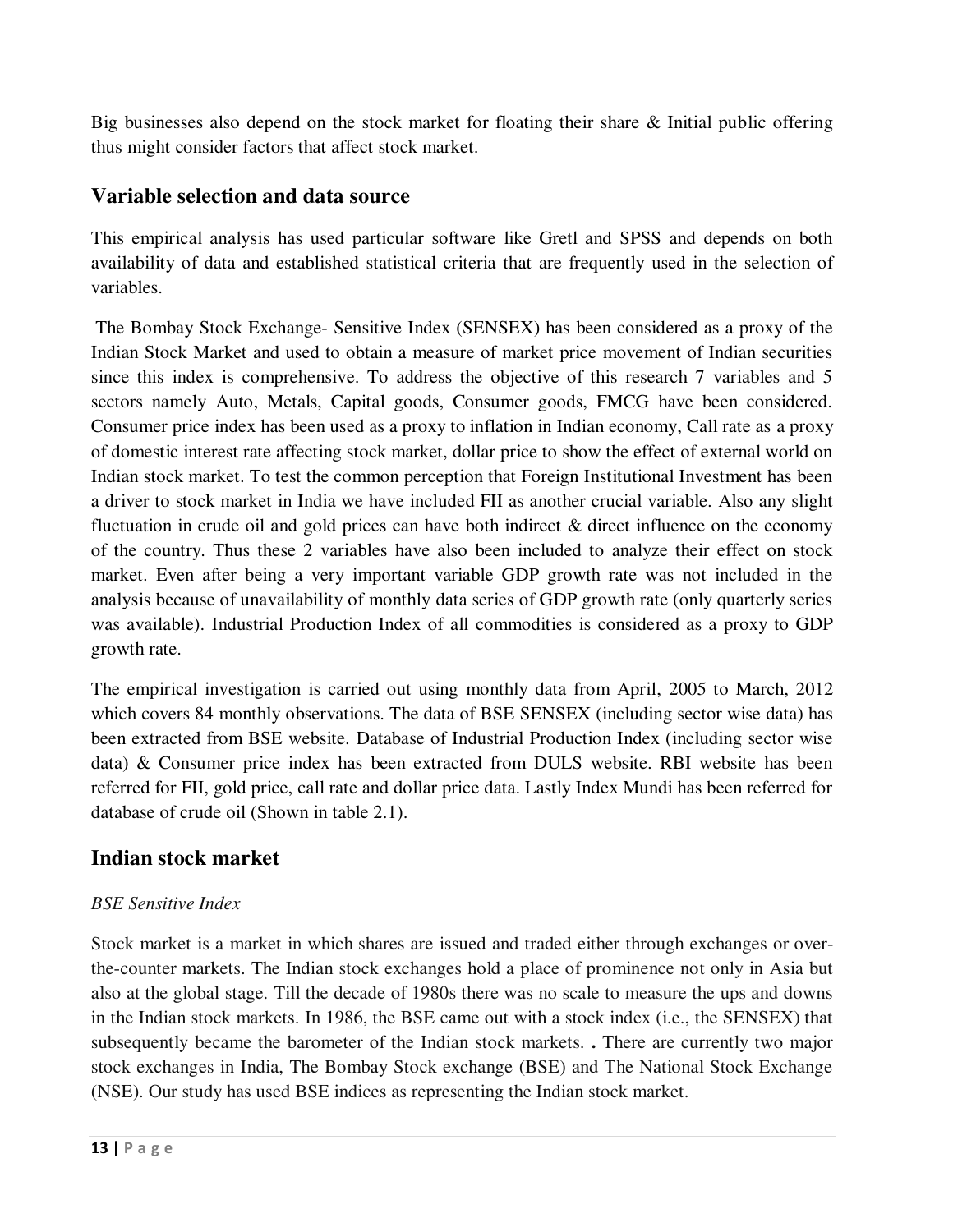Big businesses also depend on the stock market for floating their share & Initial public offering thus might consider factors that affect stock market.

#### **Variable selection and data source**

This empirical analysis has used particular software like Gretl and SPSS and depends on both availability of data and established statistical criteria that are frequently used in the selection of variables.

 The Bombay Stock Exchange- Sensitive Index (SENSEX) has been considered as a proxy of the Indian Stock Market and used to obtain a measure of market price movement of Indian securities since this index is comprehensive. To address the objective of this research 7 variables and 5 sectors namely Auto, Metals, Capital goods, Consumer goods, FMCG have been considered. Consumer price index has been used as a proxy to inflation in Indian economy, Call rate as a proxy of domestic interest rate affecting stock market, dollar price to show the effect of external world on Indian stock market. To test the common perception that Foreign Institutional Investment has been a driver to stock market in India we have included FII as another crucial variable. Also any slight fluctuation in crude oil and gold prices can have both indirect  $\&$  direct influence on the economy of the country. Thus these 2 variables have also been included to analyze their effect on stock market. Even after being a very important variable GDP growth rate was not included in the analysis because of unavailability of monthly data series of GDP growth rate (only quarterly series was available). Industrial Production Index of all commodities is considered as a proxy to GDP growth rate.

The empirical investigation is carried out using monthly data from April, 2005 to March, 2012 which covers 84 monthly observations. The data of BSE SENSEX (including sector wise data) has been extracted from BSE website. Database of Industrial Production Index (including sector wise data) & Consumer price index has been extracted from DULS website. RBI website has been referred for FII, gold price, call rate and dollar price data. Lastly Index Mundi has been referred for database of crude oil (Shown in table 2.1).

### **Indian stock market**

#### *BSE Sensitive Index*

Stock market is a market in which shares are issued and traded either through exchanges or overthe-counter markets. The Indian stock exchanges hold a place of prominence not only in Asia but also at the global stage. Till the decade of 1980s there was no scale to measure the ups and downs in the Indian stock markets. In 1986, the BSE came out with a stock index (i.e., the SENSEX) that subsequently became the barometer of the Indian stock markets. **.** There are currently two major stock exchanges in India, The Bombay Stock exchange (BSE) and The National Stock Exchange (NSE). Our study has used BSE indices as representing the Indian stock market.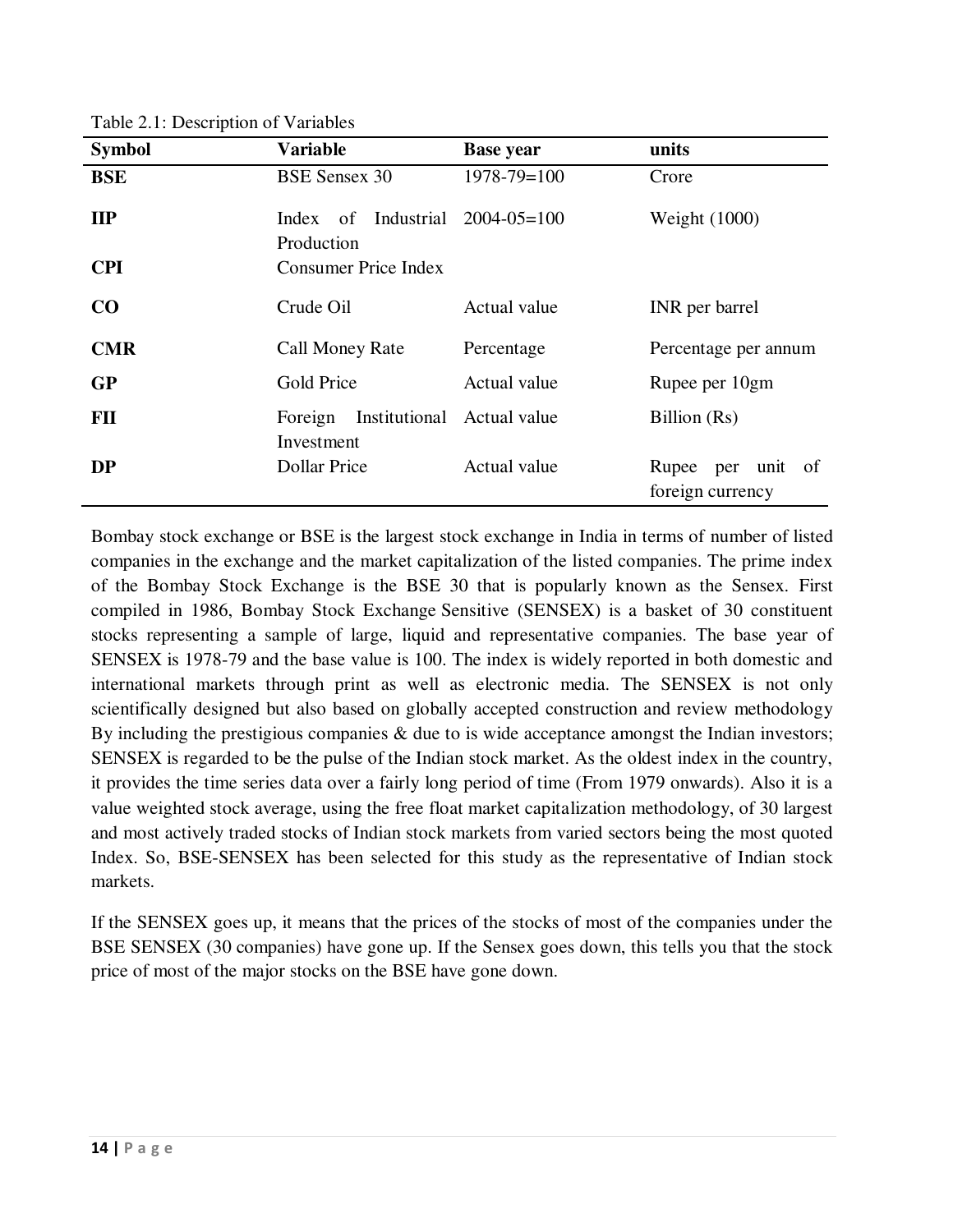| <b>Symbol</b>  | <b>Variable</b>                        | <b>Base year</b>  | units                                 |  |  |
|----------------|----------------------------------------|-------------------|---------------------------------------|--|--|
| <b>BSE</b>     | <b>BSE Sensex 30</b>                   | $1978 - 79 = 100$ | Crore                                 |  |  |
| $\mathbf{IIP}$ | Industrial<br>Index of<br>Production   | $2004 - 05 = 100$ | Weight (1000)                         |  |  |
| <b>CPI</b>     | <b>Consumer Price Index</b>            |                   |                                       |  |  |
| CO             | Crude Oil                              | Actual value      | INR per barrel                        |  |  |
| <b>CMR</b>     | Call Money Rate                        | Percentage        | Percentage per annum                  |  |  |
| <b>GP</b>      | Gold Price                             | Actual value      | Rupee per 10gm                        |  |  |
| <b>FII</b>     | Institutional<br>Foreign<br>Investment | Actual value      | Billion (Rs)                          |  |  |
| <b>DP</b>      | <b>Dollar Price</b>                    | Actual value      | Rupee per unit of<br>foreign currency |  |  |

Table 2.1: Description of Variables

Bombay stock exchange or BSE is the largest stock exchange in India in terms of number of listed companies in the exchange and the market capitalization of the listed companies. The prime index of the Bombay Stock Exchange is the BSE 30 that is popularly known as the Sensex. First compiled in 1986, Bombay Stock Exchange Sensitive (SENSEX) is a basket of 30 constituent stocks representing a sample of large, liquid and representative companies. The base year of SENSEX is 1978-79 and the base value is 100. The index is widely reported in both domestic and international markets through print as well as electronic media. The SENSEX is not only scientifically designed but also based on globally accepted construction and review methodology By including the prestigious companies & due to is wide acceptance amongst the Indian investors; SENSEX is regarded to be the pulse of the Indian stock market. As the oldest index in the country, it provides the time series data over a fairly long period of time (From 1979 onwards). Also it is a value weighted stock average, using the free float market capitalization methodology, of 30 largest and most actively traded stocks of Indian stock markets from varied sectors being the most quoted Index. So, BSE-SENSEX has been selected for this study as the representative of Indian stock markets.

If the SENSEX goes up, it means that the prices of the stocks of most of the companies under the BSE SENSEX (30 companies) have gone up. If the Sensex goes down, this tells you that the stock price of most of the major stocks on the BSE have gone down.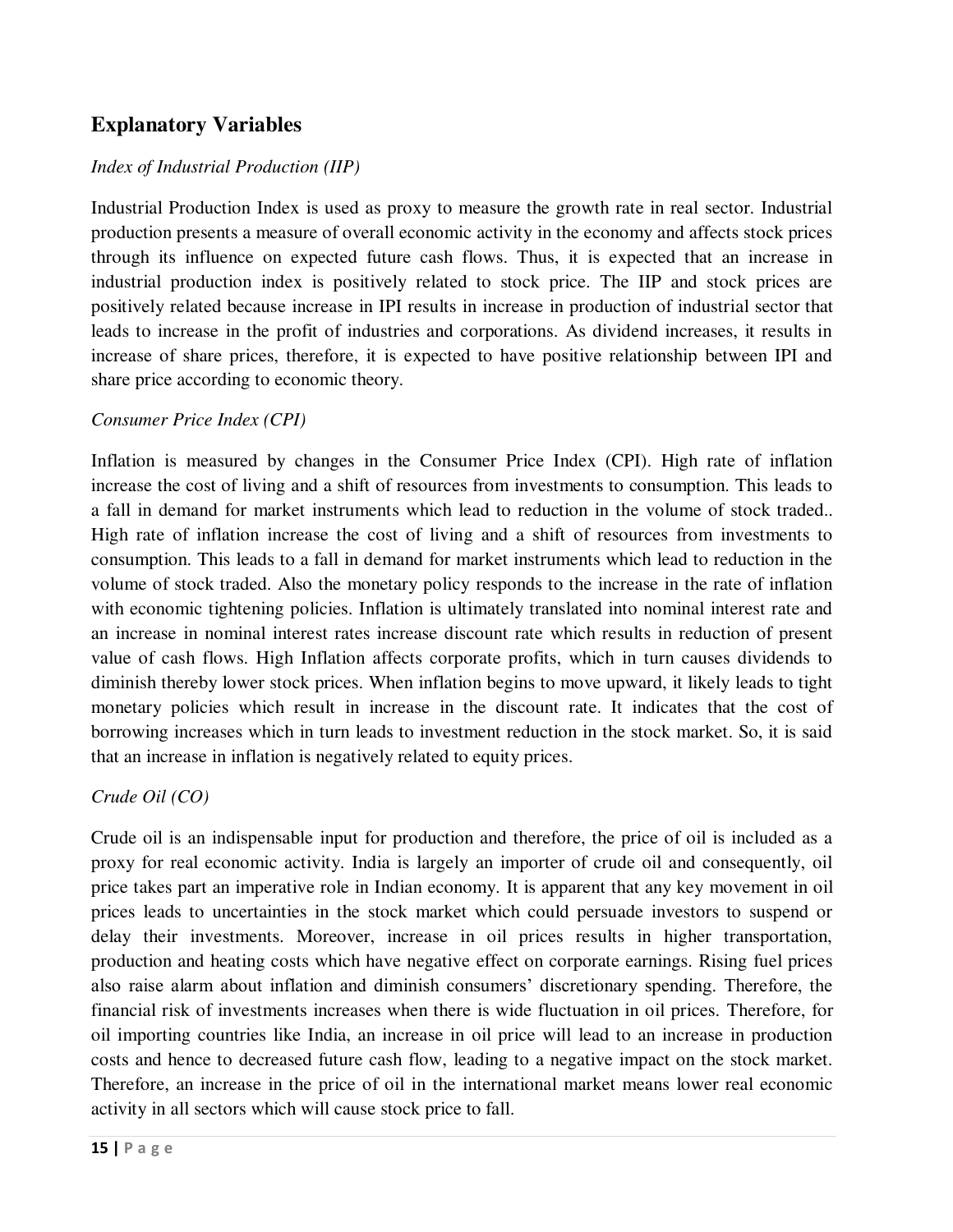#### **Explanatory Variables**

#### *Index of Industrial Production (IIP)*

Industrial Production Index is used as proxy to measure the growth rate in real sector. Industrial production presents a measure of overall economic activity in the economy and affects stock prices through its influence on expected future cash flows. Thus, it is expected that an increase in industrial production index is positively related to stock price. The IIP and stock prices are positively related because increase in IPI results in increase in production of industrial sector that leads to increase in the profit of industries and corporations. As dividend increases, it results in increase of share prices, therefore, it is expected to have positive relationship between IPI and share price according to economic theory.

#### *Consumer Price Index (CPI)*

Inflation is measured by changes in the Consumer Price Index (CPI). High rate of inflation increase the cost of living and a shift of resources from investments to consumption. This leads to a fall in demand for market instruments which lead to reduction in the volume of stock traded.. High rate of inflation increase the cost of living and a shift of resources from investments to consumption. This leads to a fall in demand for market instruments which lead to reduction in the volume of stock traded. Also the monetary policy responds to the increase in the rate of inflation with economic tightening policies. Inflation is ultimately translated into nominal interest rate and an increase in nominal interest rates increase discount rate which results in reduction of present value of cash flows. High Inflation affects corporate profits, which in turn causes dividends to diminish thereby lower stock prices. When inflation begins to move upward, it likely leads to tight monetary policies which result in increase in the discount rate. It indicates that the cost of borrowing increases which in turn leads to investment reduction in the stock market. So, it is said that an increase in inflation is negatively related to equity prices.

#### *Crude Oil (CO)*

Crude oil is an indispensable input for production and therefore, the price of oil is included as a proxy for real economic activity. India is largely an importer of crude oil and consequently, oil price takes part an imperative role in Indian economy. It is apparent that any key movement in oil prices leads to uncertainties in the stock market which could persuade investors to suspend or delay their investments. Moreover, increase in oil prices results in higher transportation, production and heating costs which have negative effect on corporate earnings. Rising fuel prices also raise alarm about inflation and diminish consumers' discretionary spending. Therefore, the financial risk of investments increases when there is wide fluctuation in oil prices. Therefore, for oil importing countries like India, an increase in oil price will lead to an increase in production costs and hence to decreased future cash flow, leading to a negative impact on the stock market. Therefore, an increase in the price of oil in the international market means lower real economic activity in all sectors which will cause stock price to fall.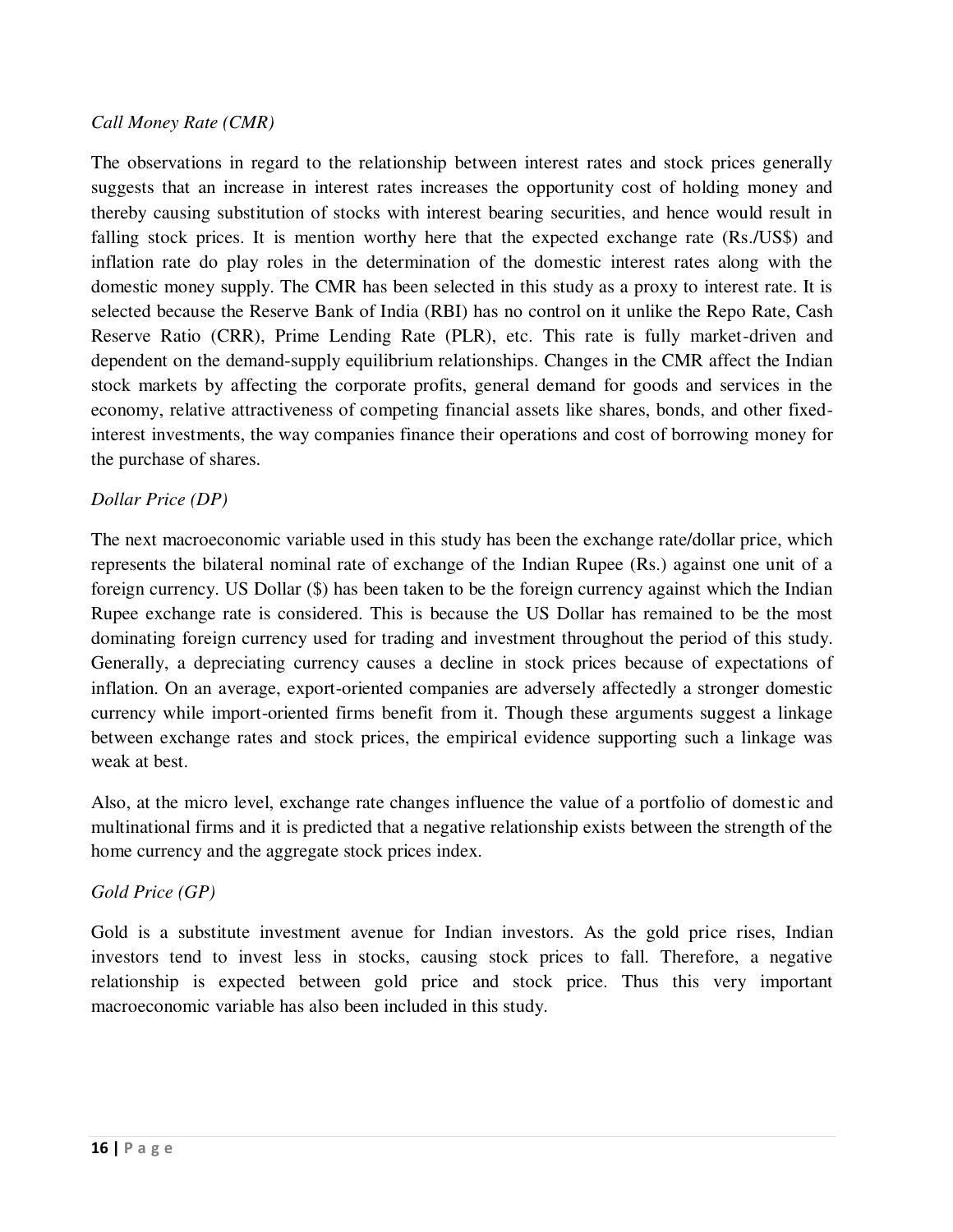#### *Call Money Rate (CMR)*

The observations in regard to the relationship between interest rates and stock prices generally suggests that an increase in interest rates increases the opportunity cost of holding money and thereby causing substitution of stocks with interest bearing securities, and hence would result in falling stock prices. It is mention worthy here that the expected exchange rate (Rs./US\$) and inflation rate do play roles in the determination of the domestic interest rates along with the domestic money supply. The CMR has been selected in this study as a proxy to interest rate. It is selected because the Reserve Bank of India (RBI) has no control on it unlike the Repo Rate, Cash Reserve Ratio (CRR), Prime Lending Rate (PLR), etc. This rate is fully market-driven and dependent on the demand-supply equilibrium relationships. Changes in the CMR affect the Indian stock markets by affecting the corporate profits, general demand for goods and services in the economy, relative attractiveness of competing financial assets like shares, bonds, and other fixedinterest investments, the way companies finance their operations and cost of borrowing money for the purchase of shares.

#### *Dollar Price (DP)*

The next macroeconomic variable used in this study has been the exchange rate/dollar price, which represents the bilateral nominal rate of exchange of the Indian Rupee (Rs.) against one unit of a foreign currency. US Dollar (\$) has been taken to be the foreign currency against which the Indian Rupee exchange rate is considered. This is because the US Dollar has remained to be the most dominating foreign currency used for trading and investment throughout the period of this study. Generally, a depreciating currency causes a decline in stock prices because of expectations of inflation. On an average, export-oriented companies are adversely affectedly a stronger domestic currency while import-oriented firms benefit from it. Though these arguments suggest a linkage between exchange rates and stock prices, the empirical evidence supporting such a linkage was weak at best.

Also, at the micro level, exchange rate changes influence the value of a portfolio of domestic and multinational firms and it is predicted that a negative relationship exists between the strength of the home currency and the aggregate stock prices index.

#### *Gold Price (GP)*

Gold is a substitute investment avenue for Indian investors. As the gold price rises, Indian investors tend to invest less in stocks, causing stock prices to fall. Therefore, a negative relationship is expected between gold price and stock price. Thus this very important macroeconomic variable has also been included in this study.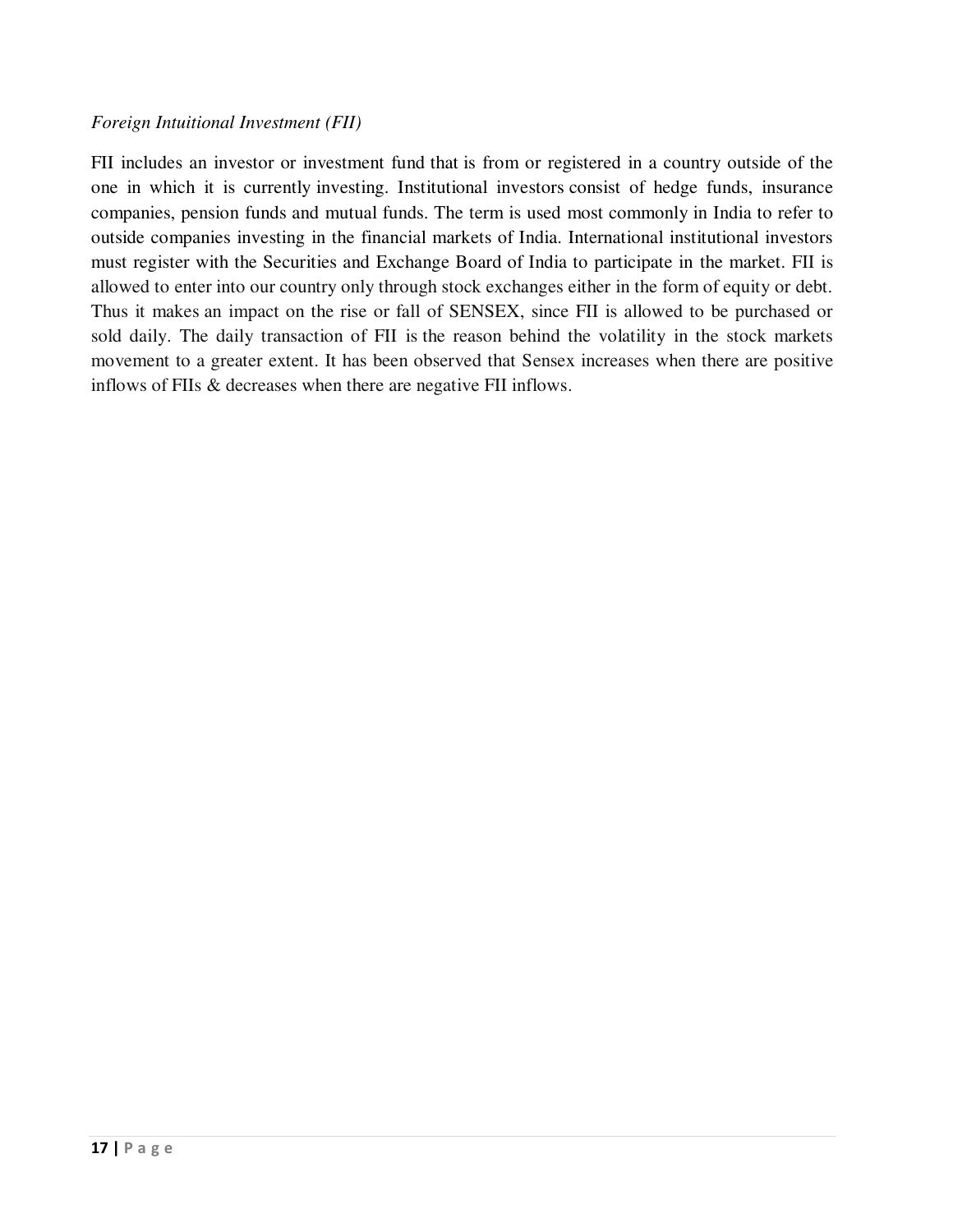#### *Foreign Intuitional Investment (FII)*

FII includes an investor or investment fund that is from or registered in a country outside of the one in which it is currently investing. Institutional investors consist of hedge funds, insurance companies, pension funds and mutual funds. The term is used most commonly in India to refer to outside companies investing in the financial markets of India. International institutional investors must register with the Securities and Exchange Board of India to participate in the market. FII is allowed to enter into our country only through stock exchanges either in the form of equity or debt. Thus it makes an impact on the rise or fall of SENSEX, since FII is allowed to be purchased or sold daily. The daily transaction of FII is the reason behind the volatility in the stock markets movement to a greater extent. It has been observed that Sensex increases when there are positive inflows of FIIs & decreases when there are negative FII inflows.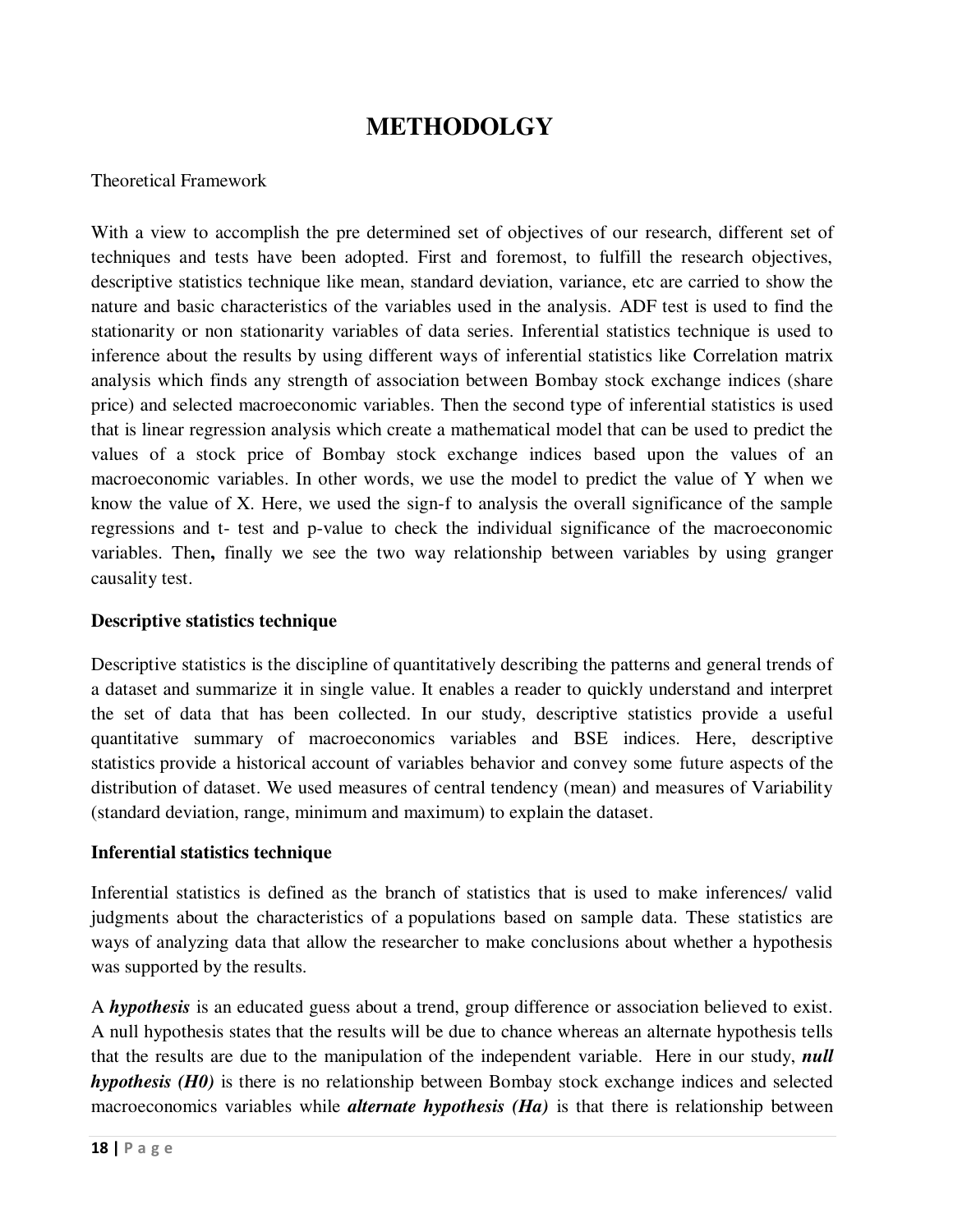### **METHODOLGY**

#### Theoretical Framework

With a view to accomplish the pre determined set of objectives of our research, different set of techniques and tests have been adopted. First and foremost, to fulfill the research objectives, descriptive statistics technique like mean, standard deviation, variance, etc are carried to show the nature and basic characteristics of the variables used in the analysis. ADF test is used to find the stationarity or non stationarity variables of data series. Inferential statistics technique is used to inference about the results by using different ways of inferential statistics like Correlation matrix analysis which finds any strength of association between Bombay stock exchange indices (share price) and selected macroeconomic variables. Then the second type of inferential statistics is used that is linear regression analysis which create a mathematical model that can be used to predict the values of a stock price of Bombay stock exchange indices based upon the values of an macroeconomic variables. In other words, we use the model to predict the value of Y when we know the value of X. Here, we used the sign-f to analysis the overall significance of the sample regressions and t- test and p-value to check the individual significance of the macroeconomic variables. Then**,** finally we see the two way relationship between variables by using granger causality test.

#### **Descriptive statistics technique**

Descriptive statistics is the discipline of quantitatively describing the patterns and general trends of a dataset and summarize it in single value. It enables a reader to quickly understand and interpret the set of data that has been collected. In our study, descriptive statistics provide a useful quantitative summary of macroeconomics variables and BSE indices. Here, descriptive statistics provide a historical account of variables behavior and convey some future aspects of the distribution of dataset. We used measures of central tendency (mean) and measures of Variability (standard deviation, range, minimum and maximum) to explain the dataset.

#### **Inferential statistics technique**

Inferential statistics is defined as the branch of statistics that is used to make inferences/ valid judgments about the characteristics of a populations based on sample data. These statistics are ways of analyzing data that allow the researcher to make conclusions about whether a hypothesis was supported by the results.

A *hypothesis* is an educated guess about a trend, group difference or association believed to exist. A null hypothesis states that the results will be due to chance whereas an alternate hypothesis tells that the results are due to the manipulation of the independent variable. Here in our study, *null hypothesis (H0)* is there is no relationship between Bombay stock exchange indices and selected macroeconomics variables while *alternate hypothesis (Ha)* is that there is relationship between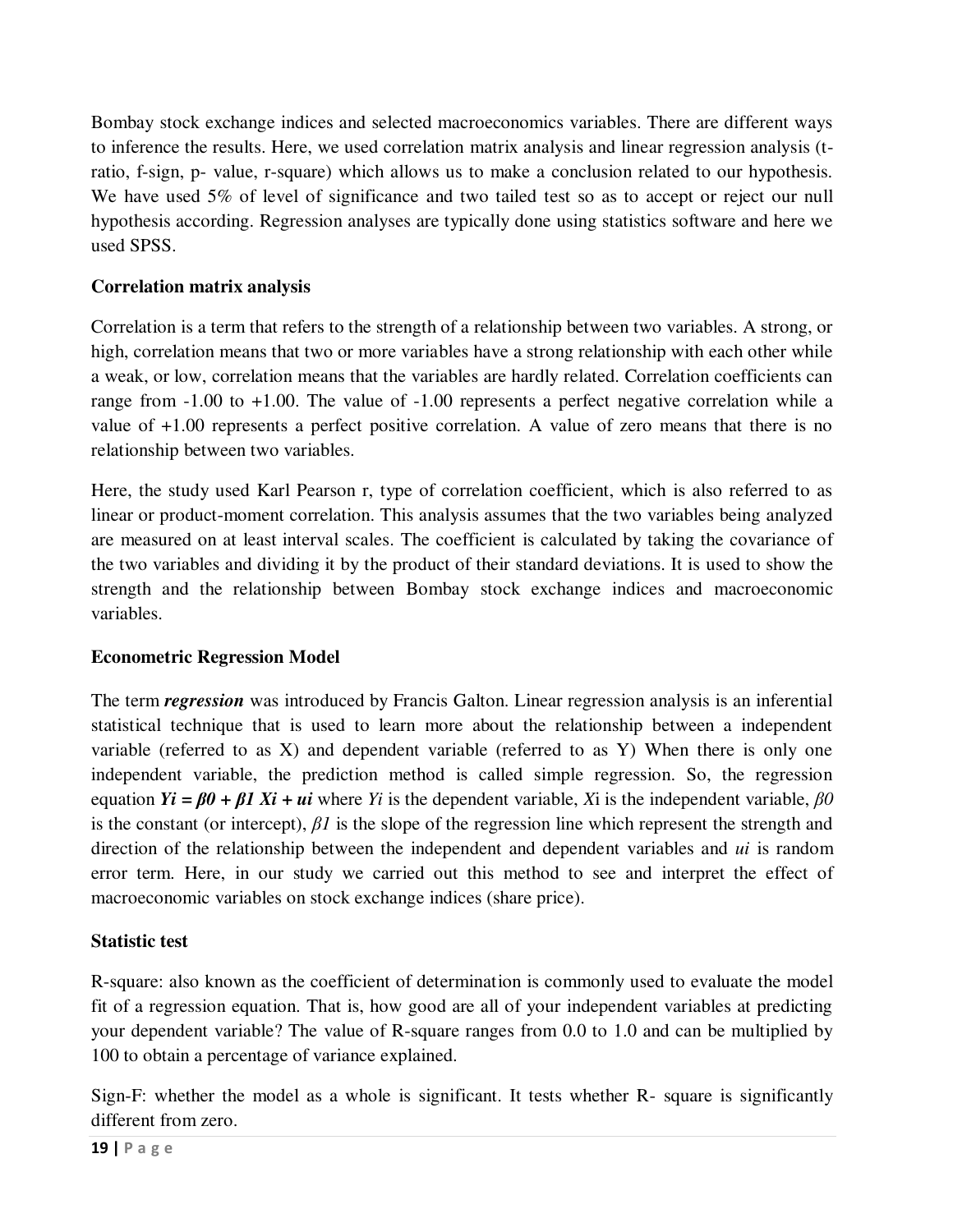Bombay stock exchange indices and selected macroeconomics variables. There are different ways to inference the results. Here, we used correlation matrix analysis and linear regression analysis (tratio, f-sign, p- value, r-square) which allows us to make a conclusion related to our hypothesis. We have used 5% of level of significance and two tailed test so as to accept or reject our null hypothesis according. Regression analyses are typically done using statistics software and here we used SPSS.

#### **Correlation matrix analysis**

Correlation is a term that refers to the strength of a relationship between two variables. A strong, or high, correlation means that two or more variables have a strong relationship with each other while a weak, or low, correlation means that the variables are hardly related. Correlation coefficients can range from -1.00 to +1.00. The value of -1.00 represents a perfect negative correlation while a value of +1.00 represents a perfect positive correlation. A value of zero means that there is no relationship between two variables.

Here, the study used Karl Pearson r, type of correlation coefficient, which is also referred to as linear or product-moment correlation. This analysis assumes that the two variables being analyzed are measured on at least [interval scales.](http://sociology.about.com/od/S_Index/g/Scale-Of-Measurement.htm) The coefficient is calculated by taking the covariance of the two variables and dividing it by the product of their standard deviations. It is used to show the strength and the relationship between Bombay stock exchange indices and macroeconomic variables.

#### **Econometric Regression Model**

The term *regression* was introduced by Francis Galton. Linear regression analysis is an inferential statistical technique that is used to learn more about the relationship between a independent variable (referred to as X) and dependent variable (referred to as Y) When there is only one independent variable, the prediction method is called simple regression. So, the regression equation  $Yi = \beta 0 + \beta I Xi + ui$  where *Yi* is the dependent variable, *Xi* is the independent variable,  $\beta 0$ is the constant (or intercept), *β1* is the slope of the regression line which represent the strength and direction of the relationship between the independent and dependent variables and *ui* is random error term. Here, in our study we carried out this method to see and interpret the effect of macroeconomic variables on stock exchange indices (share price).

#### **Statistic test**

R-square: also known as the coefficient of determination is commonly used to evaluate the model fit of a regression equation. That is, how good are all of your independent variables at predicting your dependent variable? The value of R-square ranges from 0.0 to 1.0 and can be multiplied by 100 to obtain a percentage of variance explained.

Sign-F: whether the model as a whole is significant. It tests whether R- square is significantly different from zero.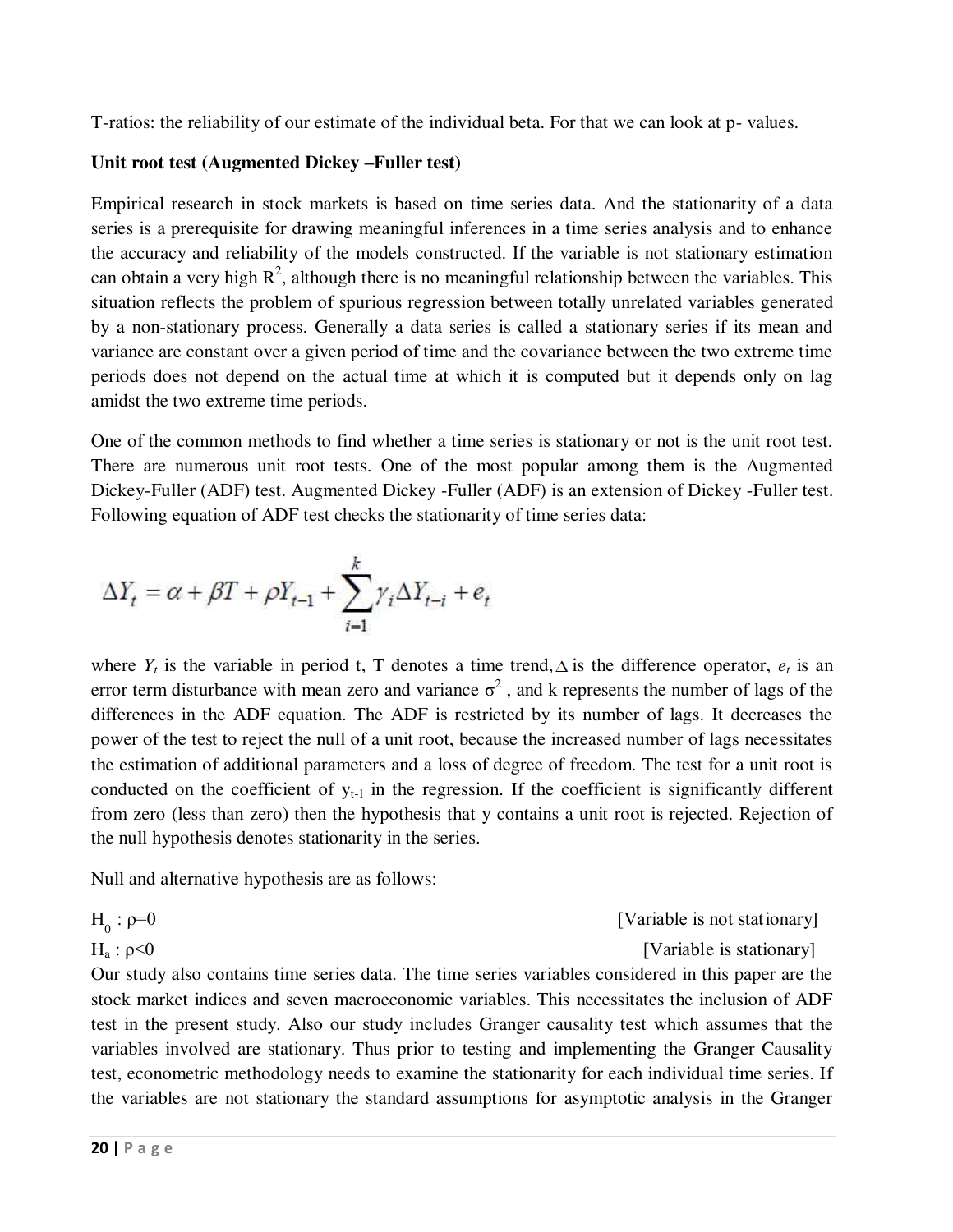T-ratios: the reliability of our estimate of the individual beta. For that we can look at p- values.

#### **Unit root test (Augmented Dickey –Fuller test)**

Empirical research in stock markets is based on time series data. And the stationarity of a data series is a prerequisite for drawing meaningful inferences in a time series analysis and to enhance the accuracy and reliability of the models constructed. If the variable is not stationary estimation can obtain a very high  $R^2$ , although there is no meaningful relationship between the variables. This situation reflects the problem of spurious regression between totally unrelated variables generated by a non-stationary process. Generally a data series is called a stationary series if its mean and variance are constant over a given period of time and the covariance between the two extreme time periods does not depend on the actual time at which it is computed but it depends only on lag amidst the two extreme time periods.

One of the common methods to find whether a time series is stationary or not is the unit root test. There are numerous unit root tests. One of the most popular among them is the Augmented Dickey-Fuller (ADF) test. Augmented Dickey -Fuller (ADF) is an extension of Dickey -Fuller test. Following equation of ADF test checks the stationarity of time series data:

$$
\Delta Y_t = \alpha + \beta T + \rho Y_{t-1} + \sum_{i=1}^k \gamma_i \Delta Y_{t-i} + e_t
$$

where  $Y_t$  is the variable in period t, T denotes a time trend,  $\Delta$  is the difference operator,  $e_t$  is an error term disturbance with mean zero and variance  $\sigma^2$ , and k represents the number of lags of the differences in the ADF equation. The ADF is restricted by its number of lags. It decreases the power of the test to reject the null of a unit root, because the increased number of lags necessitates the estimation of additional parameters and a loss of degree of freedom. The test for a unit root is conducted on the coefficient of  $y_{t-1}$  in the regression. If the coefficient is significantly different from zero (less than zero) then the hypothesis that y contains a unit root is rejected. Rejection of the null hypothesis denotes stationarity in the series.

Null and alternative hypothesis are as follows:

 $H_{0}$ [Variable is not stationary]

$$
H_a: \mathfrak{o} \preceq 0
$$

 $\mathbf{I}_a$ :  $\rho \le 0$  [Variable is stationary]

Our study also contains time series data. The time series variables considered in this paper are the stock market indices and seven macroeconomic variables. This necessitates the inclusion of ADF test in the present study. Also our study includes Granger causality test which assumes that the variables involved are stationary. Thus prior to testing and implementing the Granger Causality test, econometric methodology needs to examine the stationarity for each individual time series. If the variables are not stationary the standard assumptions for asymptotic analysis in the Granger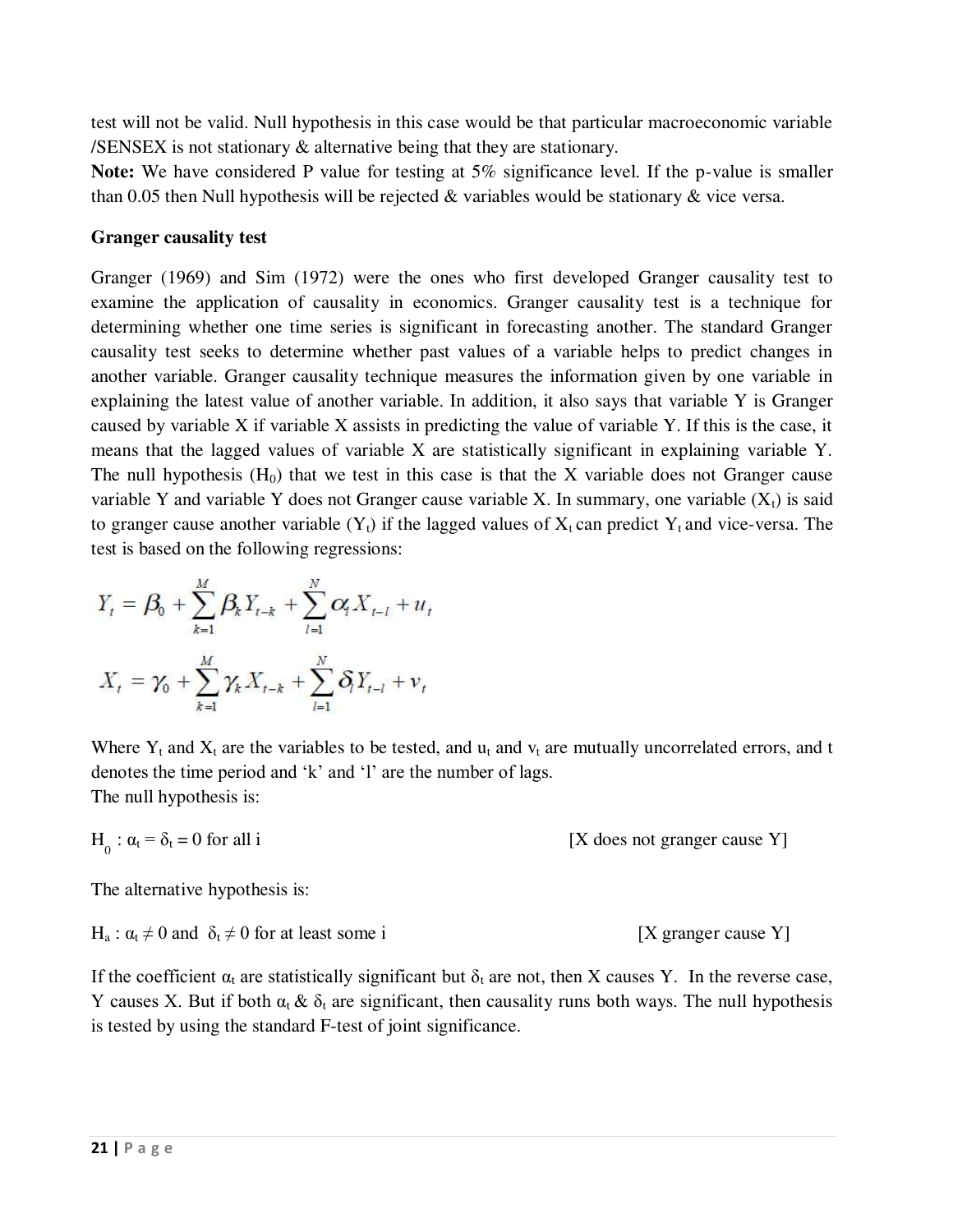test will not be valid. Null hypothesis in this case would be that particular macroeconomic variable /SENSEX is not stationary & alternative being that they are stationary.

**Note:** We have considered P value for testing at 5% significance level. If the p-value is smaller than 0.05 then Null hypothesis will be rejected & variables would be stationary & vice versa.

#### **Granger causality test**

Granger (1969) and Sim (1972) were the ones who first developed Granger causality test to examine the application of causality in economics. Granger causality test is a technique for determining whether one time series is significant in forecasting another. The standard Granger causality test seeks to determine whether past values of a variable helps to predict changes in another variable. Granger causality technique measures the information given by one variable in explaining the latest value of another variable. In addition, it also says that variable Y is Granger caused by variable X if variable X assists in predicting the value of variable Y. If this is the case, it means that the lagged values of variable X are statistically significant in explaining variable Y. The null hypothesis  $(H_0)$  that we test in this case is that the X variable does not Granger cause variable Y and variable Y does not Granger cause variable X. In summary, one variable  $(X_t)$  is said to granger cause another variable  $(Y_t)$  if the lagged values of  $X_t$  can predict  $Y_t$  and vice-versa. The test is based on the following regressions:

$$
Y_{t} = \beta_{0} + \sum_{k=1}^{M} \beta_{k} Y_{t-k} + \sum_{l=1}^{N} \alpha_{l} X_{t-l} + u_{t}
$$

$$
X_{t} = \gamma_{0} + \sum_{k=1}^{M} \gamma_{k} X_{t-k} + \sum_{l=1}^{N} \delta_{l} Y_{t-l} + v_{t}
$$

Where  $Y_t$  and  $X_t$  are the variables to be tested, and  $u_t$  and  $v_t$  are mutually uncorrelated errors, and t denotes the time period and 'k' and 'l' are the number of lags. The null hypothesis is:

$$
H_0: \alpha_t = \delta_t = 0 \text{ for all } i
$$

 $[X$  does not granger cause Y]

The alternative hypothesis is:

 $H_a: \alpha_t \neq 0$  and  $\delta_t \neq 0$  for at least some i [X granger cause Y]

If the coefficient  $\alpha_t$  are statistically significant but  $\delta_t$  are not, then X causes Y. In the reverse case, Y causes X. But if both  $\alpha_t \& S_t$  are significant, then causality runs both ways. The null hypothesis is tested by using the standard F-test of joint significance.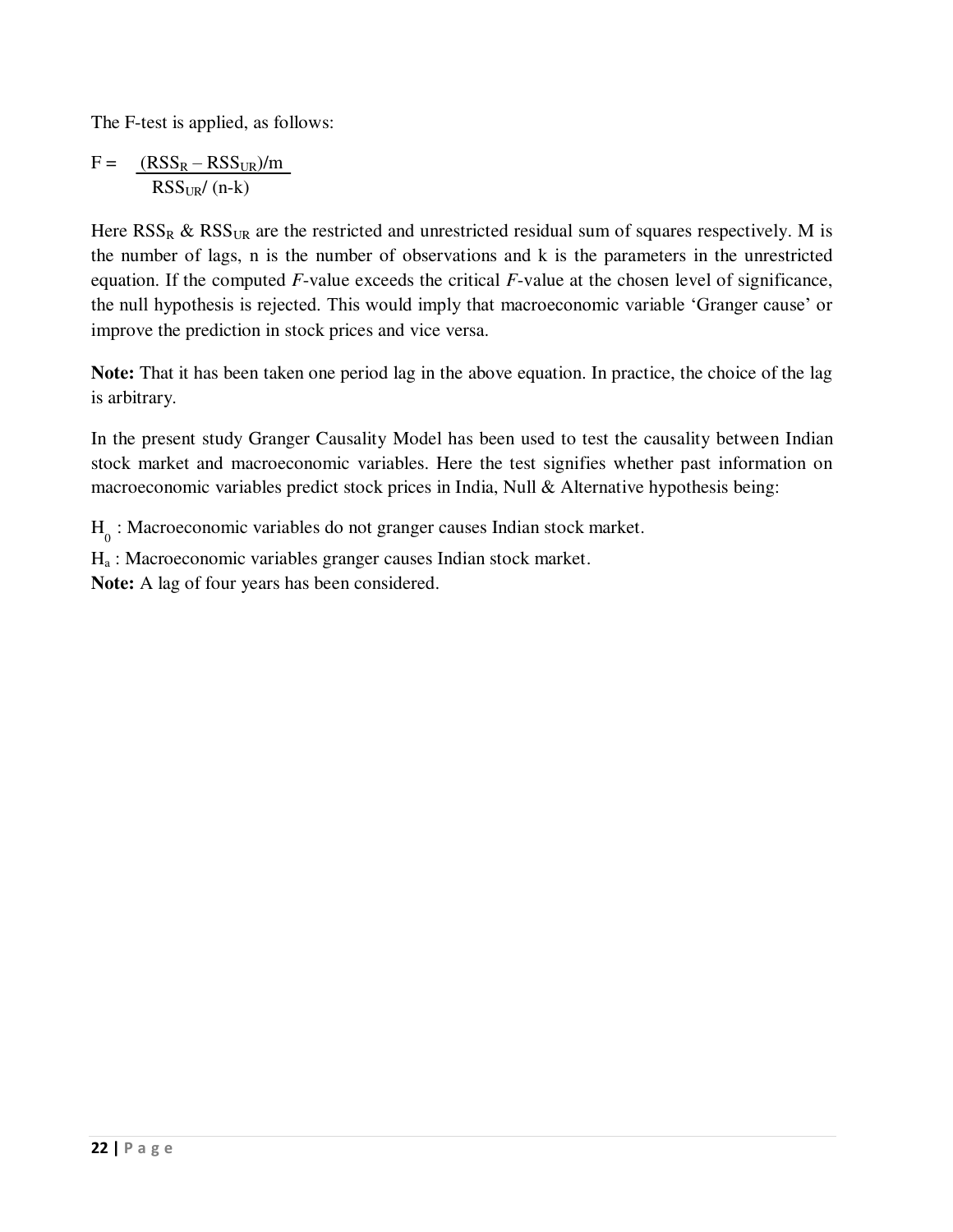The F-test is applied, as follows:

$$
F = \frac{(RSS_R - RSS_{UR})/m}{RSS_{UR}/(n-k)}
$$

Here  $RSS_R \& RSS_{UR}$  are the restricted and unrestricted residual sum of squares respectively. M is the number of lags, n is the number of observations and k is the parameters in the unrestricted equation. If the computed *F*-value exceeds the critical *F*-value at the chosen level of significance, the null hypothesis is rejected. This would imply that macroeconomic variable 'Granger cause' or improve the prediction in stock prices and vice versa.

**Note:** That it has been taken one period lag in the above equation. In practice, the choice of the lag is arbitrary.

In the present study Granger Causality Model has been used to test the causality between Indian stock market and macroeconomic variables. Here the test signifies whether past information on macroeconomic variables predict stock prices in India, Null & Alternative hypothesis being:

H 0 : Macroeconomic variables do not granger causes Indian stock market.

Ha : Macroeconomic variables granger causes Indian stock market.

**Note:** A lag of four years has been considered.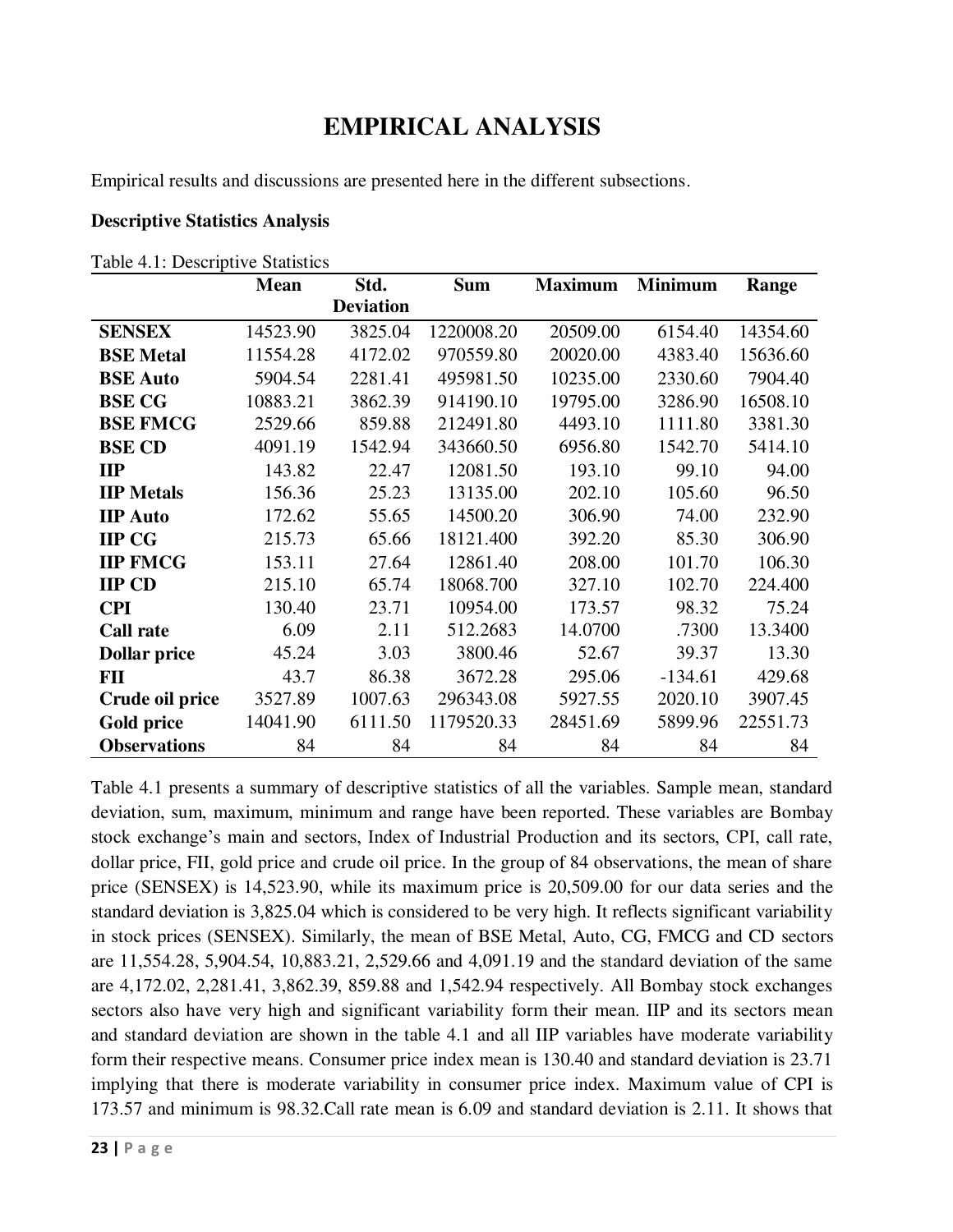# **EMPIRICAL ANALYSIS**

Empirical results and discussions are presented here in the different subsections.

#### **Descriptive Statistics Analysis**

|                     | <b>Mean</b> | Std.             | <b>Sum</b> | <b>Maximum</b> | <b>Minimum</b> | Range    |
|---------------------|-------------|------------------|------------|----------------|----------------|----------|
|                     |             | <b>Deviation</b> |            |                |                |          |
| <b>SENSEX</b>       | 14523.90    | 3825.04          | 1220008.20 | 20509.00       | 6154.40        | 14354.60 |
| <b>BSE Metal</b>    | 11554.28    | 4172.02          | 970559.80  | 20020.00       | 4383.40        | 15636.60 |
| <b>BSE</b> Auto     | 5904.54     | 2281.41          | 495981.50  | 10235.00       | 2330.60        | 7904.40  |
| <b>BSE CG</b>       | 10883.21    | 3862.39          | 914190.10  | 19795.00       | 3286.90        | 16508.10 |
| <b>BSE FMCG</b>     | 2529.66     | 859.88           | 212491.80  | 4493.10        | 1111.80        | 3381.30  |
| <b>BSE CD</b>       | 4091.19     | 1542.94          | 343660.50  | 6956.80        | 1542.70        | 5414.10  |
| <b>IIP</b>          | 143.82      | 22.47            | 12081.50   | 193.10         | 99.10          | 94.00    |
| <b>IIP</b> Metals   | 156.36      | 25.23            | 13135.00   | 202.10         | 105.60         | 96.50    |
| <b>IIP</b> Auto     | 172.62      | 55.65            | 14500.20   | 306.90         | 74.00          | 232.90   |
| <b>IIP CG</b>       | 215.73      | 65.66            | 18121.400  | 392.20         | 85.30          | 306.90   |
| <b>IIP FMCG</b>     | 153.11      | 27.64            | 12861.40   | 208.00         | 101.70         | 106.30   |
| <b>IIP CD</b>       | 215.10      | 65.74            | 18068.700  | 327.10         | 102.70         | 224.400  |
| <b>CPI</b>          | 130.40      | 23.71            | 10954.00   | 173.57         | 98.32          | 75.24    |
| <b>Call rate</b>    | 6.09        | 2.11             | 512.2683   | 14.0700        | .7300          | 13.3400  |
| <b>Dollar price</b> | 45.24       | 3.03             | 3800.46    | 52.67          | 39.37          | 13.30    |
| <b>FII</b>          | 43.7        | 86.38            | 3672.28    | 295.06         | $-134.61$      | 429.68   |
| Crude oil price     | 3527.89     | 1007.63          | 296343.08  | 5927.55        | 2020.10        | 3907.45  |
| Gold price          | 14041.90    | 6111.50          | 1179520.33 | 28451.69       | 5899.96        | 22551.73 |
| <b>Observations</b> | 84          | 84               | 84         | 84             | 84             | 84       |

Table 4.1: Descriptive Statistics

Table 4.1 presents a summary of descriptive statistics of all the variables. Sample mean, standard deviation, sum, maximum, minimum and range have been reported. These variables are Bombay stock exchange's main and sectors, Index of Industrial Production and its sectors, CPI, call rate, dollar price, FII, gold price and crude oil price. In the group of 84 observations, the mean of share price (SENSEX) is 14,523.90, while its maximum price is 20,509.00 for our data series and the standard deviation is 3,825.04 which is considered to be very high. It reflects significant variability in stock prices (SENSEX). Similarly, the mean of BSE Metal, Auto, CG, FMCG and CD sectors are 11,554.28, 5,904.54, 10,883.21, 2,529.66 and 4,091.19 and the standard deviation of the same are 4,172.02, 2,281.41, 3,862.39, 859.88 and 1,542.94 respectively. All Bombay stock exchanges sectors also have very high and significant variability form their mean. IIP and its sectors mean and standard deviation are shown in the table 4.1 and all IIP variables have moderate variability form their respective means. Consumer price index mean is 130.40 and standard deviation is 23.71 implying that there is moderate variability in consumer price index. Maximum value of CPI is 173.57 and minimum is 98.32.Call rate mean is 6.09 and standard deviation is 2.11. It shows that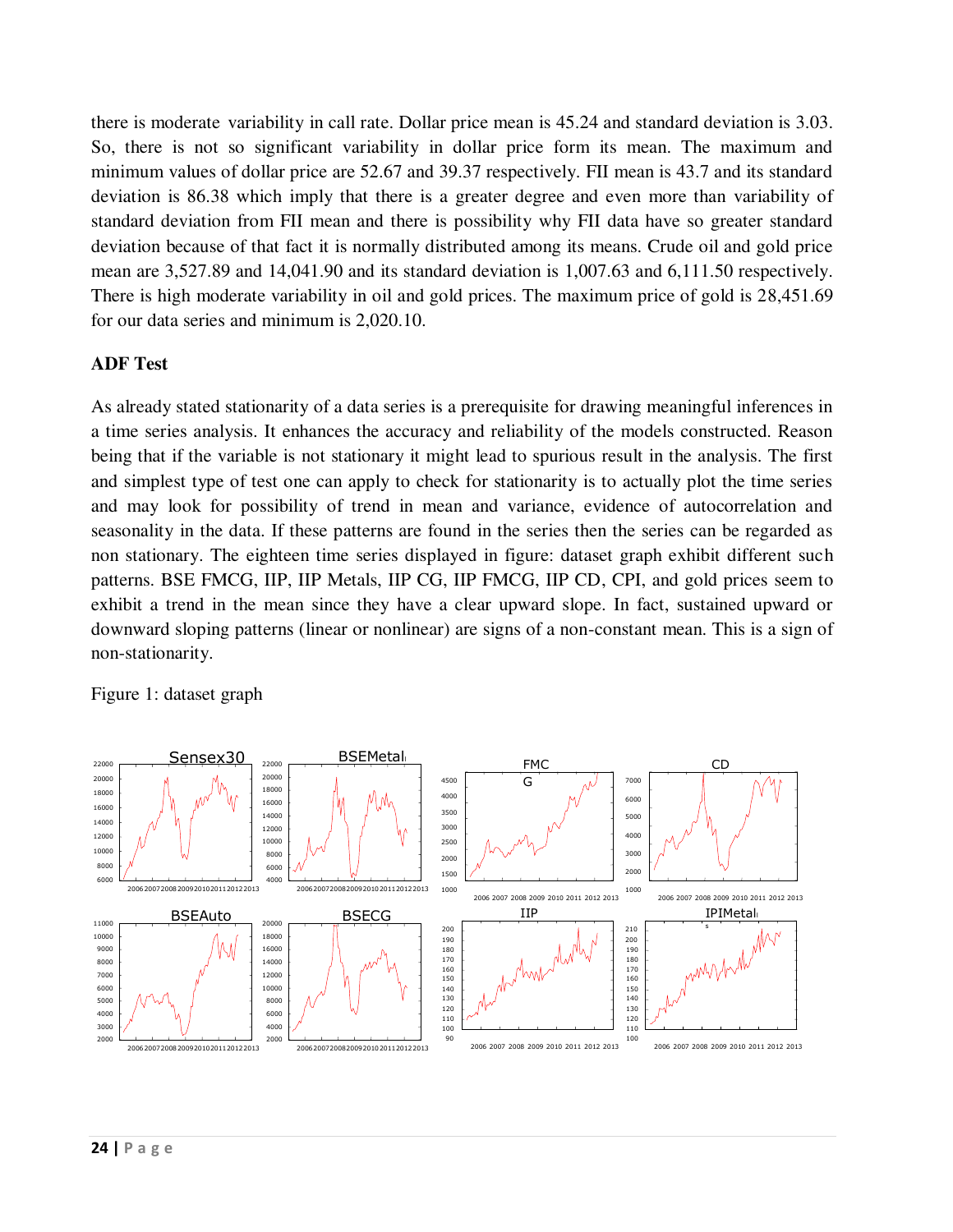there is moderate variability in call rate. Dollar price mean is 45.24 and standard deviation is 3.03. So, there is not so significant variability in dollar price form its mean. The maximum and minimum values of dollar price are 52.67 and 39.37 respectively. FII mean is 43.7 and its standard deviation is 86.38 which imply that there is a greater degree and even more than variability of standard deviation from FII mean and there is possibility why FII data have so greater standard deviation because of that fact it is normally distributed among its means. Crude oil and gold price mean are 3,527.89 and 14,041.90 and its standard deviation is 1,007.63 and 6,111.50 respectively. There is high moderate variability in oil and gold prices. The maximum price of gold is 28,451.69 for our data series and minimum is 2,020.10.

#### **ADF Test**

As already stated stationarity of a data series is a prerequisite for drawing meaningful inferences in a time series analysis. It enhances the accuracy and reliability of the models constructed. Reason being that if the variable is not stationary it might lead to spurious result in the analysis. The first and simplest type of test one can apply to check for stationarity is to actually plot the time series and may look for possibility of trend in mean and variance, evidence of autocorrelation and seasonality in the data. If these patterns are found in the series then the series can be regarded as non stationary. The eighteen time series displayed in figure: dataset graph exhibit different such patterns. BSE FMCG, IIP, IIP Metals, IIP CG, IIP FMCG, IIP CD, CPI, and gold prices seem to exhibit a trend in the mean since they have a clear upward slope. In fact, sustained upward or downward sloping patterns (linear or nonlinear) are signs of a non-constant mean. This is a sign of non-stationarity.

Figure 1: dataset graph

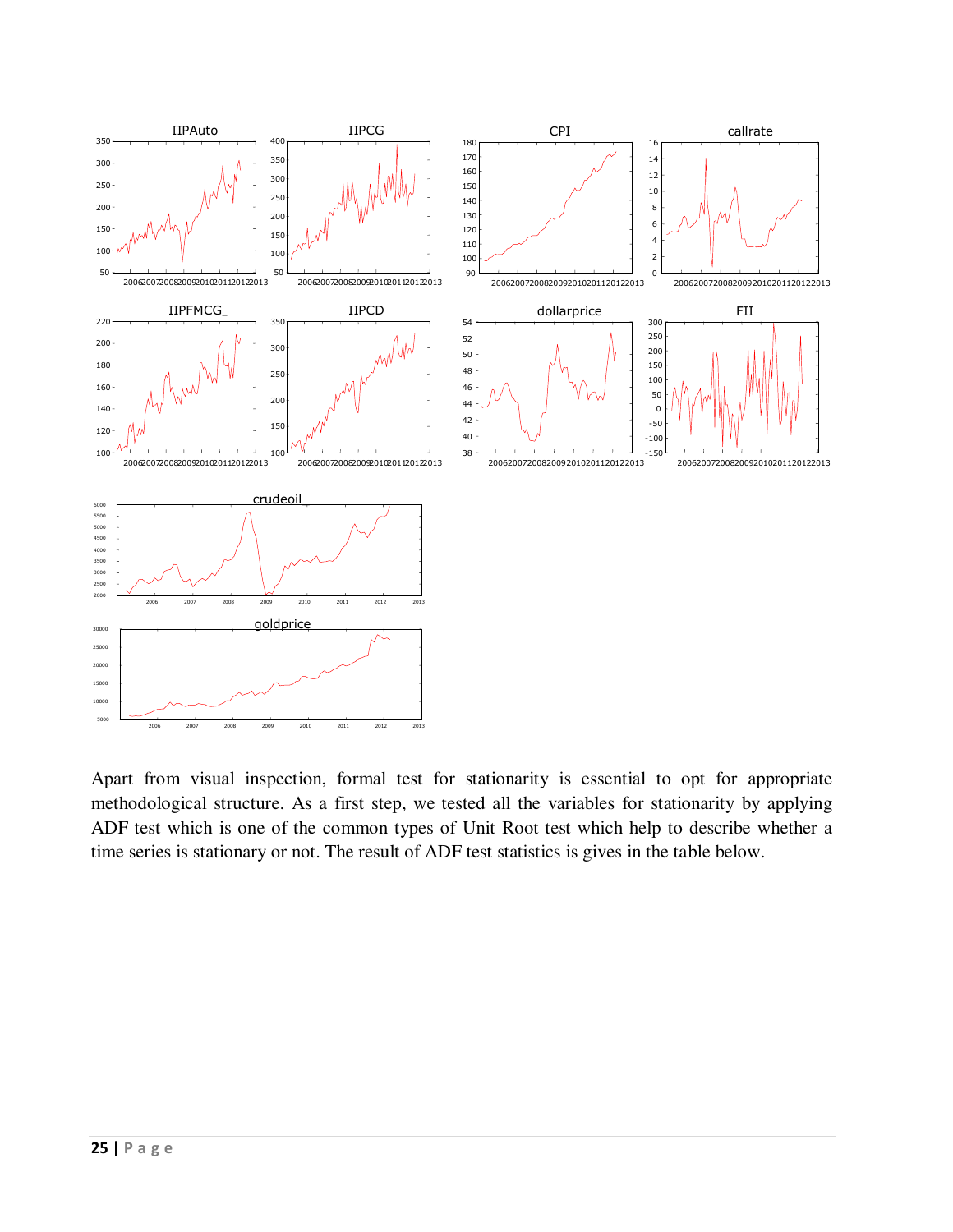

Apart from visual inspection, formal test for stationarity is essential to opt for appropriate methodological structure. As a first step, we tested all the variables for stationarity by applying ADF test which is one of the common types of Unit Root test which help to describe whether a time series is stationary or not. The result of ADF test statistics is gives in the table below.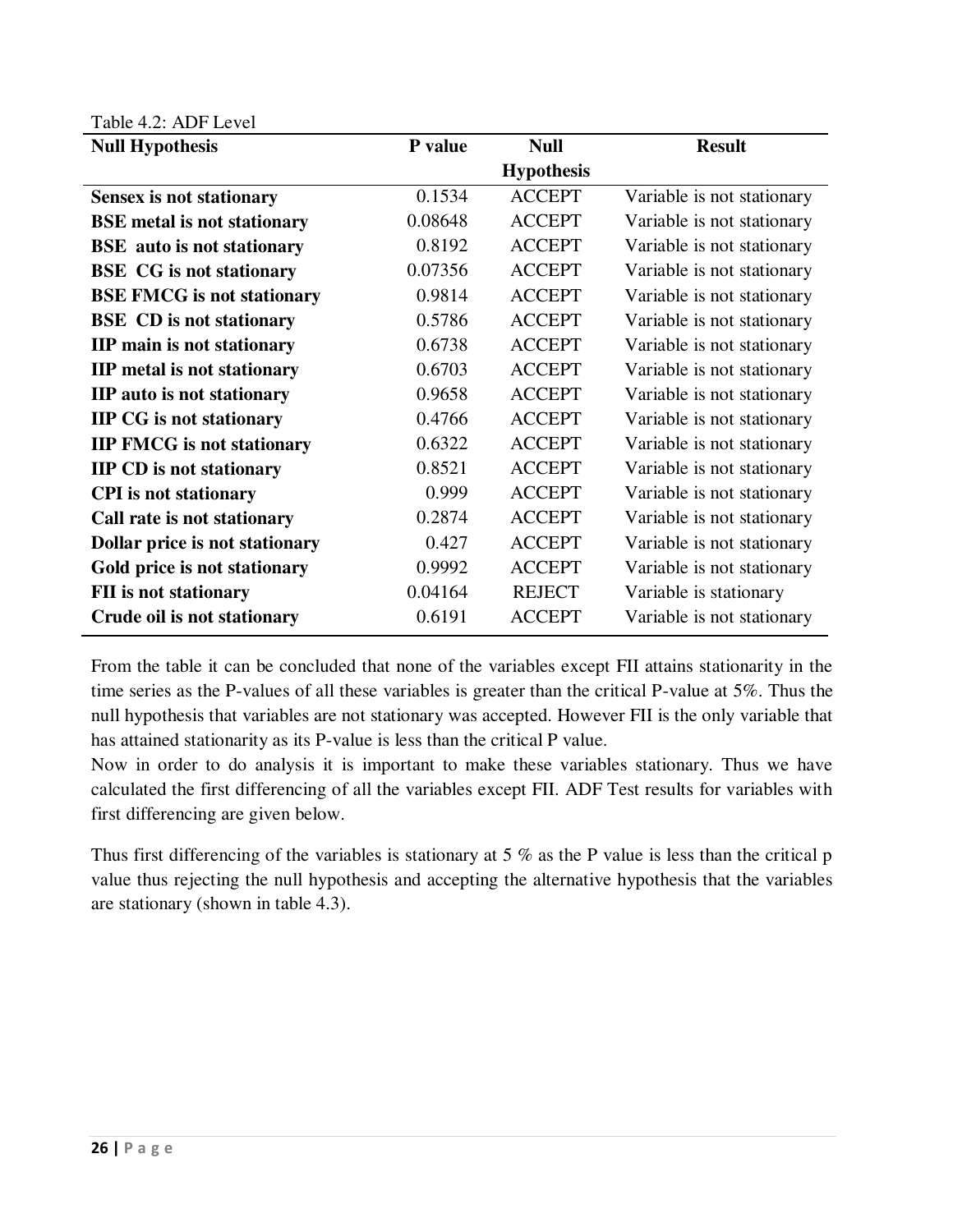Table 4.2: ADF Level

| <b>Null Hypothesis</b>             | P value | <b>Null</b>       | <b>Result</b>              |
|------------------------------------|---------|-------------------|----------------------------|
|                                    |         | <b>Hypothesis</b> |                            |
| <b>Sensex is not stationary</b>    | 0.1534  | <b>ACCEPT</b>     | Variable is not stationary |
| <b>BSE</b> metal is not stationary | 0.08648 | <b>ACCEPT</b>     | Variable is not stationary |
| <b>BSE</b> auto is not stationary  | 0.8192  | <b>ACCEPT</b>     | Variable is not stationary |
| <b>BSE</b> CG is not stationary    | 0.07356 | <b>ACCEPT</b>     | Variable is not stationary |
| <b>BSE FMCG</b> is not stationary  | 0.9814  | <b>ACCEPT</b>     | Variable is not stationary |
| <b>BSE CD</b> is not stationary    | 0.5786  | <b>ACCEPT</b>     | Variable is not stationary |
| <b>IIP</b> main is not stationary  | 0.6738  | <b>ACCEPT</b>     | Variable is not stationary |
| <b>IIP</b> metal is not stationary | 0.6703  | <b>ACCEPT</b>     | Variable is not stationary |
| <b>IIP</b> auto is not stationary  | 0.9658  | <b>ACCEPT</b>     | Variable is not stationary |
| <b>IIP CG</b> is not stationary    | 0.4766  | <b>ACCEPT</b>     | Variable is not stationary |
| <b>IIP FMCG</b> is not stationary  | 0.6322  | <b>ACCEPT</b>     | Variable is not stationary |
| <b>IIP CD</b> is not stationary    | 0.8521  | <b>ACCEPT</b>     | Variable is not stationary |
| <b>CPI</b> is not stationary       | 0.999   | <b>ACCEPT</b>     | Variable is not stationary |
| Call rate is not stationary        | 0.2874  | <b>ACCEPT</b>     | Variable is not stationary |
| Dollar price is not stationary     | 0.427   | <b>ACCEPT</b>     | Variable is not stationary |
| Gold price is not stationary       | 0.9992  | <b>ACCEPT</b>     | Variable is not stationary |
| <b>FII</b> is not stationary       | 0.04164 | <b>REJECT</b>     | Variable is stationary     |
| Crude oil is not stationary        | 0.6191  | <b>ACCEPT</b>     | Variable is not stationary |

From the table it can be concluded that none of the variables except FII attains stationarity in the time series as the P-values of all these variables is greater than the critical P-value at 5%. Thus the null hypothesis that variables are not stationary was accepted. However FII is the only variable that has attained stationarity as its P-value is less than the critical P value.

Now in order to do analysis it is important to make these variables stationary. Thus we have calculated the first differencing of all the variables except FII. ADF Test results for variables with first differencing are given below.

Thus first differencing of the variables is stationary at 5 % as the P value is less than the critical p value thus rejecting the null hypothesis and accepting the alternative hypothesis that the variables are stationary (shown in table 4.3).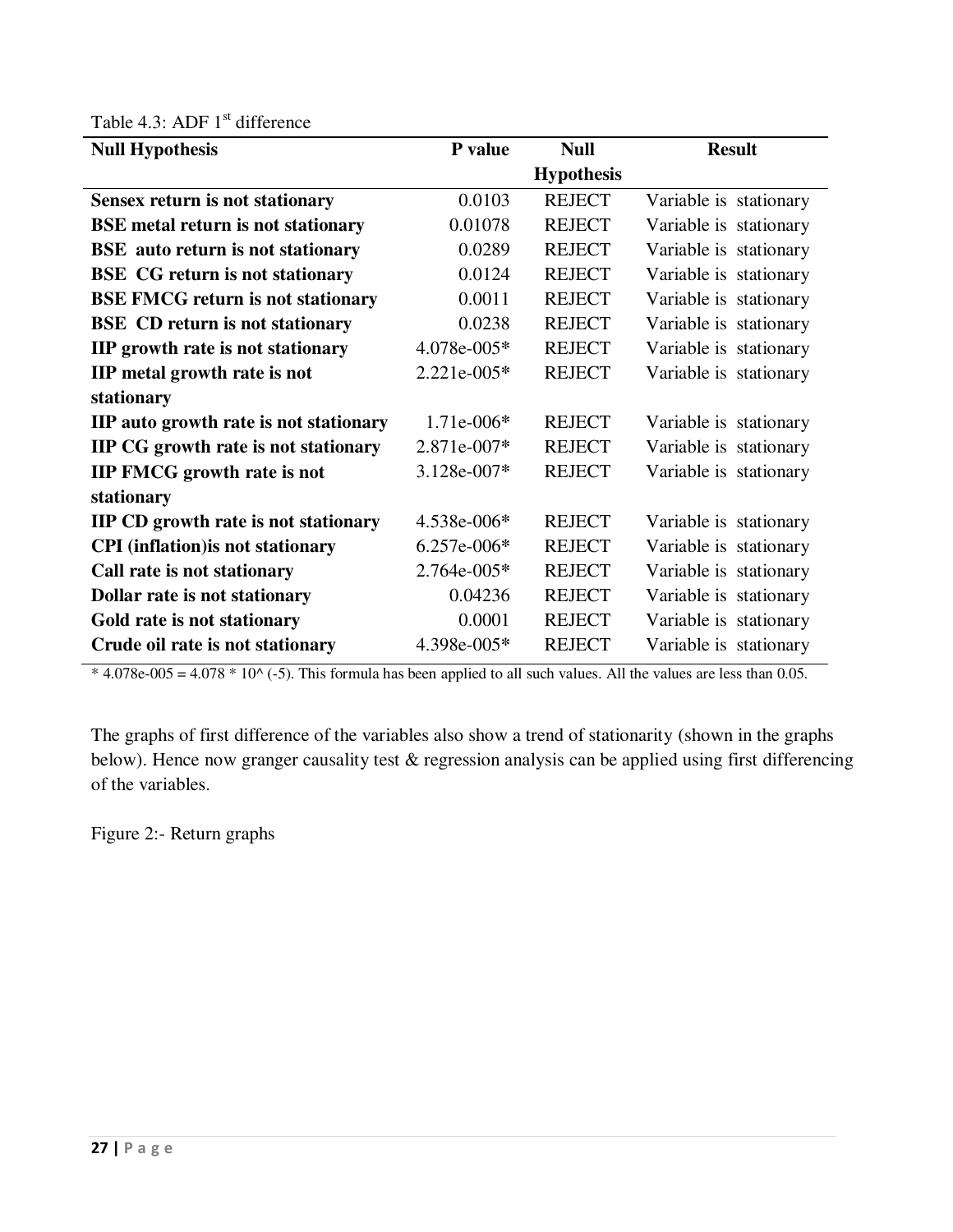Table 4.3: ADF  $1<sup>st</sup>$  difference

| <b>Null Hypothesis</b>                        | P value         | <b>Null</b>       | <b>Result</b>          |
|-----------------------------------------------|-----------------|-------------------|------------------------|
|                                               |                 | <b>Hypothesis</b> |                        |
| <b>Sensex return is not stationary</b>        | 0.0103          | <b>REJECT</b>     | Variable is stationary |
| <b>BSE</b> metal return is not stationary     | 0.01078         | <b>REJECT</b>     | Variable is stationary |
| <b>BSE</b> auto return is not stationary      | 0.0289          | <b>REJECT</b>     | Variable is stationary |
| <b>BSE</b> CG return is not stationary        | 0.0124          | <b>REJECT</b>     | Variable is stationary |
| <b>BSE FMCG return is not stationary</b>      | 0.0011          | <b>REJECT</b>     | Variable is stationary |
| <b>BSE CD return is not stationary</b>        | 0.0238          | <b>REJECT</b>     | Variable is stationary |
| <b>IIP</b> growth rate is not stationary      | 4.078e-005*     | <b>REJECT</b>     | Variable is stationary |
| <b>IIP</b> metal growth rate is not           | $2.221e-005*$   | <b>REJECT</b>     | Variable is stationary |
| stationary                                    |                 |                   |                        |
| <b>IIP</b> auto growth rate is not stationary | $1.71e - 006*$  | <b>REJECT</b>     | Variable is stationary |
| <b>IIP CG</b> growth rate is not stationary   | 2.871e-007*     | <b>REJECT</b>     | Variable is stationary |
| <b>IIP FMCG</b> growth rate is not            | 3.128e-007*     | <b>REJECT</b>     | Variable is stationary |
| stationary                                    |                 |                   |                        |
| <b>IIP CD growth rate is not stationary</b>   | $4.538e - 006*$ | <b>REJECT</b>     | Variable is stationary |
| <b>CPI</b> (inflation) is not stationary      | $6.257e-006*$   | <b>REJECT</b>     | Variable is stationary |
| Call rate is not stationary                   | 2.764e-005*     | <b>REJECT</b>     | Variable is stationary |
| Dollar rate is not stationary                 | 0.04236         | <b>REJECT</b>     | Variable is stationary |
| Gold rate is not stationary                   | 0.0001          | <b>REJECT</b>     | Variable is stationary |
| Crude oil rate is not stationary              | 4.398e-005*     | <b>REJECT</b>     | Variable is stationary |

 $*$  4.078e-005 = 4.078  $*$  10^ (-5). This formula has been applied to all such values. All the values are less than 0.05.

The graphs of first difference of the variables also show a trend of stationarity (shown in the graphs below). Hence now granger causality test & regression analysis can be applied using first differencing of the variables.

Figure 2:- Return graphs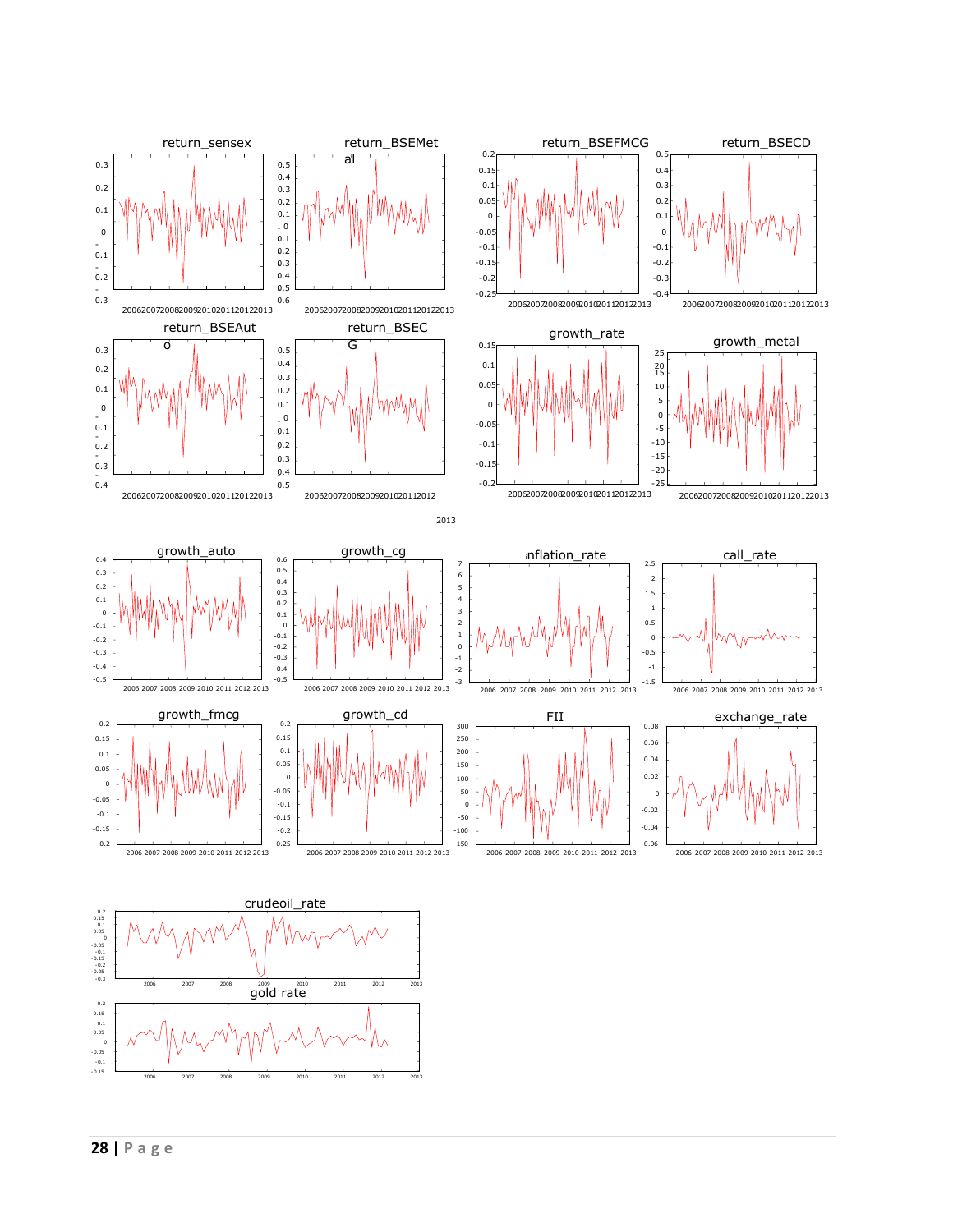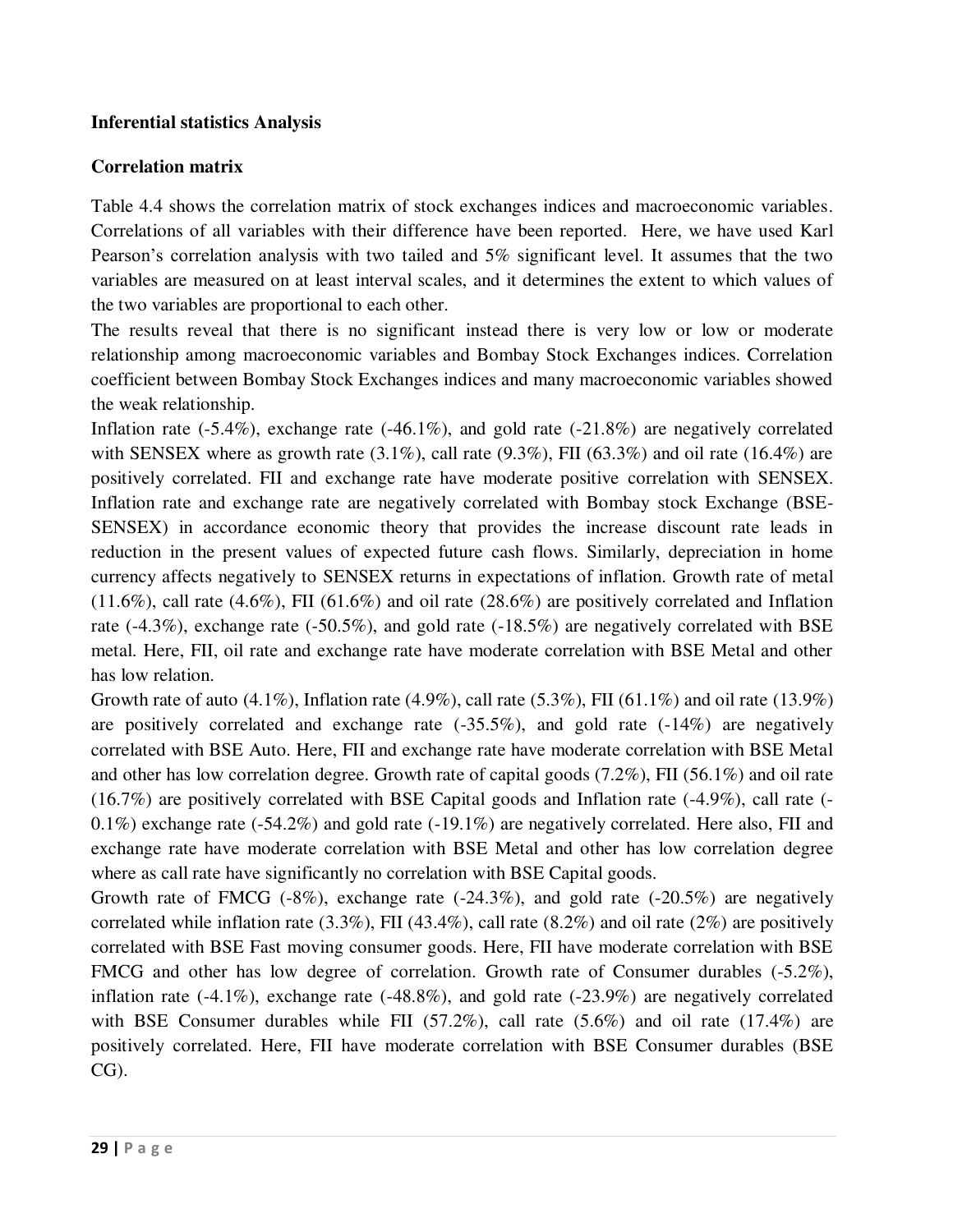#### **Inferential statistics Analysis**

#### **Correlation matrix**

Table 4.4 shows the correlation matrix of stock exchanges indices and macroeconomic variables. Correlations of all variables with their difference have been reported. Here, we have used Karl Pearson's correlation analysis with two tailed and 5% significant level. It assumes that the two variables are measured on at least interval scales, and it determines the extent to which values of the two variables are proportional to each other.

The results reveal that there is no significant instead there is very low or low or moderate relationship among macroeconomic variables and Bombay Stock Exchanges indices. Correlation coefficient between Bombay Stock Exchanges indices and many macroeconomic variables showed the weak relationship.

Inflation rate  $(-5.4\%)$ , exchange rate  $(-46.1\%)$ , and gold rate  $(-21.8\%)$  are negatively correlated with SENSEX where as growth rate  $(3.1\%)$ , call rate  $(9.3\%)$ , FII  $(63.3\%)$  and oil rate  $(16.4\%)$  are positively correlated. FII and exchange rate have moderate positive correlation with SENSEX. Inflation rate and exchange rate are negatively correlated with Bombay stock Exchange (BSE-SENSEX) in accordance economic theory that provides the increase discount rate leads in reduction in the present values of expected future cash flows. Similarly, depreciation in home currency affects negatively to SENSEX returns in expectations of inflation. Growth rate of metal  $(11.6\%)$ , call rate  $(4.6\%)$ , FII  $(61.6\%)$  and oil rate  $(28.6\%)$  are positively correlated and Inflation rate  $(-4.3\%)$ , exchange rate  $(-50.5\%)$ , and gold rate  $(-18.5\%)$  are negatively correlated with BSE metal. Here, FII, oil rate and exchange rate have moderate correlation with BSE Metal and other has low relation.

Growth rate of auto  $(4.1\%)$ , Inflation rate  $(4.9\%)$ , call rate  $(5.3\%)$ , FII  $(61.1\%)$  and oil rate  $(13.9\%)$ are positively correlated and exchange rate  $(-35.5\%)$ , and gold rate  $(-14\%)$  are negatively correlated with BSE Auto. Here, FII and exchange rate have moderate correlation with BSE Metal and other has low correlation degree. Growth rate of capital goods (7.2%), FII (56.1%) and oil rate (16.7%) are positively correlated with BSE Capital goods and Inflation rate (-4.9%), call rate (- 0.1%) exchange rate  $(-54.2\%)$  and gold rate  $(-19.1\%)$  are negatively correlated. Here also, FII and exchange rate have moderate correlation with BSE Metal and other has low correlation degree where as call rate have significantly no correlation with BSE Capital goods.

Growth rate of FMCG  $(-8\%)$ , exchange rate  $(-24.3\%)$ , and gold rate  $(-20.5\%)$  are negatively correlated while inflation rate (3.3%), FII (43.4%), call rate (8.2%) and oil rate (2%) are positively correlated with BSE Fast moving consumer goods. Here, FII have moderate correlation with BSE FMCG and other has low degree of correlation. Growth rate of Consumer durables (-5.2%), inflation rate  $(-4.1\%)$ , exchange rate  $(-48.8\%)$ , and gold rate  $(-23.9\%)$  are negatively correlated with BSE Consumer durables while FII  $(57.2\%)$ , call rate  $(5.6\%)$  and oil rate  $(17.4\%)$  are positively correlated. Here, FII have moderate correlation with BSE Consumer durables (BSE CG).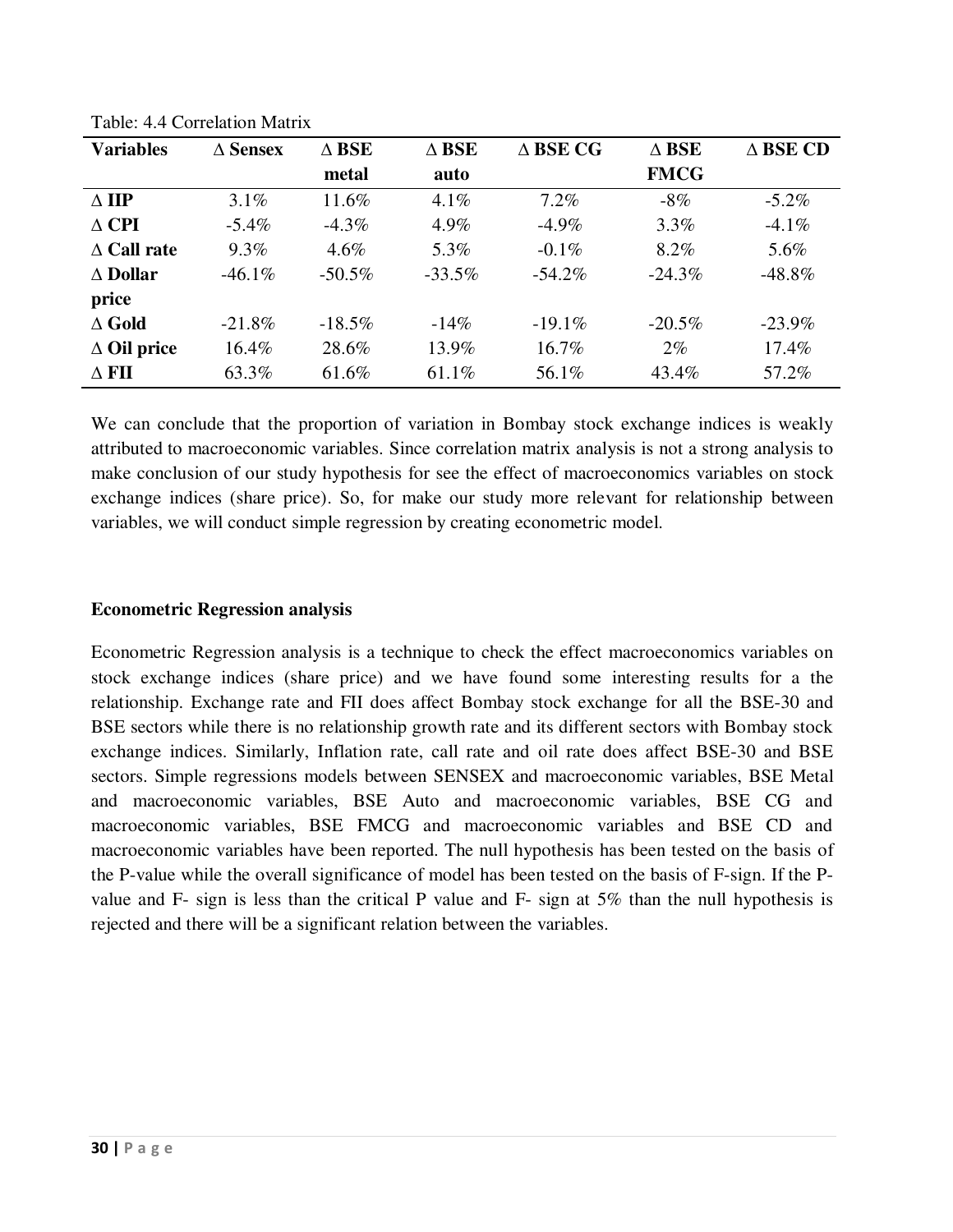| <b>Variables</b>      | $\triangle$ Sensex | $\triangle$ BSE | $\triangle$ BSE | $\triangle$ BSE CG | $\triangle$ BSE | $\triangle$ BSE CD |
|-----------------------|--------------------|-----------------|-----------------|--------------------|-----------------|--------------------|
|                       |                    | metal           | auto            |                    | <b>FMCG</b>     |                    |
| $\Delta$ IIP          | $3.1\%$            | 11.6%           | 4.1%            | $7.2\%$            | $-8\%$          | $-5.2\%$           |
| $\triangle$ CPI       | $-5.4\%$           | $-4.3\%$        | 4.9%            | $-4.9\%$           | 3.3%            | $-4.1\%$           |
| $\triangle$ Call rate | $9.3\%$            | $4.6\%$         | 5.3%            | $-0.1\%$           | 8.2%            | 5.6%               |
| $\wedge$ Dollar       | $-46.1\%$          | $-50.5\%$       | $-33.5\%$       | $-54.2\%$          | $-24.3\%$       | $-48.8\%$          |
| price                 |                    |                 |                 |                    |                 |                    |
| $\Delta$ Gold         | $-21.8\%$          | $-18.5\%$       | $-14\%$         | $-19.1\%$          | $-20.5\%$       | $-23.9\%$          |
| $\Delta$ Oil price    | 16.4%              | 28.6%           | 13.9%           | 16.7%              | $2\%$           | 17.4%              |
| $\Delta$ FII          | 63.3%              | 61.6%           | 61.1%           | 56.1%              | 43.4%           | 57.2%              |

Table: 4.4 Correlation Matrix

We can conclude that the proportion of variation in Bombay stock exchange indices is weakly attributed to macroeconomic variables. Since correlation matrix analysis is not a strong analysis to make conclusion of our study hypothesis for see the effect of macroeconomics variables on stock exchange indices (share price). So, for make our study more relevant for relationship between variables, we will conduct simple regression by creating econometric model.

#### **Econometric Regression analysis**

Econometric Regression analysis is a technique to check the effect macroeconomics variables on stock exchange indices (share price) and we have found some interesting results for a the relationship. Exchange rate and FII does affect Bombay stock exchange for all the BSE-30 and BSE sectors while there is no relationship growth rate and its different sectors with Bombay stock exchange indices. Similarly, Inflation rate, call rate and oil rate does affect BSE-30 and BSE sectors. Simple regressions models between SENSEX and macroeconomic variables, BSE Metal and macroeconomic variables, BSE Auto and macroeconomic variables, BSE CG and macroeconomic variables, BSE FMCG and macroeconomic variables and BSE CD and macroeconomic variables have been reported. The null hypothesis has been tested on the basis of the P-value while the overall significance of model has been tested on the basis of F-sign. If the Pvalue and F- sign is less than the critical P value and F- sign at 5% than the null hypothesis is rejected and there will be a significant relation between the variables.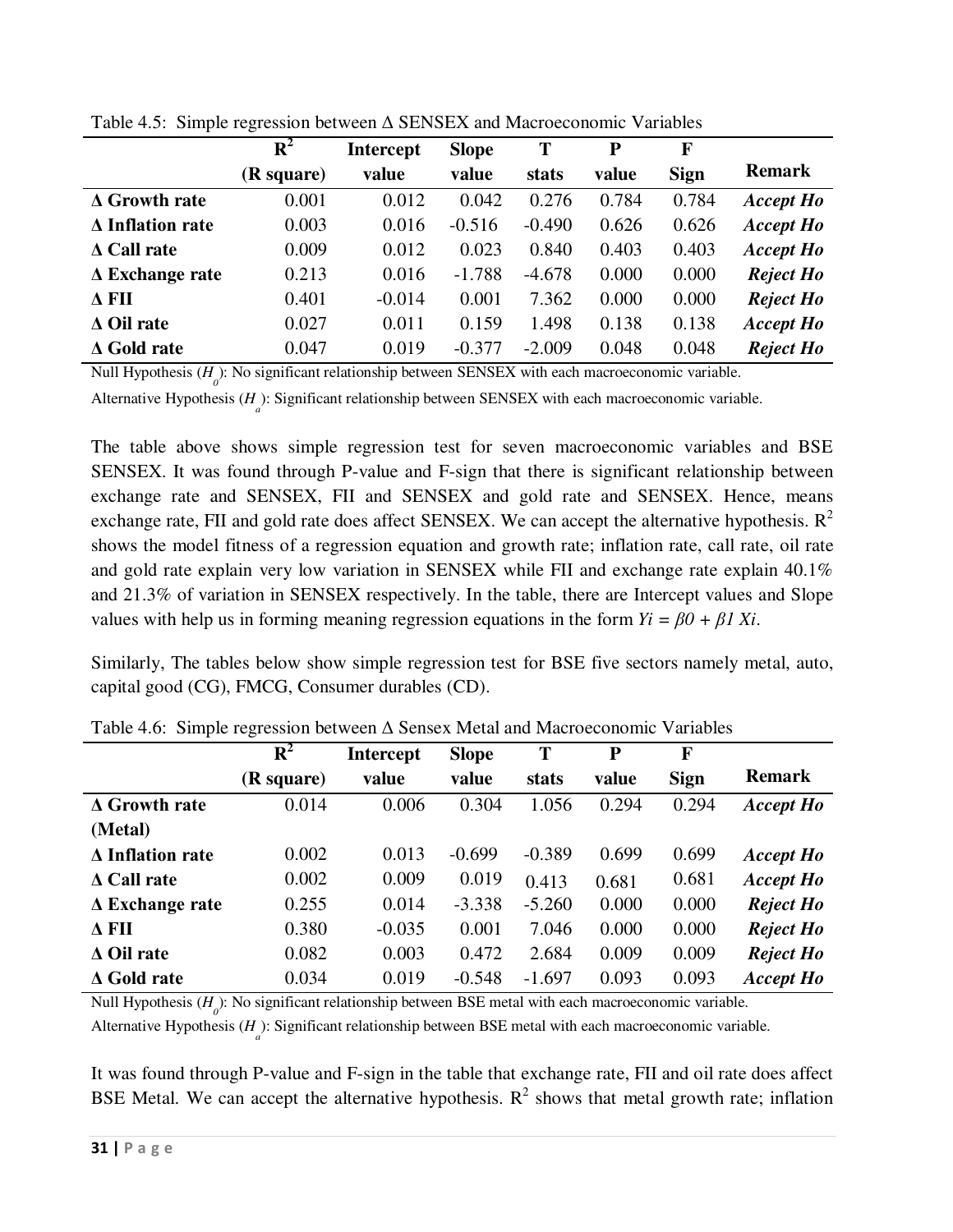|                           | $\mathbf{R}^2$ | Intercept | <b>Slope</b> | T            | D     | F           |                  |
|---------------------------|----------------|-----------|--------------|--------------|-------|-------------|------------------|
|                           | (R square)     | value     | value        | <b>stats</b> | value | <b>Sign</b> | <b>Remark</b>    |
| $\Delta$ Growth rate      | 0.001          | 0.012     | 0.042        | 0.276        | 0.784 | 0.784       | <b>Accept Ho</b> |
| $\Delta$ Inflation rate   | 0.003          | 0.016     | $-0.516$     | $-0.490$     | 0.626 | 0.626       | <b>Accept Ho</b> |
| $\triangle$ Call rate     | 0.009          | 0.012     | 0.023        | 0.840        | 0.403 | 0.403       | <b>Accept Ho</b> |
| $\triangle$ Exchange rate | 0.213          | 0.016     | $-1.788$     | $-4.678$     | 0.000 | 0.000       | <b>Reject Ho</b> |
| $\Delta$ FII              | 0.401          | $-0.014$  | 0.001        | 7.362        | 0.000 | 0.000       | <b>Reject Ho</b> |
| $\Delta$ Oil rate         | 0.027          | 0.011     | 0.159        | 1.498        | 0.138 | 0.138       | <b>Accept Ho</b> |
| $\Delta$ Gold rate        | 0.047          | 0.019     | $-0.377$     | $-2.009$     | 0.048 | 0.048       | <b>Reject Ho</b> |

Table 4.5: Simple regression between Δ SENSEX and Macroeconomic Variables

Null Hypothesis (H<sub>0</sub>): No significant relationship between SENSEX with each macroeconomic variable.

Alternative Hypothesis (*H<sub>a</sub>*): Significant relationship between SENSEX with each macroeconomic variable.

The table above shows simple regression test for seven macroeconomic variables and BSE SENSEX. It was found through P-value and F-sign that there is significant relationship between exchange rate and SENSEX, FII and SENSEX and gold rate and SENSEX. Hence, means exchange rate, FII and gold rate does affect SENSEX. We can accept the alternative hypothesis.  $\mathbb{R}^2$ shows the model fitness of a regression equation and growth rate; inflation rate, call rate, oil rate and gold rate explain very low variation in SENSEX while FII and exchange rate explain 40.1% and 21.3% of variation in SENSEX respectively. In the table, there are Intercept values and Slope values with help us in forming meaning regression equations in the form  $Y_i = \beta 0 + \beta 1 X_i$ .

Similarly, The tables below show simple regression test for BSE five sectors namely metal, auto, capital good (CG), FMCG, Consumer durables (CD).

| л.                        | ັ           |           |              |          |       |             |                  |
|---------------------------|-------------|-----------|--------------|----------|-------|-------------|------------------|
|                           | ${\bf R}^2$ | Intercept | <b>Slope</b> | T        | P     | F           |                  |
|                           | (R square)  | value     | value        | stats    | value | <b>Sign</b> | <b>Remark</b>    |
| $\Delta$ Growth rate      | 0.014       | 0.006     | 0.304        | 1.056    | 0.294 | 0.294       | <b>Accept Ho</b> |
| (Metal)                   |             |           |              |          |       |             |                  |
| Δ Inflation rate          | 0.002       | 0.013     | $-0.699$     | $-0.389$ | 0.699 | 0.699       | <b>Accept Ho</b> |
| $\Delta$ Call rate        | 0.002       | 0.009     | 0.019        | 0.413    | 0.681 | 0.681       | <b>Accept Ho</b> |
| $\triangle$ Exchange rate | 0.255       | 0.014     | $-3.338$     | $-5.260$ | 0.000 | 0.000       | <b>Reject Ho</b> |
| $\Delta$ FII              | 0.380       | $-0.035$  | 0.001        | 7.046    | 0.000 | 0.000       | <b>Reject Ho</b> |
| $\Delta$ Oil rate         | 0.082       | 0.003     | 0.472        | 2.684    | 0.009 | 0.009       | <b>Reject Ho</b> |
| $\Delta$ Gold rate        | 0.034       | 0.019     | $-0.548$     | $-1.697$ | 0.093 | 0.093       | <b>Accept Ho</b> |
|                           |             |           |              |          |       |             |                  |

|  | Table 4.6: Simple regression between $\Delta$ Sensex Metal and Macroeconomic Variables |  |  |  |
|--|----------------------------------------------------------------------------------------|--|--|--|
|--|----------------------------------------------------------------------------------------|--|--|--|

Null Hypothesis ( $H$ <sub>0</sub>): No significant relationship between BSE metal with each macroeconomic variable. Alternative Hypothesis (*H*<sub>a</sub>): Significant relationship between BSE metal with each macroeconomic variable.

It was found through P-value and F-sign in the table that exchange rate, FII and oil rate does affect BSE Metal. We can accept the alternative hypothesis.  $R^2$  shows that metal growth rate; inflation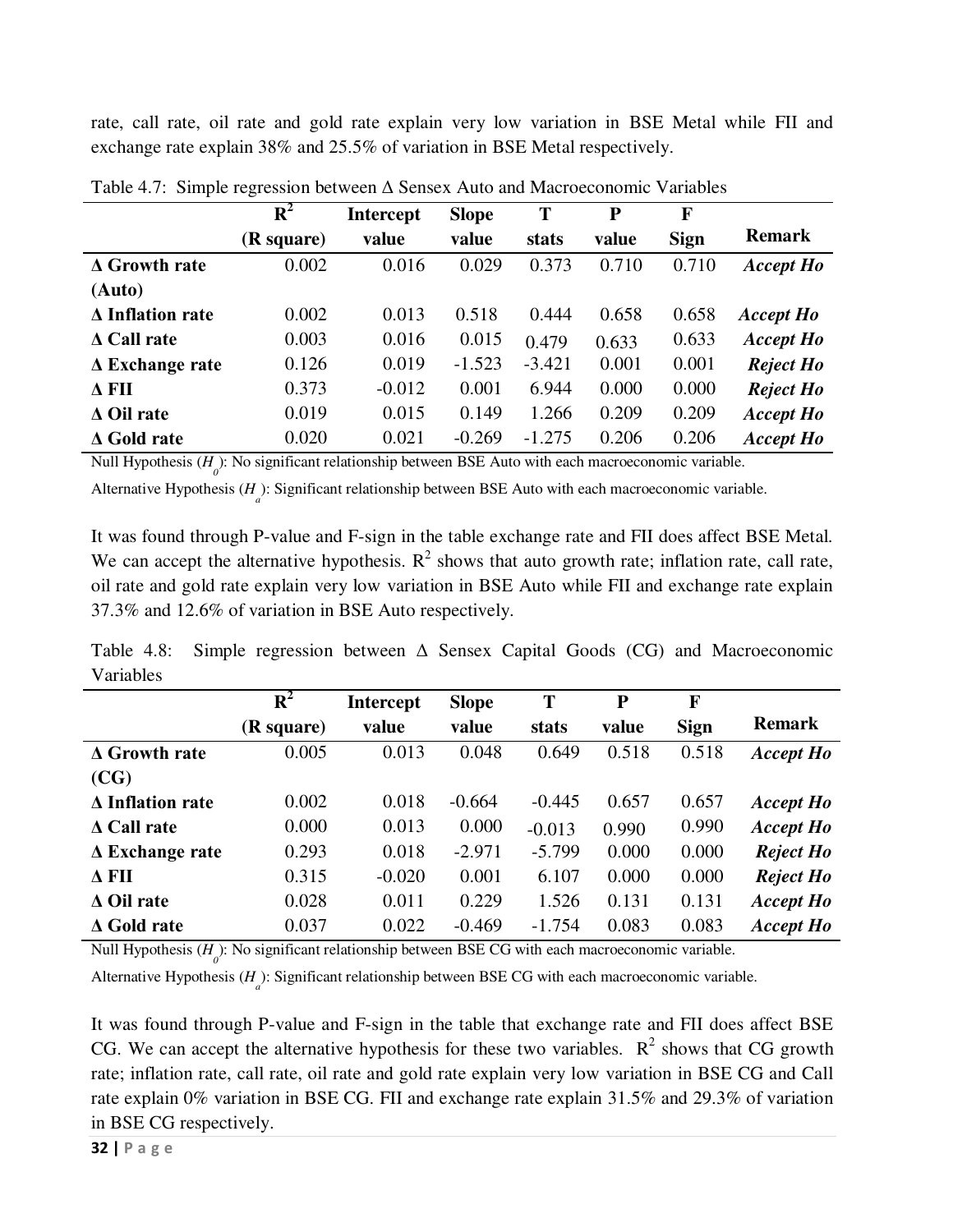rate, call rate, oil rate and gold rate explain very low variation in BSE Metal while FII and exchange rate explain 38% and 25.5% of variation in BSE Metal respectively.

|                           | $\mathbf{R}^2$ | <b>Intercept</b> | <b>Slope</b> | T            | P     | F           |                  |
|---------------------------|----------------|------------------|--------------|--------------|-------|-------------|------------------|
|                           | (R square)     | value            | value        | <b>stats</b> | value | <b>Sign</b> | <b>Remark</b>    |
| $\Delta$ Growth rate      | 0.002          | 0.016            | 0.029        | 0.373        | 0.710 | 0.710       | <b>Accept Ho</b> |
| (Auto)                    |                |                  |              |              |       |             |                  |
| $\Delta$ Inflation rate   | 0.002          | 0.013            | 0.518        | 0.444        | 0.658 | 0.658       | <b>Accept Ho</b> |
| $\Delta$ Call rate        | 0.003          | 0.016            | 0.015        | 0.479        | 0.633 | 0.633       | <b>Accept Ho</b> |
| $\triangle$ Exchange rate | 0.126          | 0.019            | $-1.523$     | $-3.421$     | 0.001 | 0.001       | <b>Reject Ho</b> |
| $\Delta$ FII              | 0.373          | $-0.012$         | 0.001        | 6.944        | 0.000 | 0.000       | <b>Reject Ho</b> |
| $\triangle$ Oil rate      | 0.019          | 0.015            | 0.149        | 1.266        | 0.209 | 0.209       | <b>Accept Ho</b> |
| $\Delta$ Gold rate        | 0.020          | 0.021            | $-0.269$     | $-1.275$     | 0.206 | 0.206       | <b>Accept Ho</b> |

Table 4.7: Simple regression between Δ Sensex Auto and Macroeconomic Variables

Null Hypothesis (H<sub>0</sub>): No significant relationship between BSE Auto with each macroeconomic variable.

Alternative Hypothesis (*H*<sub>a</sub>): Significant relationship between BSE Auto with each macroeconomic variable.

It was found through P-value and F-sign in the table exchange rate and FII does affect BSE Metal. We can accept the alternative hypothesis.  $R^2$  shows that auto growth rate; inflation rate, call rate, oil rate and gold rate explain very low variation in BSE Auto while FII and exchange rate explain 37.3% and 12.6% of variation in BSE Auto respectively.

Table 4.8: Simple regression between Δ Sensex Capital Goods (CG) and Macroeconomic Variables

|                           | $R^2$              | <b>Intercept</b> | <b>Slope</b> | T        | P     | F           |                  |
|---------------------------|--------------------|------------------|--------------|----------|-------|-------------|------------------|
|                           | ( <b>R</b> square) | value            | value        | stats    | value | <b>Sign</b> | <b>Remark</b>    |
| $\Delta$ Growth rate      | 0.005              | 0.013            | 0.048        | 0.649    | 0.518 | 0.518       | <b>Accept Ho</b> |
| (CG)                      |                    |                  |              |          |       |             |                  |
| $\Delta$ Inflation rate   | 0.002              | 0.018            | $-0.664$     | $-0.445$ | 0.657 | 0.657       | <b>Accept Ho</b> |
| $\Delta$ Call rate        | 0.000              | 0.013            | 0.000        | $-0.013$ | 0.990 | 0.990       | <b>Accept Ho</b> |
| $\triangle$ Exchange rate | 0.293              | 0.018            | $-2.971$     | $-5.799$ | 0.000 | 0.000       | <b>Reject Ho</b> |
| $\Delta$ FII              | 0.315              | $-0.020$         | 0.001        | 6.107    | 0.000 | 0.000       | <b>Reject Ho</b> |
| $\triangle$ Oil rate      | 0.028              | 0.011            | 0.229        | 1.526    | 0.131 | 0.131       | <b>Accept Ho</b> |
| $\Delta$ Gold rate        | 0.037              | 0.022            | $-0.469$     | $-1.754$ | 0.083 | 0.083       | <b>Accept Ho</b> |

Null Hypothesis (H<sub>0</sub>): No significant relationship between BSE CG with each macroeconomic variable.

Alternative Hypothesis (*H*<sub>a</sub>): Significant relationship between BSE CG with each macroeconomic variable.

It was found through P-value and F-sign in the table that exchange rate and FII does affect BSE CG. We can accept the alternative hypothesis for these two variables.  $R^2$  shows that CG growth rate; inflation rate, call rate, oil rate and gold rate explain very low variation in BSE CG and Call rate explain 0% variation in BSE CG. FII and exchange rate explain 31.5% and 29.3% of variation in BSE CG respectively.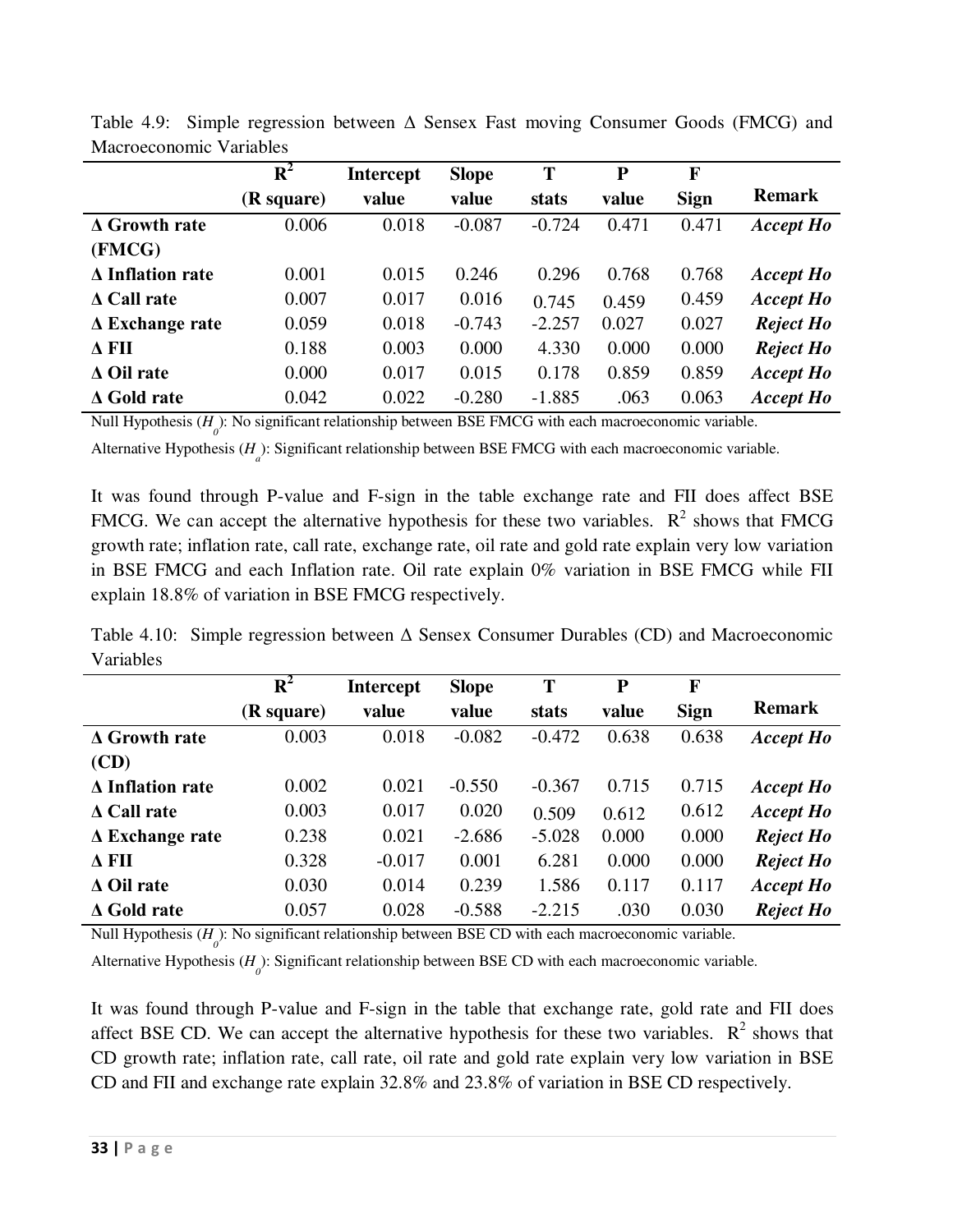|                           | $R^2$              | <b>Intercept</b> | <b>Slope</b> | T        | P     | F           |                  |
|---------------------------|--------------------|------------------|--------------|----------|-------|-------------|------------------|
|                           | ( <b>R</b> square) | value            | value        | stats    | value | <b>Sign</b> | <b>Remark</b>    |
| $\Delta$ Growth rate      | 0.006              | 0.018            | $-0.087$     | $-0.724$ | 0.471 | 0.471       | <b>Accept Ho</b> |
| (FMCG)                    |                    |                  |              |          |       |             |                  |
| $\Delta$ Inflation rate   | 0.001              | 0.015            | 0.246        | 0.296    | 0.768 | 0.768       | <b>Accept Ho</b> |
| $\triangle$ Call rate     | 0.007              | 0.017            | 0.016        | 0.745    | 0.459 | 0.459       | <b>Accept Ho</b> |
| $\triangle$ Exchange rate | 0.059              | 0.018            | $-0.743$     | $-2.257$ | 0.027 | 0.027       | <b>Reject Ho</b> |
| $\Delta$ FII              | 0.188              | 0.003            | 0.000        | 4.330    | 0.000 | 0.000       | <b>Reject Ho</b> |
| $\Delta$ Oil rate         | 0.000              | 0.017            | 0.015        | 0.178    | 0.859 | 0.859       | <b>Accept Ho</b> |
| $\Delta$ Gold rate        | 0.042              | 0.022            | $-0.280$     | $-1.885$ | .063  | 0.063       | <b>Accept Ho</b> |

Table 4.9: Simple regression between Δ Sensex Fast moving Consumer Goods (FMCG) and Macroeconomic Variables

Null Hypothesis (H<sub>0</sub>): No significant relationship between BSE FMCG with each macroeconomic variable.

Alternative Hypothesis (*H*<sub>a</sub>): Significant relationship between BSE FMCG with each macroeconomic variable.

It was found through P-value and F-sign in the table exchange rate and FII does affect BSE FMCG. We can accept the alternative hypothesis for these two variables.  $R^2$  shows that FMCG growth rate; inflation rate, call rate, exchange rate, oil rate and gold rate explain very low variation in BSE FMCG and each Inflation rate. Oil rate explain 0% variation in BSE FMCG while FII explain 18.8% of variation in BSE FMCG respectively.

|                           | $R^2$              | <b>Intercept</b> | <b>Slope</b> | T        | P     | F           |                  |
|---------------------------|--------------------|------------------|--------------|----------|-------|-------------|------------------|
|                           | ( <b>R</b> square) | value            | value        | stats    | value | <b>Sign</b> | <b>Remark</b>    |
| $\Delta$ Growth rate      | 0.003              | 0.018            | $-0.082$     | $-0.472$ | 0.638 | 0.638       | <b>Accept Ho</b> |
| (CD)                      |                    |                  |              |          |       |             |                  |
| Δ Inflation rate          | 0.002              | 0.021            | $-0.550$     | $-0.367$ | 0.715 | 0.715       | <b>Accept Ho</b> |
| $\Delta$ Call rate        | 0.003              | 0.017            | 0.020        | 0.509    | 0.612 | 0.612       | <b>Accept Ho</b> |
| $\triangle$ Exchange rate | 0.238              | 0.021            | $-2.686$     | $-5.028$ | 0.000 | 0.000       | <b>Reject Ho</b> |
| $\Delta$ FII              | 0.328              | $-0.017$         | 0.001        | 6.281    | 0.000 | 0.000       | <b>Reject Ho</b> |
| $\triangle$ Oil rate      | 0.030              | 0.014            | 0.239        | 1.586    | 0.117 | 0.117       | <b>Accept Ho</b> |
| $\Delta$ Gold rate        | 0.057              | 0.028            | $-0.588$     | $-2.215$ | .030  | 0.030       | <b>Reject Ho</b> |

Table 4.10: Simple regression between Δ Sensex Consumer Durables (CD) and Macroeconomic Variables

Null Hypothesis (H<sub>0</sub>): No significant relationship between BSE CD with each macroeconomic variable.

Alternative Hypothesis (*H*<sub>0</sub>): Significant relationship between BSE CD with each macroeconomic variable.

It was found through P-value and F-sign in the table that exchange rate, gold rate and FII does affect BSE CD. We can accept the alternative hypothesis for these two variables.  $R^2$  shows that CD growth rate; inflation rate, call rate, oil rate and gold rate explain very low variation in BSE CD and FII and exchange rate explain 32.8% and 23.8% of variation in BSE CD respectively.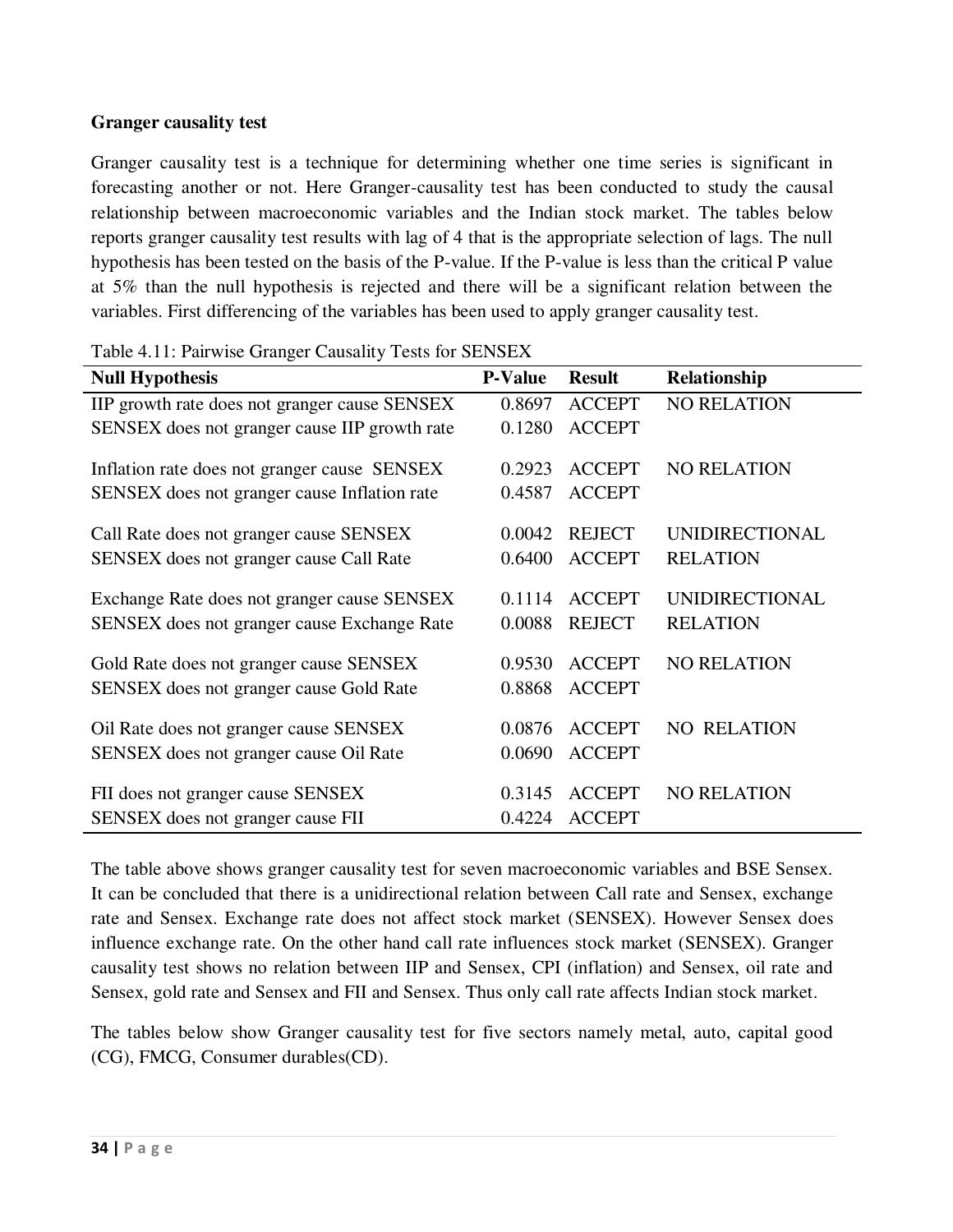#### **Granger causality test**

Granger causality test is a technique for determining whether one time series is significant in forecasting another or not. Here Granger-causality test has been conducted to study the causal relationship between macroeconomic variables and the Indian stock market. The tables below reports granger causality test results with lag of 4 that is the appropriate selection of lags. The null hypothesis has been tested on the basis of the P-value. If the P-value is less than the critical P value at 5% than the null hypothesis is rejected and there will be a significant relation between the variables. First differencing of the variables has been used to apply granger causality test.

| <b>Null Hypothesis</b>                             | <b>P-Value</b> | <b>Result</b> | <b>Relationship</b>   |
|----------------------------------------------------|----------------|---------------|-----------------------|
| IIP growth rate does not granger cause SENSEX      | 0.8697         | <b>ACCEPT</b> | <b>NO RELATION</b>    |
| SENSEX does not granger cause IIP growth rate      | 0.1280         | <b>ACCEPT</b> |                       |
| Inflation rate does not granger cause SENSEX       | 0.2923         | <b>ACCEPT</b> | <b>NO RELATION</b>    |
| SENSEX does not granger cause Inflation rate       | 0.4587         | <b>ACCEPT</b> |                       |
| Call Rate does not granger cause SENSEX            | 0.0042         | <b>REJECT</b> | UNIDIRECTIONAL        |
| SENSEX does not granger cause Call Rate            | 0.6400         | <b>ACCEPT</b> | <b>RELATION</b>       |
| Exchange Rate does not granger cause SENSEX        | 0.1114         | <b>ACCEPT</b> | <b>UNIDIRECTIONAL</b> |
| <b>SENSEX</b> does not granger cause Exchange Rate | 0.0088         | <b>REJECT</b> | <b>RELATION</b>       |
| Gold Rate does not granger cause SENSEX            | 0.9530         | <b>ACCEPT</b> | <b>NO RELATION</b>    |
| <b>SENSEX</b> does not granger cause Gold Rate     | 0.8868         | <b>ACCEPT</b> |                       |
| Oil Rate does not granger cause SENSEX             | 0.0876         | <b>ACCEPT</b> | <b>NO RELATION</b>    |
| SENSEX does not granger cause Oil Rate             | 0.0690         | <b>ACCEPT</b> |                       |
| FII does not granger cause SENSEX                  | 0.3145         | <b>ACCEPT</b> | <b>NO RELATION</b>    |
| SENSEX does not granger cause FII                  | 0.4224         | <b>ACCEPT</b> |                       |

Table 4.11: Pairwise Granger Causality Tests for SENSEX

The table above shows granger causality test for seven macroeconomic variables and BSE Sensex. It can be concluded that there is a unidirectional relation between Call rate and Sensex, exchange rate and Sensex. Exchange rate does not affect stock market (SENSEX). However Sensex does influence exchange rate. On the other hand call rate influences stock market (SENSEX). Granger causality test shows no relation between IIP and Sensex, CPI (inflation) and Sensex, oil rate and Sensex, gold rate and Sensex and FII and Sensex. Thus only call rate affects Indian stock market.

The tables below show Granger causality test for five sectors namely metal, auto, capital good (CG), FMCG, Consumer durables(CD).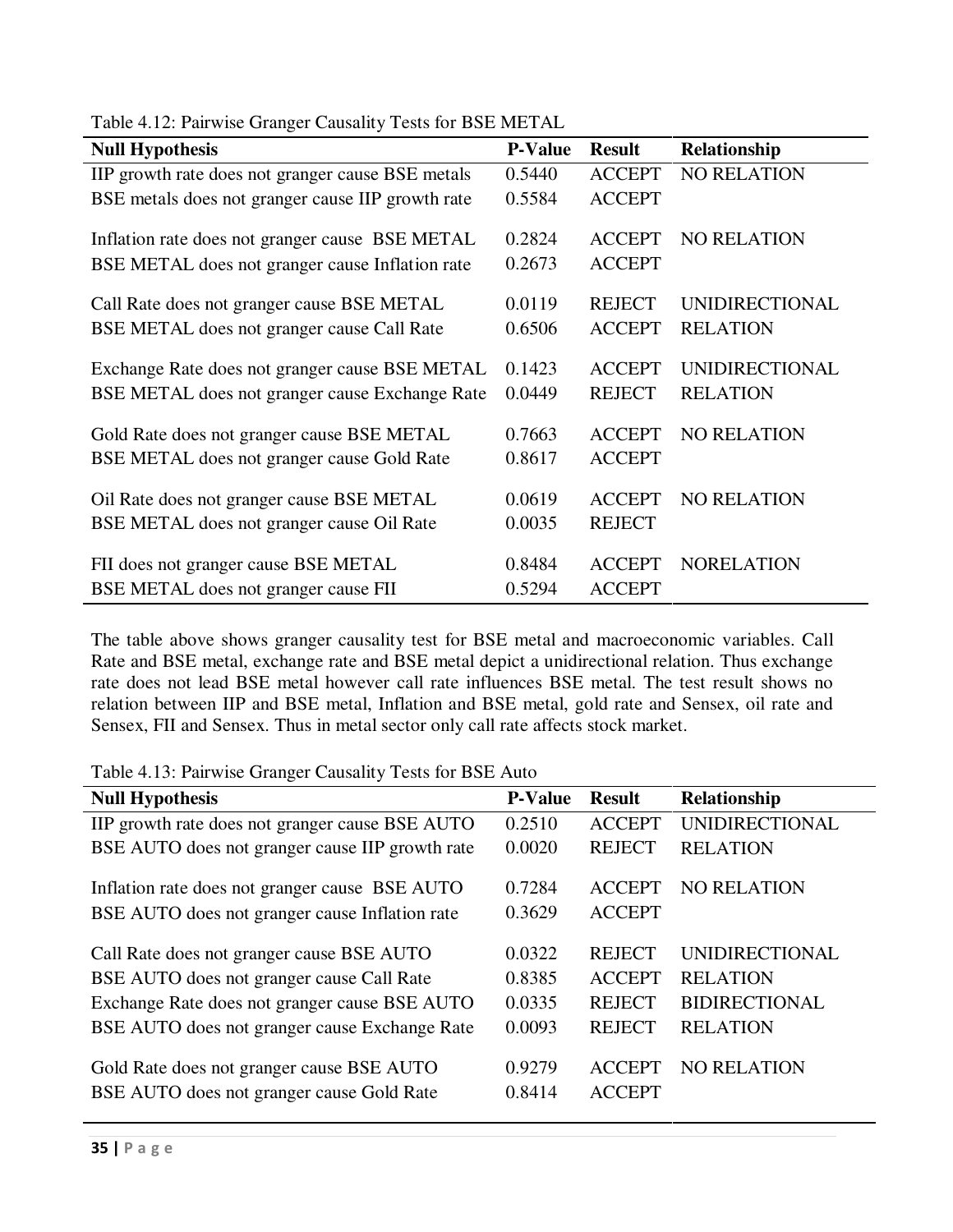| Table 4.12: Pairwise Granger Causality Tests for BSE METAL |  |  |  |  |
|------------------------------------------------------------|--|--|--|--|
|                                                            |  |  |  |  |

| <b>Null Hypothesis</b>                            | <b>P-Value</b> | <b>Result</b> | Relationship          |
|---------------------------------------------------|----------------|---------------|-----------------------|
| IIP growth rate does not granger cause BSE metals | 0.5440         | <b>ACCEPT</b> | <b>NO RELATION</b>    |
| BSE metals does not granger cause IIP growth rate | 0.5584         | <b>ACCEPT</b> |                       |
| Inflation rate does not granger cause BSE METAL   | 0.2824         | <b>ACCEPT</b> | <b>NO RELATION</b>    |
| BSE METAL does not granger cause Inflation rate   | 0.2673         | <b>ACCEPT</b> |                       |
| Call Rate does not granger cause BSE METAL        | 0.0119         | <b>REJECT</b> | <b>UNIDIRECTIONAL</b> |
| BSE METAL does not granger cause Call Rate        | 0.6506         | <b>ACCEPT</b> | <b>RELATION</b>       |
| Exchange Rate does not granger cause BSE METAL    | 0.1423         | <b>ACCEPT</b> | UNIDIRECTIONAL        |
| BSE METAL does not granger cause Exchange Rate    | 0.0449         | <b>REJECT</b> | <b>RELATION</b>       |
| Gold Rate does not granger cause BSE METAL        | 0.7663         | <b>ACCEPT</b> | <b>NO RELATION</b>    |
| BSE METAL does not granger cause Gold Rate        | 0.8617         | <b>ACCEPT</b> |                       |
| Oil Rate does not granger cause BSE METAL         | 0.0619         | <b>ACCEPT</b> | <b>NO RELATION</b>    |
| BSE METAL does not granger cause Oil Rate         | 0.0035         | <b>REJECT</b> |                       |
| FII does not granger cause BSE METAL              | 0.8484         | <b>ACCEPT</b> | <b>NORELATION</b>     |
| BSE METAL does not granger cause FII              | 0.5294         | <b>ACCEPT</b> |                       |

The table above shows granger causality test for BSE metal and macroeconomic variables. Call Rate and BSE metal, exchange rate and BSE metal depict a unidirectional relation. Thus exchange rate does not lead BSE metal however call rate influences BSE metal. The test result shows no relation between IIP and BSE metal, Inflation and BSE metal, gold rate and Sensex, oil rate and Sensex, FII and Sensex. Thus in metal sector only call rate affects stock market.

Table 4.13: Pairwise Granger Causality Tests for BSE Auto

| <b>Null Hypothesis</b>                          | <b>P-Value</b> | <b>Result</b> | <b>Relationship</b>   |
|-------------------------------------------------|----------------|---------------|-----------------------|
| IIP growth rate does not granger cause BSE AUTO | 0.2510         | <b>ACCEPT</b> | <b>UNIDIRECTIONAL</b> |
| BSE AUTO does not granger cause IIP growth rate | 0.0020         | <b>REJECT</b> | <b>RELATION</b>       |
| Inflation rate does not granger cause BSE AUTO  | 0.7284         | <b>ACCEPT</b> | <b>NO RELATION</b>    |
| BSE AUTO does not granger cause Inflation rate  | 0.3629         | <b>ACCEPT</b> |                       |
| Call Rate does not granger cause BSE AUTO       | 0.0322         | <b>REJECT</b> | <b>UNIDIRECTIONAL</b> |
| BSE AUTO does not granger cause Call Rate       | 0.8385         | <b>ACCEPT</b> | <b>RELATION</b>       |
| Exchange Rate does not granger cause BSE AUTO   | 0.0335         | <b>REJECT</b> | <b>BIDIRECTIONAL</b>  |
| BSE AUTO does not granger cause Exchange Rate   | 0.0093         | <b>REJECT</b> | <b>RELATION</b>       |
| Gold Rate does not granger cause BSE AUTO       | 0.9279         | <b>ACCEPT</b> | <b>NO RELATION</b>    |
| BSE AUTO does not granger cause Gold Rate       | 0.8414         | <b>ACCEPT</b> |                       |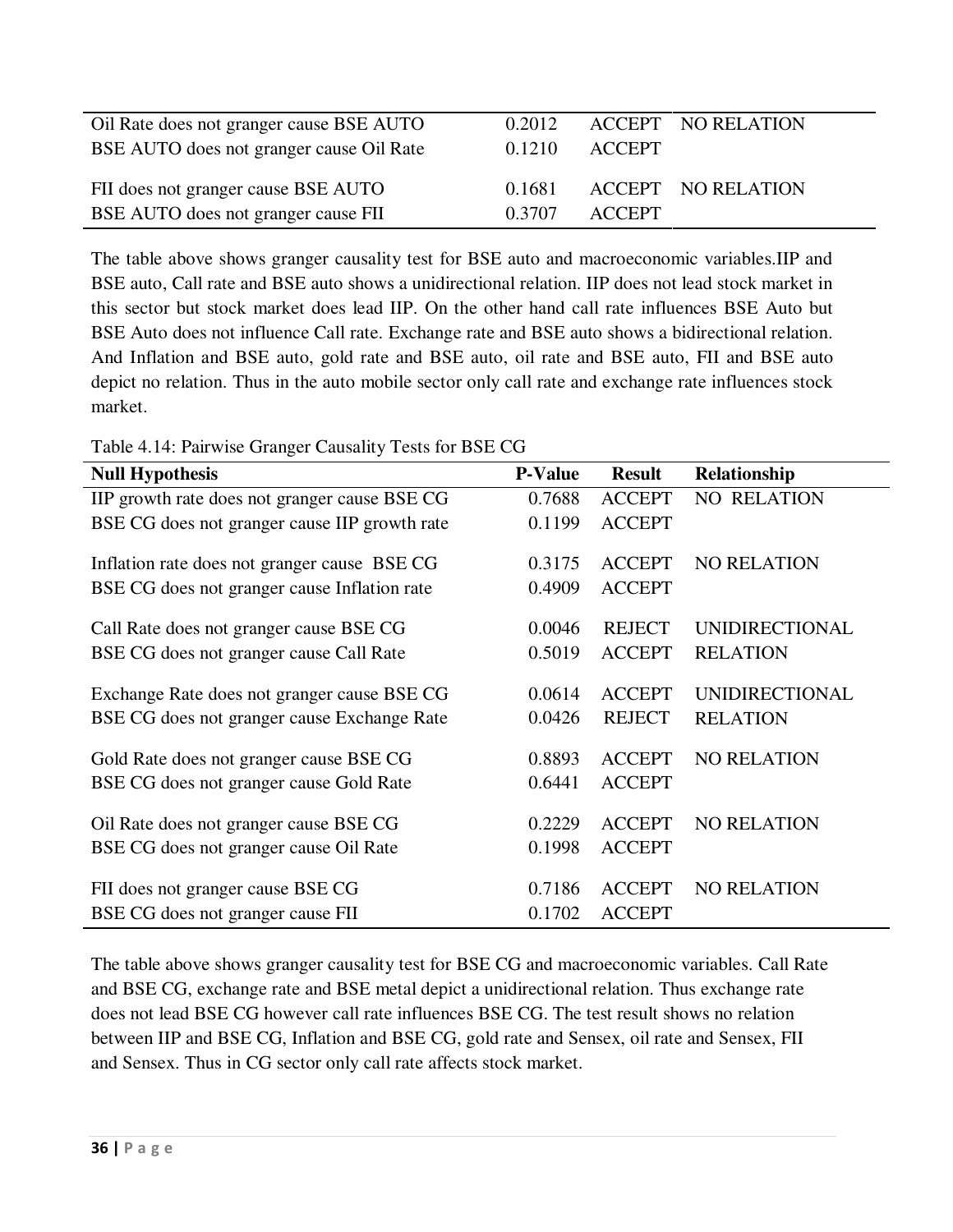| Oil Rate does not granger cause BSE AUTO | 0.2012 |               | ACCEPT NO RELATION |
|------------------------------------------|--------|---------------|--------------------|
| BSE AUTO does not granger cause Oil Rate | 0.1210 | ACCEPT        |                    |
|                                          |        |               |                    |
| FII does not granger cause BSE AUTO      | 0.1681 |               | ACCEPT NO RELATION |
| BSE AUTO does not granger cause FII      | 0.3707 | <b>ACCEPT</b> |                    |

The table above shows granger causality test for BSE auto and macroeconomic variables.IIP and BSE auto, Call rate and BSE auto shows a unidirectional relation. IIP does not lead stock market in this sector but stock market does lead IIP. On the other hand call rate influences BSE Auto but BSE Auto does not influence Call rate. Exchange rate and BSE auto shows a bidirectional relation. And Inflation and BSE auto, gold rate and BSE auto, oil rate and BSE auto, FII and BSE auto depict no relation. Thus in the auto mobile sector only call rate and exchange rate influences stock market.

Table 4.14: Pairwise Granger Causality Tests for BSE CG

| <b>Null Hypothesis</b>                        | <b>P-Value</b> | <b>Result</b> | Relationship          |
|-----------------------------------------------|----------------|---------------|-----------------------|
| IIP growth rate does not granger cause BSE CG | 0.7688         | <b>ACCEPT</b> | <b>NO RELATION</b>    |
| BSE CG does not granger cause IIP growth rate | 0.1199         | <b>ACCEPT</b> |                       |
| Inflation rate does not granger cause BSE CG  | 0.3175         | <b>ACCEPT</b> | <b>NO RELATION</b>    |
| BSE CG does not granger cause Inflation rate  | 0.4909         | <b>ACCEPT</b> |                       |
| Call Rate does not granger cause BSE CG       | 0.0046         | <b>REJECT</b> | <b>UNIDIRECTIONAL</b> |
| BSE CG does not granger cause Call Rate       | 0.5019         | <b>ACCEPT</b> | <b>RELATION</b>       |
| Exchange Rate does not granger cause BSE CG   | 0.0614         | <b>ACCEPT</b> | <b>UNIDIRECTIONAL</b> |
| BSE CG does not granger cause Exchange Rate   | 0.0426         | <b>REJECT</b> | <b>RELATION</b>       |
| Gold Rate does not granger cause BSE CG       | 0.8893         | <b>ACCEPT</b> | <b>NO RELATION</b>    |
| BSE CG does not granger cause Gold Rate       | 0.6441         | <b>ACCEPT</b> |                       |
| Oil Rate does not granger cause BSE CG        | 0.2229         | <b>ACCEPT</b> | <b>NO RELATION</b>    |
| BSE CG does not granger cause Oil Rate        | 0.1998         | <b>ACCEPT</b> |                       |
|                                               |                |               |                       |
| FII does not granger cause BSE CG             | 0.7186         | <b>ACCEPT</b> | <b>NO RELATION</b>    |
| BSE CG does not granger cause FII             | 0.1702         | <b>ACCEPT</b> |                       |

The table above shows granger causality test for BSE CG and macroeconomic variables. Call Rate and BSE CG, exchange rate and BSE metal depict a unidirectional relation. Thus exchange rate does not lead BSE CG however call rate influences BSE CG. The test result shows no relation between IIP and BSE CG, Inflation and BSE CG, gold rate and Sensex, oil rate and Sensex, FII and Sensex. Thus in CG sector only call rate affects stock market.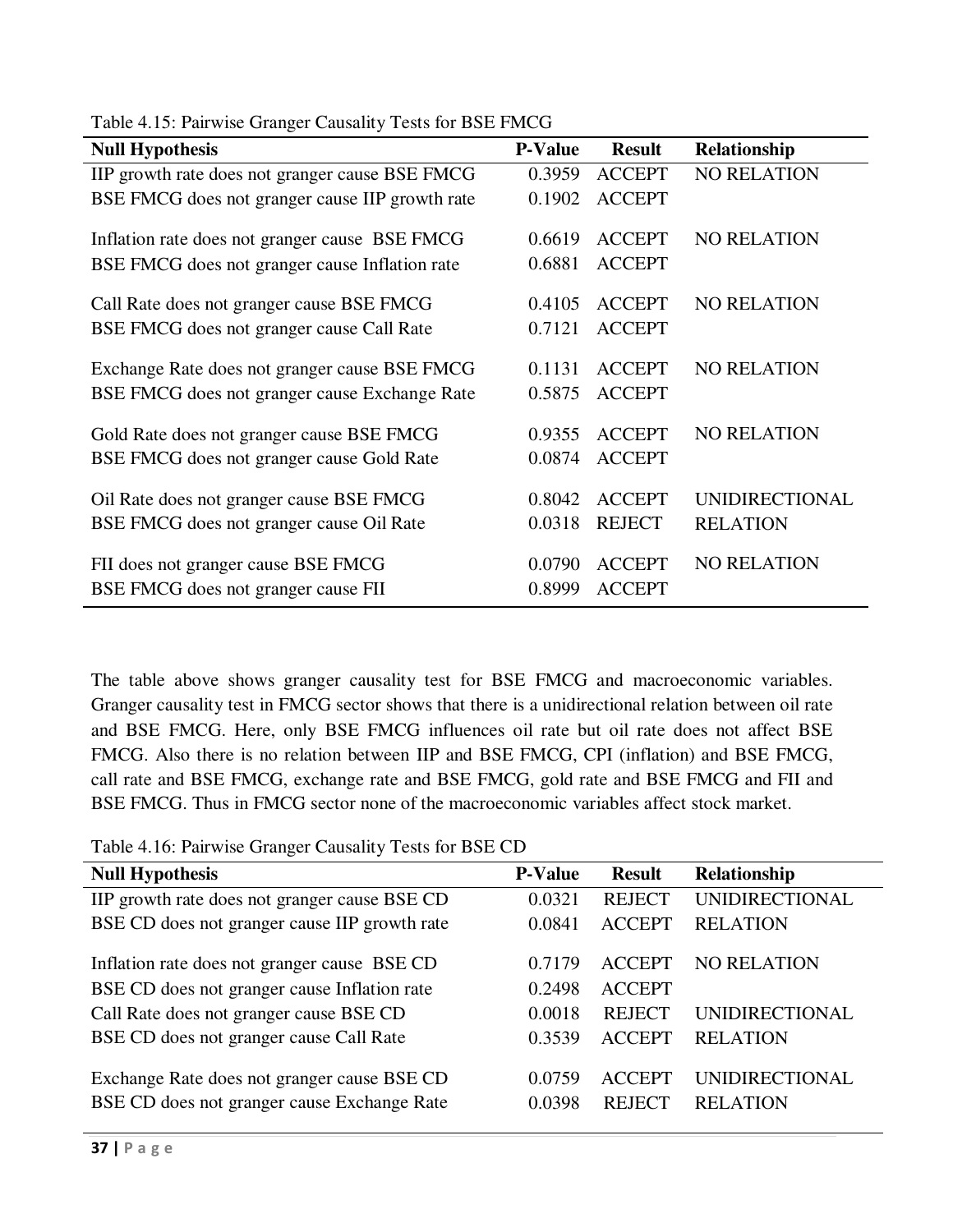| <b>Null Hypothesis</b>                          | <b>P-Value</b> | <b>Result</b> | <b>Relationship</b>   |
|-------------------------------------------------|----------------|---------------|-----------------------|
| IIP growth rate does not granger cause BSE FMCG | 0.3959         | <b>ACCEPT</b> | <b>NO RELATION</b>    |
| BSE FMCG does not granger cause IIP growth rate | 0.1902         | <b>ACCEPT</b> |                       |
| Inflation rate does not granger cause BSE FMCG  | 0.6619         | <b>ACCEPT</b> | <b>NO RELATION</b>    |
| BSE FMCG does not granger cause Inflation rate  | 0.6881         | <b>ACCEPT</b> |                       |
| Call Rate does not granger cause BSE FMCG       | 0.4105         | <b>ACCEPT</b> | <b>NO RELATION</b>    |
| BSE FMCG does not granger cause Call Rate       | 0.7121         | <b>ACCEPT</b> |                       |
| Exchange Rate does not granger cause BSE FMCG   | 0.1131         | <b>ACCEPT</b> | <b>NO RELATION</b>    |
| BSE FMCG does not granger cause Exchange Rate   | 0.5875         | <b>ACCEPT</b> |                       |
| Gold Rate does not granger cause BSE FMCG       | 0.9355         | <b>ACCEPT</b> | <b>NO RELATION</b>    |
| BSE FMCG does not granger cause Gold Rate       | 0.0874         | <b>ACCEPT</b> |                       |
| Oil Rate does not granger cause BSE FMCG        | 0.8042         | <b>ACCEPT</b> | <b>UNIDIRECTIONAL</b> |
| BSE FMCG does not granger cause Oil Rate        | 0.0318         | <b>REJECT</b> | <b>RELATION</b>       |
| FII does not granger cause BSE FMCG             | 0.0790         | <b>ACCEPT</b> | <b>NO RELATION</b>    |
| BSE FMCG does not granger cause FII             | 0.8999         | <b>ACCEPT</b> |                       |

Table 4.15: Pairwise Granger Causality Tests for BSE FMCG

The table above shows granger causality test for BSE FMCG and macroeconomic variables. Granger causality test in FMCG sector shows that there is a unidirectional relation between oil rate and BSE FMCG. Here, only BSE FMCG influences oil rate but oil rate does not affect BSE FMCG. Also there is no relation between IIP and BSE FMCG, CPI (inflation) and BSE FMCG, call rate and BSE FMCG, exchange rate and BSE FMCG, gold rate and BSE FMCG and FII and BSE FMCG. Thus in FMCG sector none of the macroeconomic variables affect stock market.

Table 4.16: Pairwise Granger Causality Tests for BSE CD

| <b>Null Hypothesis</b>                        | <b>P-Value</b> | <b>Result</b> | Relationship          |
|-----------------------------------------------|----------------|---------------|-----------------------|
| IIP growth rate does not granger cause BSE CD | 0.0321         | <b>REJECT</b> | <b>UNIDIRECTIONAL</b> |
| BSE CD does not granger cause IIP growth rate | 0.0841         | <b>ACCEPT</b> | <b>RELATION</b>       |
|                                               |                |               |                       |
| Inflation rate does not granger cause BSE CD  | 0.7179         | <b>ACCEPT</b> | <b>NO RELATION</b>    |
| BSE CD does not granger cause Inflation rate  | 0.2498         | <b>ACCEPT</b> |                       |
| Call Rate does not granger cause BSE CD       | 0.0018         | <b>REJECT</b> | UNIDIRECTIONAL        |
| BSE CD does not granger cause Call Rate       | 0.3539         | <b>ACCEPT</b> | <b>RELATION</b>       |
|                                               |                |               |                       |
| Exchange Rate does not granger cause BSE CD   | 0.0759         | <b>ACCEPT</b> | UNIDIRECTIONAL        |
| BSE CD does not granger cause Exchange Rate   | 0.0398         | <b>REJECT</b> | <b>RELATION</b>       |
|                                               |                |               |                       |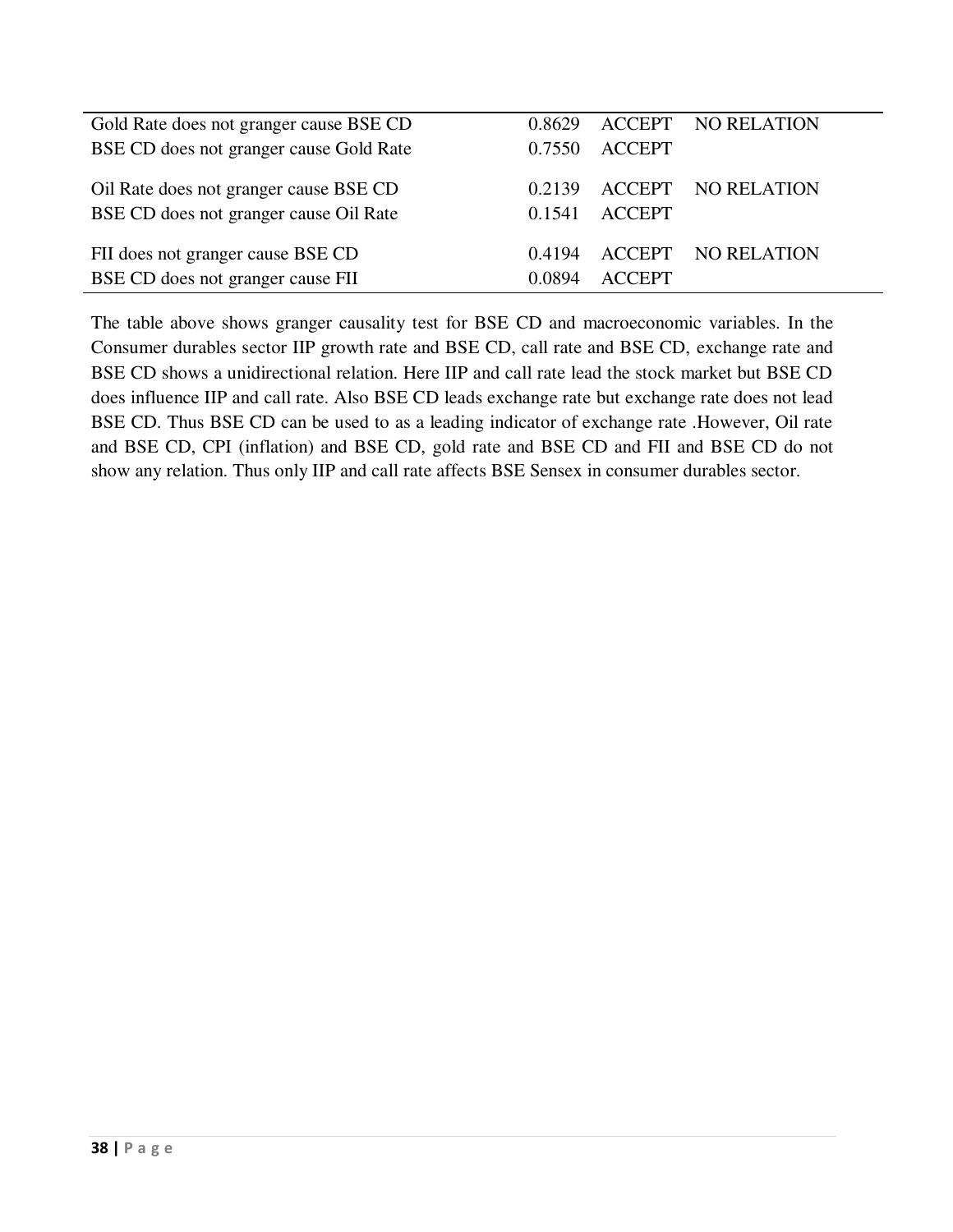| Gold Rate does not granger cause BSE CD | 0.8629 |               | ACCEPT NO RELATION |
|-----------------------------------------|--------|---------------|--------------------|
| BSE CD does not granger cause Gold Rate | 0.7550 | ACCEPT        |                    |
|                                         |        |               |                    |
| Oil Rate does not granger cause BSE CD  | 0.2139 |               | ACCEPT NO RELATION |
| BSE CD does not granger cause Oil Rate  | 0.1541 | <b>ACCEPT</b> |                    |
|                                         |        |               |                    |
| FII does not granger cause BSE CD       | 0.4194 |               | ACCEPT NO RELATION |
| BSE CD does not granger cause FII       | 0.0894 | <b>ACCEPT</b> |                    |

The table above shows granger causality test for BSE CD and macroeconomic variables. In the Consumer durables sector IIP growth rate and BSE CD, call rate and BSE CD, exchange rate and BSE CD shows a unidirectional relation. Here IIP and call rate lead the stock market but BSE CD does influence IIP and call rate. Also BSE CD leads exchange rate but exchange rate does not lead BSE CD. Thus BSE CD can be used to as a leading indicator of exchange rate .However, Oil rate and BSE CD, CPI (inflation) and BSE CD, gold rate and BSE CD and FII and BSE CD do not show any relation. Thus only IIP and call rate affects BSE Sensex in consumer durables sector.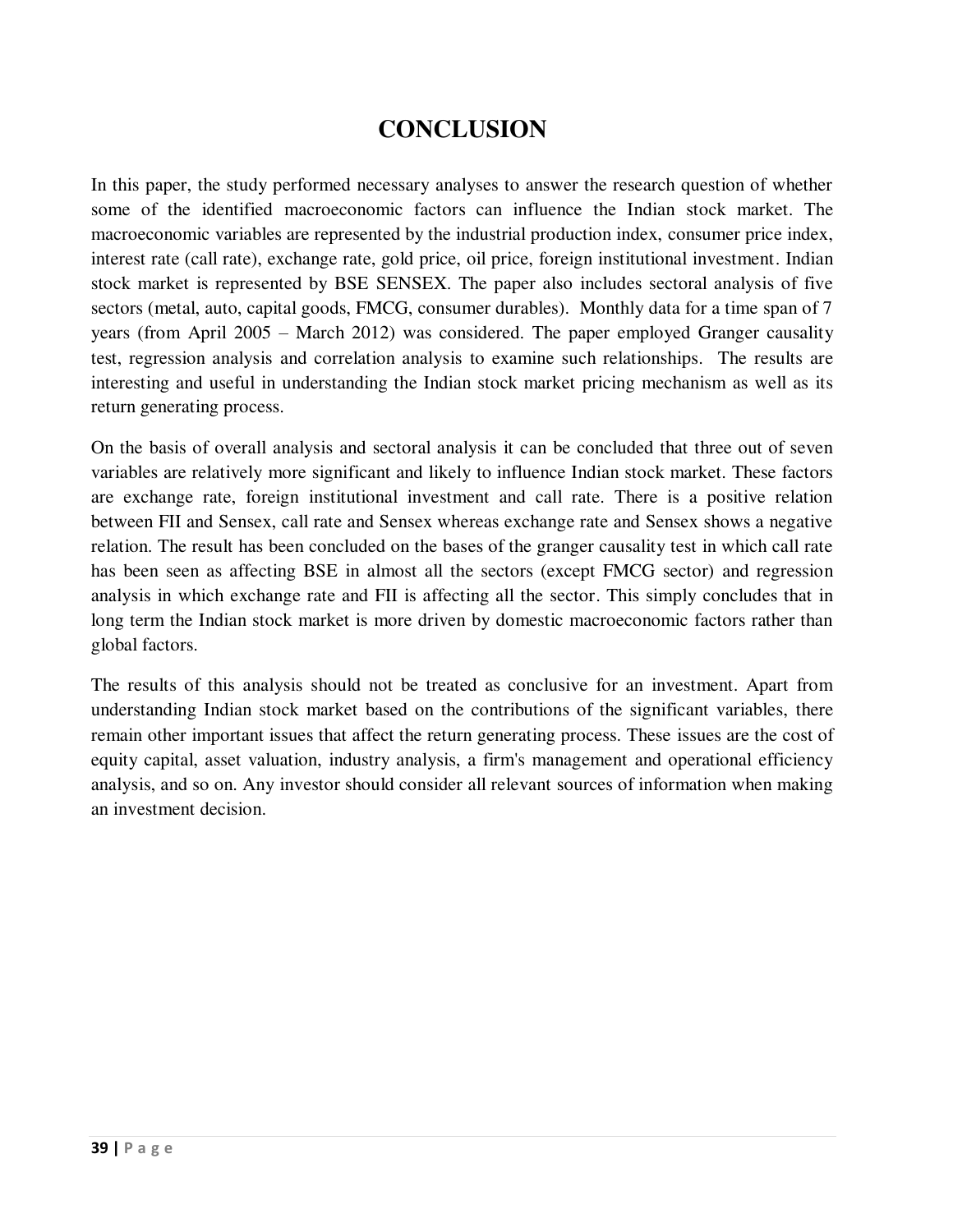# **CONCLUSION**

In this paper, the study performed necessary analyses to answer the research question of whether some of the identified macroeconomic factors can influence the Indian stock market. The macroeconomic variables are represented by the industrial production index, consumer price index, interest rate (call rate), exchange rate, gold price, oil price, foreign institutional investment. Indian stock market is represented by BSE SENSEX. The paper also includes sectoral analysis of five sectors (metal, auto, capital goods, FMCG, consumer durables). Monthly data for a time span of 7 years (from April 2005 – March 2012) was considered. The paper employed Granger causality test, regression analysis and correlation analysis to examine such relationships. The results are interesting and useful in understanding the Indian stock market pricing mechanism as well as its return generating process.

On the basis of overall analysis and sectoral analysis it can be concluded that three out of seven variables are relatively more significant and likely to influence Indian stock market. These factors are exchange rate, foreign institutional investment and call rate. There is a positive relation between FII and Sensex, call rate and Sensex whereas exchange rate and Sensex shows a negative relation. The result has been concluded on the bases of the granger causality test in which call rate has been seen as affecting BSE in almost all the sectors (except FMCG sector) and regression analysis in which exchange rate and FII is affecting all the sector. This simply concludes that in long term the Indian stock market is more driven by domestic macroeconomic factors rather than global factors.

The results of this analysis should not be treated as conclusive for an investment. Apart from understanding Indian stock market based on the contributions of the significant variables, there remain other important issues that affect the return generating process. These issues are the cost of equity capital, asset valuation, industry analysis, a firm's management and operational efficiency analysis, and so on. Any investor should consider all relevant sources of information when making an investment decision.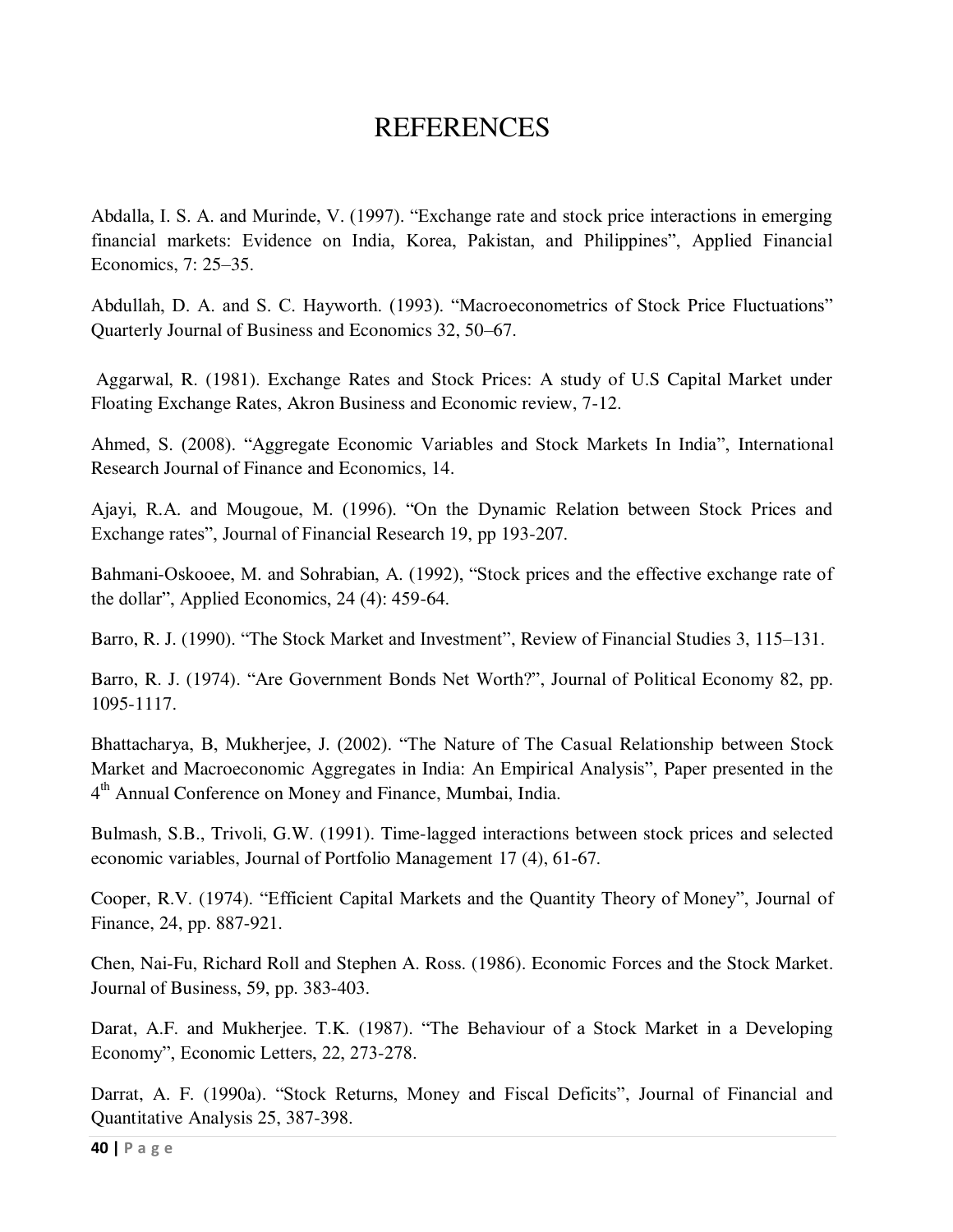# **REFERENCES**

Abdalla, I. S. A. and Murinde, V. (1997). "Exchange rate and stock price interactions in emerging financial markets: Evidence on India, Korea, Pakistan, and Philippines", Applied Financial Economics, 7: 25–35.

Abdullah, D. A. and S. C. Hayworth. (1993). "Macroeconometrics of Stock Price Fluctuations" Quarterly Journal of Business and Economics 32, 50–67.

 Aggarwal, R. (1981). Exchange Rates and Stock Prices: A study of U.S Capital Market under Floating Exchange Rates, Akron Business and Economic review, 7-12.

Ahmed, S. (2008). "Aggregate Economic Variables and Stock Markets In India", International Research Journal of Finance and Economics, 14.

Ajayi, R.A. and Mougoue, M. (1996). "On the Dynamic Relation between Stock Prices and Exchange rates", Journal of Financial Research 19, pp 193-207.

Bahmani-Oskooee, M. and Sohrabian, A. (1992), "Stock prices and the effective exchange rate of the dollar", Applied Economics, 24 (4): 459-64.

Barro, R. J. (1990). "The Stock Market and Investment", Review of Financial Studies 3, 115–131.

Barro, R. J. (1974). "Are Government Bonds Net Worth?", Journal of Political Economy 82, pp. 1095-1117.

Bhattacharya, B, Mukherjee, J. (2002). "The Nature of The Casual Relationship between Stock Market and Macroeconomic Aggregates in India: An Empirical Analysis", Paper presented in the 4<sup>th</sup> Annual Conference on Money and Finance, Mumbai, India.

Bulmash, S.B., Trivoli, G.W. (1991). Time-lagged interactions between stock prices and selected economic variables, Journal of Portfolio Management 17 (4), 61-67.

Cooper, R.V. (1974). "Efficient Capital Markets and the Quantity Theory of Money", Journal of Finance, 24, pp. 887-921.

Chen, Nai-Fu, Richard Roll and Stephen A. Ross. (1986). Economic Forces and the Stock Market. Journal of Business, 59, pp. 383-403.

Darat, A.F. and Mukherjee. T.K. (1987). "The Behaviour of a Stock Market in a Developing Economy", Economic Letters, 22, 273-278.

Darrat, A. F. (1990a). "Stock Returns, Money and Fiscal Deficits", Journal of Financial and Quantitative Analysis 25, 387-398.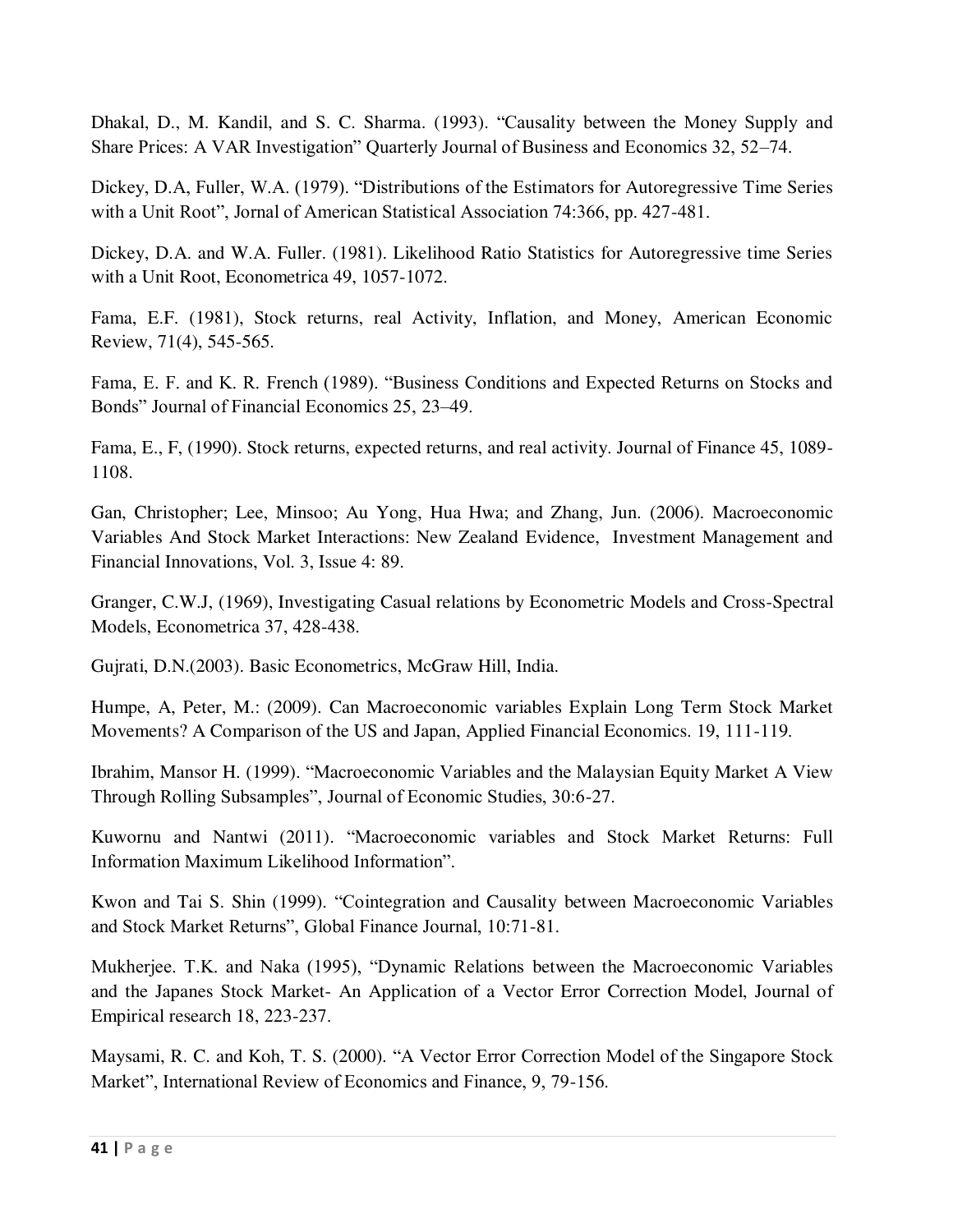Dhakal, D., M. Kandil, and S. C. Sharma. (1993). "Causality between the Money Supply and Share Prices: A VAR Investigation" Quarterly Journal of Business and Economics 32, 52–74.

Dickey, D.A, Fuller, W.A. (1979). "Distributions of the Estimators for Autoregressive Time Series with a Unit Root", Jornal of American Statistical Association 74:366, pp. 427-481.

Dickey, D.A. and W.A. Fuller. (1981). Likelihood Ratio Statistics for Autoregressive time Series with a Unit Root, Econometrica 49, 1057-1072.

Fama, E.F. (1981), Stock returns, real Activity, Inflation, and Money, American Economic Review, 71(4), 545-565.

Fama, E. F. and K. R. French (1989). "Business Conditions and Expected Returns on Stocks and Bonds" Journal of Financial Economics 25, 23–49.

Fama, E., F, (1990). Stock returns, expected returns, and real activity. Journal of Finance 45, 1089- 1108.

Gan, Christopher; Lee, Minsoo; Au Yong, Hua Hwa; and Zhang, Jun. (2006). Macroeconomic Variables And Stock Market Interactions: New Zealand Evidence, Investment Management and Financial Innovations, Vol. 3, Issue 4: 89.

Granger, C.W.J, (1969), Investigating Casual relations by Econometric Models and Cross-Spectral Models, Econometrica 37, 428-438.

Gujrati, D.N.(2003). Basic Econometrics, McGraw Hill, India.

Humpe, A, Peter, M.: (2009). Can Macroeconomic variables Explain Long Term Stock Market Movements? A Comparison of the US and Japan, Applied Financial Economics. 19, 111-119.

Ibrahim, Mansor H. (1999). "Macroeconomic Variables and the Malaysian Equity Market A View Through Rolling Subsamples", Journal of Economic Studies, 30:6-27.

Kuwornu and Nantwi (2011). "Macroeconomic variables and Stock Market Returns: Full Information Maximum Likelihood Information".

Kwon and Tai S. Shin (1999). "Cointegration and Causality between Macroeconomic Variables and Stock Market Returns", Global Finance Journal, 10:71-81.

Mukherjee. T.K. and Naka (1995), "Dynamic Relations between the Macroeconomic Variables and the Japanes Stock Market- An Application of a Vector Error Correction Model, Journal of Empirical research 18, 223-237.

Maysami, R. C. and Koh, T. S. (2000). "A Vector Error Correction Model of the Singapore Stock Market", International Review of Economics and Finance, 9, 79-156.